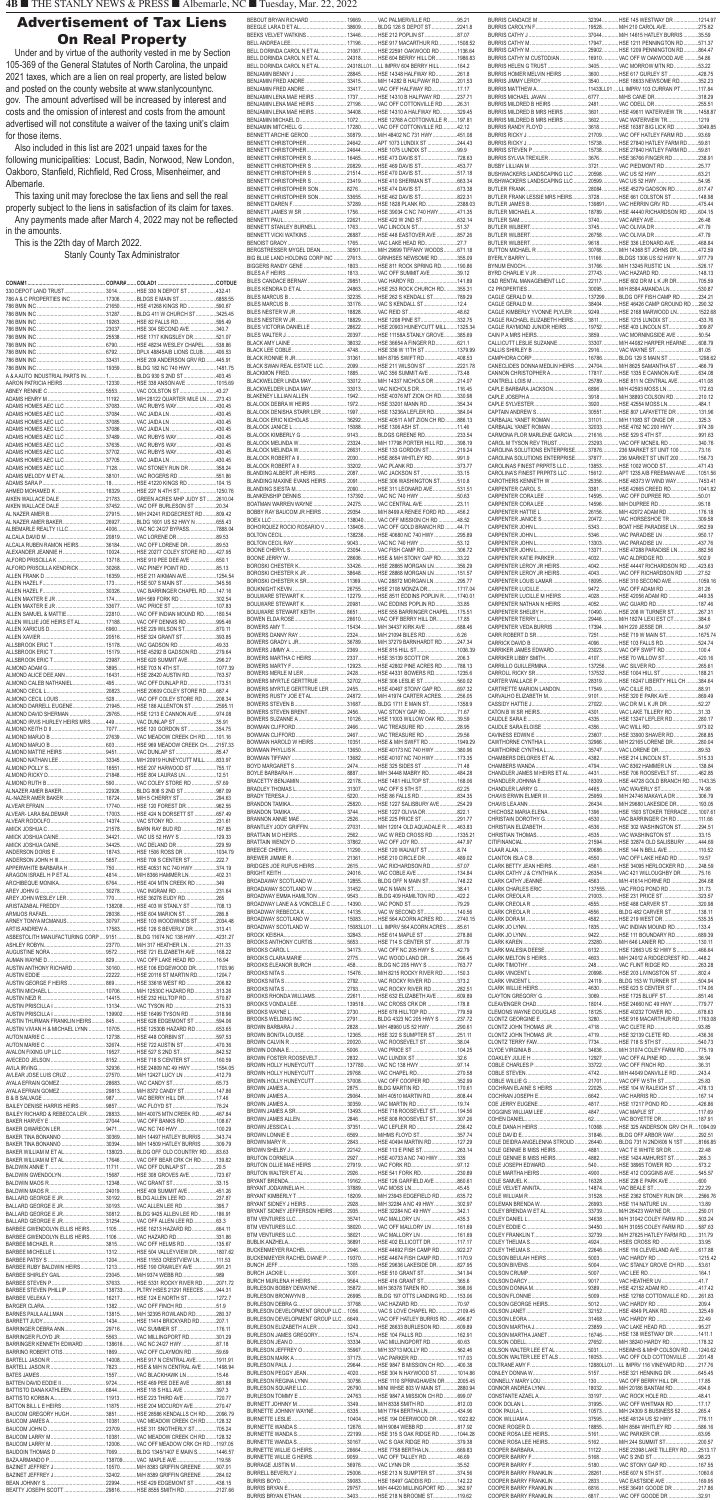| CONAM1<br>330 DEPOT LAND TRUST                                                                      | .3014.             | COLAD1<br>.HSE 330 N DEPOT ST                                       | .COTDUE<br>.432.41           | BILES CANDACE BERNAY<br>BILES KENDRA D ET AL                                                              | .29851.<br>24863.          | . VAC HARDY RD<br>.HSE 253 ROCK CHURCH RD                                                              | .141.89<br>.355.31           | C&D RENTAL MANAGEMENT LLC<br>C2 PROPERTIES                                                                    | . 22117<br>30095.             | .HSE 602 DR M L K JR DR.<br>. M/H 8584 AMANDA LN.                | .705.59<br>.530.87             |
|-----------------------------------------------------------------------------------------------------|--------------------|---------------------------------------------------------------------|------------------------------|-----------------------------------------------------------------------------------------------------------|----------------------------|--------------------------------------------------------------------------------------------------------|------------------------------|---------------------------------------------------------------------------------------------------------------|-------------------------------|------------------------------------------------------------------|--------------------------------|
| 786 A & C PROPERTIES INC  17306                                                                     |                    | BLDGS E MAIN ST<br>HSE 41268 KINGS RD                               | 6858.55<br>.590.67           |                                                                                                           | .32235.                    | HSE 262 S KENDALL ST                                                                                   | 789.29<br>48.62              |                                                                                                               |                               | BLDG OFF FISH CAMP RD.<br>HSE 46426 CAMP GROUND RD 290.32        | .234.21                        |
|                                                                                                     |                    | BLDG 411 W CHURCH ST<br>HSE 82 FALLS RD.                            | .3425.45<br>.595.49          | BILES VICTORIA DANIELLE  28622                                                                            |                            | .HSE 1208 PINE ST<br>.HSE 20903 HUNEYCUTT MILL1325.34                                                  | 332.75                       | CAGLE KIMBERLY YVONNE PLYLER 9249<br>CAGLE RACHAEL ELIZABETH HEIRS  3811<br>CAGLE RAYMOND JUNIOR HEIRS 19752. |                               | HSE 2168 MARWOOD LN.<br>HSE 1215 LUNDIX ST<br>HSE 403 LINCOLN ST | .1522.68<br>.433.76<br>.309.87 |
|                                                                                                     |                    | HSE 304 SECOND AVE<br>HSE 1717 KINGSLEY DR                          | .340.7<br>.521.07            | BILES WALTER J                                                                                            | .20397                     | .HSE 11158A STANLY GROVE<br>.HSE 36654 A FINGER RD621.1                                                | .385.69                      | CALLICUTT LESLIE SUZANNE 33307                                                                                | 3859                          | VAC MORNINGSIDE AVE.<br>M/H 44082 HARPER HEARNE                  | .50.54<br>608.79               |
|                                                                                                     | 6790.              | HSE 48234 WESLEY CHAPEL<br>DPLX 48845A/B LIONS CLUB                 | .538.86<br>406.53            | <b>BLACK LEE COBLE</b>                                                                                    | 4748                       | .HSE 336 W 11TH ST                                                                                     | 1379.99                      |                                                                                                               |                               | VAC WAYNE ST<br>BLDG 129 S MAIN ST                               | .81.05<br>.1298.62             |
| 786 BMN INC                                                                                         |                    | HSE 209 ANDERSON GRV RD<br>BLDG 182 NC 740 HWY                      | 445.91<br>.1481.75           | BLACK SWAN REAL ESTATE LLC<br><b>BLACKMON FRED</b>                                                        | .2099<br>.1885             | .HSE 211 WILSON ST<br>VAC 356 SUMMIT AVE 73.48                                                         | .2221.78                     | CANECLIDES DONNA MEDLIN HEIRS  24704.<br>CANNON CHRISTOPHER A                                                 | $17817.$                      | M/H 8625 SAMANTHA ST<br>HSE 1335 E CANNON AVE.                   | .466.79<br>.634.08             |
| A & A AUTO INDUSTRIAL PARTS IN 1                                                                    | $$ 5553            | BLDG 930 S 2ND ST<br>HSE 338 ANSON AVE<br>$MAC$ COLSTON ST $M.$     | .403.45<br>1015.69<br>.43.27 | BLACKWELDER LINDA MAY<br>BLACKWELDER LINDA MAY                                                            | .33013                     | 33012 M/H 14337 NICHOLS DR 214.07<br>VAC NICHOLS DR                                                    | 116.45                       | CAPLE BARBARA JACKSON 6896                                                                                    |                               | .M/H 42593 MOSS LN                                               | 411.08<br>.172.63              |
| ABNEY RENNIE C.<br>$\frac{1}{2}$ 11192<br>ADAMS HENRY M.                                            |                    | M/H 28122 QUARTER MILE LN 273.43<br>VAC RUBYS WAY                   | 430.45                       | BLAKENEY LILLIAN ALLEN<br>BLALOCK DEBRA W HEIRS                                                           | 1942<br>1972               | HSE 40376 MT ZION CH RD330.98<br>.HSE 33201 MANN RD                                                    | .354.34                      |                                                                                                               |                               | M/H 38893 COLSON RD<br>.HSE 42554 MOSS LN                        | .210.12<br>.484.1              |
| ADAMS HOMES AEC LLC 37084<br>ADAMS HOMES AEC LLC                                                    | 37085              | VAC JAIDA LN<br>VAC JAIDA LN                                        | 430.45<br>430.45             | BLALOCK DENISHA STARR LER  1997<br>BLALOCK ERIC NICHOLAS                                                  | 36292                      | .HSE 13236A LEFLER RD<br>.HSE 40511 A MT ZION CH RD886.13                                              | .384.04                      | CARBAJAL YANET ROMAN  31101                                                                                   |                               | HSE 807 LAFAYETTE DR<br>, M/H 11083 ST ONGE DR                   | .131.96<br>.325.3              |
| ADAMS HOMES AEC LLC                                                                                 | 37489.             | VAC JAIDA LN 430.45<br>VAC RUBYS WAY                                | .430.45                      |                                                                                                           | .15088                     | .HSE 1306 ASH ST<br>BLDGS GREENE RD                                                                    | 11.46<br>.233.54             | CARBAJAL YANET ROMAN<br>CARMONA FLOR MARLENE GARCIA                                                           | .32033.<br>.21616.            | HSE 4762 NC 200 HWY<br>HSE 529 S 4TH ST                          | .974.39<br>.991.63             |
| ADAMS HOMES AEC LLC.<br>ADAMS HOMES AEC LLC<br>ADAMS HOMES AEC LLC.                                 | 37635<br>.37702.   | , VAC RUBYS WAY430.45<br>VAC RUBYS WAY                              | 430.45                       |                                                                                                           | .26631                     | .M/H 17798 PORTER HILL RD<br>HSE 133 GORDON ST                                                         | .398.19<br>219.24            | CAROL M TYSON REV TRUST<br>CAROLINA SOLUTIONS ENTERPRISE.                                                     | 23293.<br>37876.              | VAC OFF MCNEIL RD<br>236 MARKET ST UNIT 100                      | .340.76<br>73.16               |
| .<br>ADAMS HOMES AEC LLC                                                                            |                    | VAC JAIDA LN                                                        | 430.45<br>358.24             | BLALOCK ROBERT A II                                                                                       | .2030                      | .HSE 8654 WHITLEY RD<br>33202VAC PLANK RD                                                              | .991.9<br>.373.77            | CAROLINA SOLUTIONS ENTERPRISE.<br>CAROLINAS FINEST PRPRTS LLC                                                 | .37877.<br>13853.             | .236 MARKET ST UNIT 200<br>HSE 1002 WOOD ST                      | .156.73<br>.471.43             |
| ADAMS SARA P                                                                                        |                    | HSE 41220 KINGS RD                                                  | .551.86<br>.104.15           | BLANDING ALBERT JR HEIRS<br>BLANDING MAXINE EVANS HEIRS                                                   | .2091                      | 2087VAC JACKSON ST<br>HSE 306 WASHINGTON ST                                                            | .33.15<br>510.8              | CAROLINA'S FINEST PRPRTS LLC.<br>CAROTHERS KENNETH W                                                          | 15612.<br>25356.              | APT 1235 A/B FREEMAN AVE.<br>HSE 48373 W WIND WAY                | 1051.56<br>7453.41             |
| AIKEN WALLACE DALE                                                                                  | 21783.             | GREEN ACRES MHP JUDY ST                                             | .1250.76<br>.2610.04         | <b>BLANDING SIESTA M</b>                                                                                  |                            | 2090HSE 311 LEONARD AVE                                                                                | .531.51<br>.50.63            | CARPENTER CORA LEE  14595.                                                                                    |                               | HSE 42665 CREED RD<br>VAC OFF DUPREE RD                          | 1041.82<br>.50.01              |
| AL NAZER AMER B                                                                                     |                    | VAC OFF BURLESON ST.<br>M/H 24241 RIDGECREST RD                     | .20.34<br>.809.42            | BOATMAN WARREN WAYNE<br>BOBBY RAY BAUCOM JR HEIRS                                                         | .24275<br>.29354.          | VAC CENTRAL AVE<br>M/H 8499 A RENEE FORD RD                                                            | .23.11<br>.456.2             | CARPENTER CORA LEE  14596<br>CARPENTER HATTIE L 26156                                                         |                               | M/H DUPREE RD<br>M/H 42072 ADAM RD                               | .95.18<br>.176.18              |
| AL NAZER AMER BAKER 26927<br>ALBEMARLE REALTY I LLC                                                 | .4006              | BLDG 1601 US 52 HWY N<br>VAC NC 24/27 BYPASS                        | .655.43<br>7888.04           | BOEX LLC.<br>BOHORQUEZ ROCIO ROSARIO V 139405                                                             | .138040                    | VAC OFF MISSION CH RD<br>VAC OFF GOLD BRANCH RD                                                        | .48.52<br>.44.71             | CARPENTER JANICE S  20472                                                                                     |                               | VAC HORSESHOE TR<br>BOAT HSE PARADISE LN                         | .309.58<br>.952.59             |
| ALCALA DAVID M<br>ALCALA RUBEN RAMON HEIRS  36184                                                   |                    | VAC OFF LORENE DR                                                   | .89.53<br>.89.53             |                                                                                                           |                            | . HSE 40680 NC 740 HWY                                                                                 | .295.89<br>.53.12            |                                                                                                               |                               | VAC PARADISE LN                                                  | .950.17<br>.437.76             |
| ALEXANDER JEANNIE H                                                                                 | .10024.            | HSE 20277 COLEY STORE RD 427.95<br>HSE 910 PEE DEE AVE              | 650.1                        |                                                                                                           | .23054<br>.28606.          | VAC FISH CAMP RD<br>HSE & M/H STONY GAP RD                                                             | .306.72<br>.33.22            | CARPENTER KATIE PARKER                                                                                        | 4032                          | HSE 47288 PARADISE LN<br>VAC ALDRIDGE RD                         | .882.56<br>.502.9              |
| ALFORD PRISCILLA KENDRICK  30268.                                                                   |                    | VAC PINEY POINT RD<br>HSE 211 AIKMAN AVE                            | .85.13<br>1254.54            | BOROSKI CHESTER K JR                                                                                      | 38648                      | HSE 28868 MORGAN LN                                                                                    | .356.29<br>151.57            | CARPENTER LEROY JR HEIRS<br>CARPENTER LEROY JR HEIRS                                                          | 4042<br>.4043                 | HSE 44447 RICHARDSON RD.<br>VAC OFF RICHARDSON RD                | 423.63<br>.27.52               |
| ALLEN HAZEL F                                                                                       |                    | HSE 507 S MAIN ST<br>VAC BARRINGER CHAPEL RD 147.16                 | .345.56                      | BOROSKI CHESTER K SR 11369                                                                                |                            | VAC 28872 MORGAN LN 295.77<br>.HSE 2108 MONZA DR1717.04                                                |                              | CARPENTER LOUIS LAMAR  18095 HSE 310 SECOND AVE<br>CARPENTER LUCILLE.                                         | .9472                         | VAC OFF ADAM RD                                                  | 1059.16<br>81.26               |
|                                                                                                     |                    | M/H 569 FORK RD<br>VAC PRICE ST                                     | 302.54<br>.107.83            | BOULWARE STEWART K 12279 HSE 8511 EDDINS POPLIN R1740.01<br>BOULWARE STEWART K 20981 VAC EDDINS POPLIN RD |                            |                                                                                                        | .33.85                       | CARPENTER LUCILLE M HEIRS<br>CARPENTER NATHAN N HEIRS                                                         | .4028<br>4052                 | HSE 42056 ADAM RD<br>VAC GUARD RD                                | .449.35<br>.187.46             |
| ALLEN SAMUEL & MATTIE  22810  VAC OFF INDIAN MOUND RD 180.54<br>ALLEN WILLIE JOE HEIRS ET AL 17188. |                    | VAC OFF DENNIS RD                                                   | 995.46                       | BOULWARE STEWART KEITH                                                                                    | .8651                      | HSE 555 BARRINGER CHAPEL175.51                                                                         |                              | CARPENTER SHELBY H                                                                                            | $10490.$                      | HSE 208 W TURNER ST<br>M/H 18274 LEXI EST CT                     | .267.31<br>.384.6              |
| ALLEN XAVIER.                                                                                       | .6960              | HSE 229 WILSON ST<br>HSE 324 GRANT ST                               | 870.11<br>.393.85            |                                                                                                           |                            | M/H 34437 KIRK AVE<br>M/H 21094 BILES RD                                                               | .688.46<br>.6.26             | CARPENTER VEDA BURRIS  17394                                                                                  |                               | M/H 220 JESSE DR<br>HSE 719 W MAIN ST                            | .84.97<br>1675.74              |
|                                                                                                     |                    | VAC GADSON RD.<br>HSE 45292 B GADSON RD                             | 49.33<br>279.64              |                                                                                                           |                            | M/H 37279 BARNHARDT RD<br>HSE 815 HILL ST                                                              | 247.34<br>1036.39            |                                                                                                               |                               | HSE 103 FALLS RD                                                 | .524.74<br>.100.4              |
| ALMOND ADAM G.                                                                                      |                    | HSE 620 SUMMIT AVE<br>HSE 703 N 4TH ST                              | .296.27<br>.1077.39          | BOWERS MARTHA C HEIRS                                                                                     | .2337<br>.12923            | HSE 35139 SCOTT DR<br>.HSE 42802 PINE ACRES RD                                                         | .206.3<br>788.13             | CARRIKER LIBBY SMITH 4107<br>CARRILLO GUILLERMINA  137256.                                                    |                               | HSE 70 WILLOW ST<br>VAC SILVER RD                                | .420.16<br>265.61              |
| ALMOND ALICE DEE ANN  16431<br>ALMOND CALEB NATHANIEL                                               | .495               | HSE 28420 AUSTIN RD<br>VAC OFF DUNLAP RD                            | .763.57<br>.173.51           | BOWERS MYRTLE GERTTRUE                                                                                    | 32702                      | . HSE 306 LESLIE ST                                                                                    | 1235.6<br>.560.02            |                                                                                                               |                               | HSE 16247 LIBERTY HILL CH                                        | 188.21<br>.384.64              |
| <b>ALMOND CECIL L</b>                                                                               | .528               | 20823 HSE 20609 COLEY STORE RD 687.4<br>VAC OFF COLEY STORE RD      | .208.34                      | BOWERS MYRTLE GERTTRUE LER  2455<br>BOWERS RUSTY JOE ET AL 24872 M/H 41974 CARTER ACRES                   |                            | .HSE 40467 STONY GAP RD                                                                                | .697.32<br>.256.05           | CARTRETTE MARION LANDON 17549                                                                                 |                               | WAC CILLE RD.                                                    | .88.91<br>.869.49              |
| ALMOND DARRELL EUGENE<br>ALMOND DAVID SHERMAN.                                                      | 29765.             | 21945HSE 186 ALLENTON ST<br>HSE 1213 E CANNON AVE.                  | .2595.11<br>.974.08          |                                                                                                           |                            | . BLDG 1711 E MAIN ST                                                                                  | 1358.9                       |                                                                                                               |                               |                                                                  | .52.27<br>31.33                |
| ALMOND IRVIS HURLEY HEIRS MRS.<br>$\cdots$ 7077.<br>ALMOND KEITH D II.                              | 449.               | VAC DUNLAP ST<br>HSE 120 GORDON ST                                  | .35.91<br>.354.75            | BOWERS SUZANNE A<br><b>BOWMAN CLIFFORD</b>                                                                | .2466.                     | 10126 HSE 11003 WILLOW OAK RD39.59<br>. VAC TREASURE RD.                                               | .28.95                       | CAUDLE SARA ELOISE.                                                                                           | 4356.                         | 4335HSE 13247 LEFLER RD<br>VAC WILL RD                           | .280.17<br>.973.02             |
| ALMOND MARJO B.<br>ALMOND MARJO B.                                                                  | .27639.            | VAC MEADOW CREEK CH RD<br>HSE 969 MEADOW CREEK CH2157.33            | .101.16                      | <b>BOWMAN CLIFFORD.</b><br>BOWMAN HAROLD W HEIRS 10351                                                    | .2467                      | VAC TREASURE RD.<br>.HSE & M/H SWIFT RD 1949.29                                                        | .29.56                       | CAWTHORNE CYNTHIA L                                                                                           | 23607.<br>32966.              | HSE 33900 SHAVER RD.<br>.M/H 22165 LORENE DR                     | .268.85<br>.280.04             |
|                                                                                                     |                    | VAC DUNLAP ST<br>M/H 20919 HUNEYCUTT MILL.                          | .85.47<br>.833.97            |                                                                                                           |                            | .HSE 40173 NC 740 HWY<br>.HSE 40107 NC 740 HWY 173.35                                                  | .380.96                      | CHAMBERS DELORES ET AL  4382                                                                                  |                               | HSE 214 LINCOLN ST                                               | .89.53<br>.515.33              |
| $\ldots$ 16551.<br>ALMOND POLLY S                                                                   |                    | HSE 207 HARWOOD ST<br>HSE 804 LAURAS LN                             | .755.17<br>.12.51            |                                                                                                           |                            | HSE 325 SIDES ST 71.48<br>. M/H 34448 MABRY RD                                                         | .484.28                      | CHANDLER JAMES M HEIRS ET AL  4431                                                                            |                               | VAC 8362 HAMMER LN<br>HSE 706 ROOSEVELT ST                       | 138.84<br>.462.85              |
| ALMOND RUTH B                                                                                       | .22926             | VAC COLEY STORE RD<br>BLDG 808 S 2ND ST                             | .57.69<br>.987.09            |                                                                                                           |                            | HSE 1481 HILLTOP ST168.06                                                                              | .62.25                       |                                                                                                               |                               | HSE 44728 GOLD BRANCH RD 1143.35<br>VAC WAVERLY ST               | 74.98                          |
| AL-NAZER AMER BAKER  16724  M/H 5 CHERRY ST<br>$\frac{1}{2}$ 17740.<br>ALVEAR EFRAIN                |                    | HSE 120 FOREST DR                                                   | 294.63<br>.962.55            |                                                                                                           | .5220                      | .HSE 86 FALLS RD                                                                                       | .834.35<br>254.29            |                                                                                                               |                               | M/H 24746 MAKAYLA DR<br>, M/H 29680 LAKESIDE DR                  | .306.79<br>.193.05             |
| ALVEAR- LARA BALDEMAR  17003<br>$\ldots$ 14374<br>ALVEAR RODOLFO.                                   |                    | HSE 424 N DORSETT ST<br>VAC STONY RD                                | .657.49<br>.231.61           |                                                                                                           |                            | HSE 1227 OLIVIA DR                                                                                     | .822.1<br>.291.77            | CHRISTAIN DOROTHY G 4530                                                                                      |                               | .HSE 1503 STOKER TERRACE.<br>VAC BARRINGER CH RD.                | .1007.61<br>111.66             |
|                                                                                                     |                    | BARN RAY BUD RD<br>VAC US 52 HWY S 129.33                           | .167.85                      |                                                                                                           |                            | M/H 12014 OLD AQUADALE R 463.83<br>VAC W RED CROSS RD 1335.21                                          |                              |                                                                                                               |                               | HSE 302 WASHINGTON ST.<br>VAC WASHINGTON ST                      | .294.51<br>.33.15              |
|                                                                                                     |                    | VAC DELAND DR<br>HSE 1506 ROSS DR                                   | 229.59<br>1034.79            |                                                                                                           |                            | HSE 120 WALNUT ST                                                                                      | 447.97<br>8.74               |                                                                                                               |                               | HSE 32874 OLD SALISBURY<br>HSE 144 N BELL AVE                    | .444.69<br>.110.52             |
| APPERWHITE BARBARA H                                                                                | .750               | HSE 709 S CENTER ST<br>HSE 40531 NC 740 HWY                         | .222.7<br>374.19             | BRIDGES JOE RUFUS HEIRS  2615 VAC RICHARDSON RD                                                           |                            |                                                                                                        | .57.07                       | CLARK BETTY JEAN HEIRS 4561                                                                                   |                               | HSE 34095 HERLOCKER RD.                                          | .19.57<br>.248.59              |
| ARAGON ISRAEL H P ET AL 4814                                                                        |                    | M/H 8366 HAMMER LN<br>HSE 404 MTN CREEK RD                          | .402.31<br>.349              | <b>BRIGHT KEITH</b><br>BROADAWAY SCOTLAND W 12855                                                         | .24016                     | , VAC COBLE AVE 134.84<br>.BLDG OFF N MAIN ST748.22                                                    |                              | CLARK CATHY J & CYNTHIA K                                                                                     | $$ 26354 $$                   | VAC 421 WILLOUGHBY DR<br>M/H 41614 HORNE RD                      | 75.16<br>.264.68               |
| AREY JOHN G                                                                                         |                    | VAC INGRAM RD<br>HSE 36278 EUDY RD                                  | 231.64<br>.265               | BROADAWAY SCOTLAND W 31452 VAC N MAIN ST<br>BROADWAY EMMA HAMILTON  9543                                  |                            | BLDG 409 HAMILTON RD422.2                                                                              | .38.41                       | CLARK CHARLES ERIC  137555                                                                                    |                               | VAC FROG POND RD<br>HSE 231 PRICE ST                             | .31.73<br>.323.57              |
| ARISTAZABAL FREDDY 138208.                                                                          |                    |                                                                     |                              |                                                                                                           |                            |                                                                                                        |                              |                                                                                                               |                               |                                                                  |                                |
| <b>ARMIJOS RAFAEL</b>                                                                               |                    | HSE 403 W STANLY ST<br>HSE 604 MARION ST                            | 708.13<br>.286.8             | BROADWAY REBECCA K  14135 VAC W SECOND ST140.56                                                           |                            |                                                                                                        |                              |                                                                                                               |                               | HSE 488 CARVER ST                                                | .320.98<br>138.11              |
| ARNEY TONYA MCMANUS<br>ARTIS ANDREW A.                                                              | .30797.<br>17583.  | HSE 103 WOODWINDS ST<br>HSE 126 S BEVERLY DR                        | .2034.48<br>313.41           | BROADWAY SCOTLAND W  15083<br>BROADWAY SCOTLAND W                                                         |                            | HSE 564 ACORN ACRES RD<br>15083LL01LL IMPRV 564 ACORN ACRES85.61                                       | .2740.15                     |                                                                                                               |                               | HSE 219 WEST DR<br>VAC INDIAN MOUND RD                           | .535.35<br>.133.4              |
| ASBESTOLITH MANUFACTURING CORP 9151<br><b>ASHLEY ROBYN</b>                                          | .23770             | .BLDG 11674 NC 138 HWY<br>M/H 317 HEATHER LN                        | 4231.27<br>211.33            | <b>BROCK KEISHA</b>                                                                                       | $\ldots$ 32843             | HSE 614 MAPLE ST<br>.HSE 714 S CENTER ST                                                               | .278.86<br>.87.79            |                                                                                                               |                               | HSE 111 BOUNDARY RD<br>M/H 646 LANIER RD                         | .689.39<br>.130.11             |
| AUMAN WAYNE D                                                                                       | $.829$             | HSE 721 ELIZABETH AVE<br>VAC OFF LAKE HEAD RD                       | 168.22<br>.16.94             |                                                                                                           |                            |                                                                                                        | .42.79<br>.296.45            | CLARK MELTON S HEIRS 4603                                                                                     |                               | HSE 12663 US 52 HWY S<br>, M/H 24012 A RIDGECREST RD.            | .466.64<br>.448.2              |
| AUSTIN ANTHONY RICHARD 30160<br><b>AUSTIN EDDIE</b>                                                 | .22222.            | HSE 106 EDGEWOOD DR<br>HSE 20116 ST MARTIN RD                       | 1703.96<br>1204.7            |                                                                                                           |                            | .BLDG NC 205 HWY S                                                                                     | 763.77<br>150.3              |                                                                                                               |                               | HSE 203 LIVINGSTON ST                                            | .263.28<br>.802.4              |
| <b>AUSTIN MICHAEL L.</b>                                                                            |                    | HSE 33618 WEST RD<br>M/H 12530C HAZARD RD.                          | .206.82<br>.313.26           |                                                                                                           | .2792                      | VAC ROCKY RIVER RD.                                                                                    | .373.2<br>.282.51            |                                                                                                               |                               | BLDG 153 W TURNER ST                                             | .504.94<br>174.06              |
|                                                                                                     |                    | HSE 232 HILLTOP RD<br>VAC TYSON RD                                  | 570.87<br>215.33             |                                                                                                           |                            | .HSE 632 ELIZABETH AVE                                                                                 | .609.89                      |                                                                                                               |                               | HSE 1725 BLUFF ST<br>HSE 24660 NC 49 HWY                         | .851.46<br>779.77              |
| AUSTIN THURMAN FRANKLIN HEIRS 845                                                                   | .139902.           | HSE 16499 TYSON RD<br>HSE 628 EDGEMONT ST                           | .318.96<br>594.06            |                                                                                                           |                            | .HSE 678 HILLTOP RD.<br>BLDG 4323 NC 205 HWY S                                                         | .779.59<br>.237.72           | CLEMONS WAYNE DOUGLAS  18125                                                                                  |                               | HSE 40232 TOWER RD<br>HSE 916 MACARTHUR RD                       | .678.63<br>1763.08             |
| AUSTIN VIVIAN H & MICHAEL LYNN  10705<br>AUTON MARIE C.                                             |                    | HSE 12530B HAZARD RD<br>HSE 448 CORBIN ST                           | .653.65<br>.597.53           | BROWN BONITA LOUISE                                                                                       | 12365                      | M/H 48960 US 52 HWY<br>HSE 322 S SUMPTER ST                                                            | .290.61<br>.251.11           | CLONTZ JOHN THOMAS JR 4718<br>CLONTZ JOHN THOMAS JR                                                           | 4719                          | VAC CLETE RD<br>HSE 32139 CLETE RD                               | .93.85<br>.436.36              |
| $\frac{1}{2}$ 32674<br><b>AUTON MARIE C.,</b>                                                       |                    | HSE 722 AUSTIN ST<br>HSE 527 S 2ND ST                               | .470.36<br>842.52            |                                                                                                           | .5006                      | VAC PRICE ST                                                                                           | 104.25                       |                                                                                                               |                               | M/H 31074 COLEY FARM RD                                          | 540.73<br>775.19               |
| AVILA IRVING                                                                                        |                    | HSE 718 S CENTER ST<br>HSE 24809 NC 49 HWY                          | 160.59<br>1554.05            | BROWN FOSTER ROOSEVELT<br>BROWN HOLLY HUNEYCUTT  137780 VAC NC 138 HWY                                    | .2832                      | VAC LUNDIX ST                                                                                          | .32.6<br>97.14               |                                                                                                               |                               | VAC OFF ALPINE RD                                                | .36.94<br>.36.31               |
| AVLEAR JOSE LUIS CRUZ  27570                                                                        | 28683.             | M/H 12427 LUCY LN 412.79<br>VAC CANDY ST                            | 65.73                        | BROWN HOLLY HUNEYCUTT<br>BROWN HOLLY HUNEYCUTT                                                            | .29768.<br>37008           | VAC CHAPEL RD<br>VAC OFF COOPER RD                                                                     | .270.58<br>352.99            |                                                                                                               |                               | M/H 44049 DANVILLE RD<br>VAC OFF W 5TH ST                        | .243.4<br>.25.83               |
| <b>B &amp; B SALVAGE.</b>                                                                           | .987               | VAC BERRY HILL DR                                                   | 17.46                        |                                                                                                           | .2875                      | .BLDG MARTIN RD                                                                                        | 170.61                       | COCHRAN ELAINE S HEIRS  22025                                                                                 |                               | HSE 104 W RALEIGH ST                                             | 478.13<br>.167.14              |
| BAILEY DENISE HARRIS HEIRS<br>BAILEY RICHARD & REBECCA LER                                          | .9857<br>28833     | VAC FLOYD ST<br>M/H 40075 MTN CREEK RD 467.84                       | .76.24                       |                                                                                                           | .30359                     | VAC MARTIN RD<br>HSE 718 ROOSEVELT ST194.56                                                            | .19.74                       |                                                                                                               |                               | HSE 17217 POND RD                                                | .426.86<br>117.69              |
| <b>BAKER HARVEY E.</b>                                                                              | .27044<br>.9471    | VAC OFF BANKS RD.<br>VAC NC 740 HWY                                 | .108.67<br>.100.29           |                                                                                                           | 37351                      | VAC LEFLER RD                                                                                          | .236.42                      | <b>COHEN DANIEL</b>                                                                                           |                               | VAC BOYETTE DR<br>HSE 325 ANDERSON GRV CH R 1094.09              | 187.91                         |
|                                                                                                     | 30369              | M/H 14497 HATLEY BURRIS<br>M/H 14509 HATLEY BURRIS.                 | .343.74<br>.309.79           |                                                                                                           |                            | .HSE 40494 MARTIN RD                                                                                   | 127.29                       | COLE DAVID E<br>COLE DEIDRA ANGELENNA STROUD  26440.                                                          |                               | BLDG OFF ARBOR WAY<br>.BLDG 731 N 2ND/606 N 1ST                  | .292.51<br>8166.85             |
| BAKER WILLIAM M ET AL 138023.<br>BAKER WILLIAM M ET AL                                              | .17646             | BLDG OFF OLD COUNTRY RD83.63<br>VAC OFF BEAR CRK CH RD              | 139.82                       |                                                                                                           | .2927                      | .HSE 40733 A NC 740 HWY                                                                                | 263.14<br>.335               | COLE GENNIE B MISS HEIRS<br>COLE GENNIE B MISS HEIRS                                                          | .4882                         | 4881 VAC T E WHITE SR DR<br>HSE 1424 AMHURST ST                  | .22.48<br>.265.3               |
| <b>BALDWIN ANNIE T</b><br>BALDWIN GWENDOLYN 15687.                                                  | .11711.            | VAC OFF DUNLAP ST<br>.HSE 308 GROVES AVE                            | .20.5<br>723.67              | BRUTON OLLIE MAE HEIRS<br>BRUTON WALTER ET AL                                                             | .2926.<br>.19162.          | .27919VAC FORK RD<br>HSE 541 FORK RD.<br>HSE 126 GARFIELD AVE.                                         | .97.12<br>.230.89            | COLE JOSEPH EDWARD<br>COLE MARTHA HEIRS.                                                                      | 4900.                         | 540HSE 38965 TOWER RD<br>.HSE 412 COGGINS AVE.                   | .573.2<br>.545.57              |
|                                                                                                     |                    | VAC GRANT ST<br>HSE 409 SUMMIT AVE                                  | 33.15<br>451.26              | BRYANT BRENDA<br>BRYANT JODAWNELIA H<br>BRYANT KIMBERLY T                                                 | 37889<br>.18209            | VAC MOSS LN<br>.M/H 23943 EDGEFIELD RD                                                                 | .860.61<br>.45.45<br>.635.72 |                                                                                                               | 16328.<br>31528.              | .HSE 228 E PARK AVE<br>VAC BEALE ST                              | .600<br>.22.29                 |
| BALLARD GEORGE E JR                                                                                 | 30192<br>30193.    | BLDG ALLEN LEE RD<br>VAC ALLEN LEE RD                               | .237.87<br>.395.7            | BRYANT SIDNEY J HEIRS<br>BRYANT SIDNEY JEFFERSON HEIRS                                                    |                            | . 2928 M/H 32284 A NC 49 HWY                                                                           | .302.97<br>342.1             |                                                                                                               | 26993.                        | HSE 2362 STONEY RUN DR.<br>HSE 114 NATURE LN                     | .2566.76<br>.13.89             |
| BALLARD GEORGE E JR<br><b>BALLARD GEORGE E JR</b><br>.                                              | .30812.<br>.31254. | . BLDG 9425 ALLEN LEE RD<br>VAC OFF ALLEN LEE RD                    | 186.91<br>.63.3              | <b>BTM VENTURES LLC.</b><br><b>BTM VENTURES LLC</b>                                                       | . 2935<br>.35741           | HSE 32284 NC 49 HWY<br>VAC MALLORY LN<br>38020 VAC OFF MALLORY LN 161.69                               | 435.3                        | COLEY BRENDA W ET AL                                                                                          | 33739.<br>34638.              | M/H 26423 WAYNE DR<br>M/H 31042 COLEY FARM RD.                   | .250.01<br>.503.24             |
| BARBEE GWENDOLYN ELLIS HEIRS<br>BARBEE GWENDOLYN ELLIS HEIRS                                        | .1105.<br>.1106.   | HSE 16213 HAZARD RD<br>VAC HAZARD RD                                | .664.11<br>.331.86           | <b>BTM VENTURES LLC</b>                                                                                   | .38021                     | VAC MALLORY LN                                                                                         | 161.69                       |                                                                                                               | 32739.                        | M/H 31055 COLEY FARM RD<br>M/H 27625 HATLEY FARM RD              | .587.63<br>311.79              |
|                                                                                                     | .3815<br>.1312     | VAC OFF HELMS RD<br>HSE 504 VALLEYVIEW DR                           | 135.67<br>1807.62            | <b>BUBLIK ANZHELA</b><br>BUCKENMEYER RACHEL                                                               | .36891<br>.2946<br>. 19370 | .HSE 402 ELLICOTT DR 117.17<br>. HSE 44692 FISH CAMP RD                                                | 922.27<br>1170.9             | COLSON BEULAH HEIRS                                                                                           | .4924<br>.22646.<br>.5003.    | HSES CROSS RD<br>HSE 116 CLEVELAND AVE                           | .33.95<br>617.88               |
| BARBEE RUBY BALDWIN HEIRS                                                                           | .1204<br>.1213     | HSE 11553 CRESTVIEW LN111.53<br>HSE 190 CRAWLEY AVE                 | .991.21                      | BUCKENMEYER RACHEL DIANE P                                                                                | 1305<br>.3001              | HSE 44674 FISH CAMP RD<br>, HSE 29636 LAKESIDE DR827.95<br>.HSE 510 GRANT ST                           | 341.94                       |                                                                                                               | .5004<br>$\dots$ 5007 $\dots$ | VAC HARDY RD<br>VAC STANLY GROVE CH RD 53.61<br>WAC LEE RD.      | 1215.42<br>164.1               |
|                                                                                                     |                    | M/H 9374 WEBB RD<br>HSE 5331 ROCKY RIVER RD                         | .989<br>.2071.72             | BURCH MURLENA H HEIRS 9564 HSE 416 GRANT ST365.6<br>BURLESON BOBBY DEWAYNE                                | .35872                     | M/H 36378 TAREN RD                                                                                     | .398.06                      |                                                                                                               | 9389.                         | HSE 42152 ADAM RD                                                | 41.7<br>417.42                 |
| BARBEE STEVEN PHILLIP  138733.                                                                      |                    | PLTRY HSES 21291 REECES<br>HSE 124 E NORTH ST                       | 944.31<br>.1272.7            | BURLESON BRONWYN B<br><b>BURLESON DEBRA G</b>                                                             | .26995<br>.37768.          | BLDG 197 OTTS LANDING RD153.06<br>VAC HAZARD RD                                                        | 70.97                        | COLSON GEORGE HEIRS                                                                                           | .5009<br>$\dots$ 5012         | HSE 12768 COTTONVILLE RD<br>VAC HARDY RD                         | 261.83<br>209.4                |
| <b>BARGER CLARA</b><br>BARNES PAULA ALLMAN  13815                                                   |                    | VAC OFF FINCH RD<br>M/H 32395 ROWLAND RD                            | .51.9<br>.280.37             | BURLESON DEVELOPMENT GROUP LLC 1056<br>BURLESON DEVELOPMENT GROUP LLC 6649                                |                            | VAC S LOVE CHAPEL RD<br>VAC OFF HATLEY BURRIS RD 496.87                                                | 2109.45                      |                                                                                                               | 32152.<br>31468.              | HSE 4849 PLANK RD<br>VAC HARDY RD                                | .325.49<br>22.49               |
| <b>BARRETT JUDY</b>                                                                                 | .29716             | HSE 11414 BRICKYARD RD<br>VAC SUMMER ST                             | .207.1<br>.176.11            | BURLESON ELIZABETH A LER<br>BURLESON JAMES GREGORY                                                        | .3243<br>1574              | .HSE 26633 BURLESON RD<br>HSE 104 FALLS RD                                                             | 609.89<br>162.91             | COLSON MARTHA JANET                                                                                           | 23859.<br>16746               | VAC LAKE HEAD RD<br>HSE 138 WESTWAY DR                           | .95.27<br>.1411.1              |
| BARRINGER KENNETH EDWARD  138616.                                                                   | .5563              | VAC MILLINGPORT RD<br>VAC NC 24/27 HWY                              | 301.29<br>.87.18             | <b>BURLESON JEAN D</b><br>BURLESON JEFFREY O                                                              | .33334<br>.35967           | VAC MILLINGPORT RD<br>M/H 33713 MOLLY RD                                                               | .60.63<br>562.46             | COLSON ODELL<br>COLSON WALTER LEE ET AL                                                                       | 27652.<br>.5031               | M/H 38240 HARDY RD<br>HSE/MHS & MHP COLSON RD                    | 178.32<br>1240.62              |
| BARRINO ROBERT OTIS 1869                                                                            |                    | VAC OFF CLAYMON RD<br>HSE 917 N CENTRAL AVE                         | .59.69<br>.1911.91           |                                                                                                           | .37173<br>.29644           | VAC PARKER RD 117.03                                                                                   | 400.38                       | COLSON WALTER LEE ET ALS 16053 VAC OFF OLD COTTONVILLE 201.48                                                 |                               |                                                                  | 217.76                         |
| $\frac{1}{2}$<br><b>BATES JAMES</b>                                                                 |                    | HSE & M/H N CENTRAL AVE1498.94<br>VAC BLACKHAWK LN                  | 15.46                        | <b>BURLESON PAUL J</b><br>BURLESON PEGGY JEAN<br>BURLESON REGINA LYNN                                     | .4020<br>.30756            | .HSE 9847 B MISSION CH RD<br>HSE 304 N HAYWOOD ST1014.86<br>.HSE 1110 SPRINGHAVEN DR                   | 2005.45                      |                                                                                                               | 130                           | HSE 321 HENNING DR<br>VAC OFF BERRY HILL DR                      | 645.45<br>17.85                |
| BATTISTO DANA KATHLEEN 6844                                                                         |                    | HSE 469 PEE DEE AVE<br>HSE 118 S HILL AVE                           | 881.88<br>397.3              | BURLESON SQUARE LLC<br>BURLESON TOMMY E                                                                   | .26790<br>.24763.          | . MINI WHSE 803 W MAIN ST<br>.HSE 9847 A MISSION CH RD 699.07                                          | .2880.94                     |                                                                                                               | 33197                         | M/H 20186 BANTAM RD<br>VAC ROCK HOLE RD                          | .494.6<br>.48.41               |
|                                                                                                     | .11913.            | HSE 223 THIRD AVE<br>HSE 204 MCCURDY AVE                            | 720.77<br>.270.47            | BURNETT JOHNNY M<br>BURNETTE JOHNNY WAYNE                                                                 | .3349                      | M/H 8338 SMITH RD.<br>.6335 M/H 7764 BERTHA LN                                                         | 812.03<br>434.96             |                                                                                                               | 31995.                        | VAC OFF WHITMAN RD<br>M/H 24309 S BUSINESS 52                    | .17.17<br>265.4                |
| <b>BAUCOM JAMES A</b>                                                                               | .10381.            | HSE 28586 KENDALLS CH RD<br>VAC MEADOW CREEK CH RD                  | 2096.79<br>128.32            | <b>BURNETTE LESLIE.</b><br>BURNETTE WANDA S                                                               | .10404<br>. 12676          | HSE 194 DEERWOOD DR<br>M/H 9084 WEBB RD                                                                | 1022.82<br>817.92            |                                                                                                               | 18855.                        | HSE 48124 US 52 HWY<br>, M/H 8564 WHITLEY RD                     | 776.11<br>.586.16              |
| BAUCOM JOHN D.                                                                                      |                    | HSE 311 SNOTHERLY ST<br>VAC MEADOW CREEK CH RD128.32                | 705.24                       | <b>BURNETTE WANDA S</b><br><b>BURNETTE WANDA S</b>                                                        | .22199                     | HSE 315 S OAK RIDGE RD 1044.28<br>.30167VAC S OAK RIDGE RD                                             | .379.38                      | COONE ROSA LEE HEIRS<br>COONE ROSA LEE HEIRS                                                                  | $$ 5161 $$<br>$$ 5162.        | VAC PARKER CIR<br>M/H 244 SUMMIT ST                              | .63.95<br>.200.57              |
|                                                                                                     | 7069.              | VAC OFF MEADOW CRK CH RD  1197.05<br>.BLDG 1345/1407 E MAIN S       | 1446.57                      | BURNETTE WILLIE G HEIRS<br>BURNETTE WILLIE G HEIRS                                                        | .9059                      | 26664HSE 7758 BERTHA LN<br>VAC OFF TALLEY RD                                                           | 669.83<br>46.69              |                                                                                                               | $$ 5168                       | 11122  HSE 23398 LAKE TILLERY RD<br>VAC S 2ND ST                 | 2513.17<br>.98.23              |
| BAZA ARMANDO P                                                                                      | .32402.            | VAC MAPLE AVE<br>M/H 8383 GRIFFIN GREENE<br>M/H 8389 GRIFFIN GREENE | .119.58<br>.907.01<br>284.02 | <b>BURRAGE JUSTIN M</b>                                                                                   | .25006                     | HSE 213 N SUMPTER ST                                                                                   | .35.52<br>.374.56            | COOPER BARRY FRANKLIN                                                                                         | .28261                        | 5180VAC STONY GAP RD<br>HSE 607 N 5TH ST                         | 167.55<br>1060.6               |
| <b>BEAN JOHNNY S</b>                                                                                |                    | HSE 429 EDGEMONT ST 438.15<br>29816HSE 8555 SMITH RD                | 2127.66                      | <b>BURRIS BRYAN E</b><br>BURRIS BRYAN ETHAN                                                               | .39083                     | HSE 18497 GADDIS RD142.22<br>. 29757 M/H 44420 MILLINGPORT RD 362.97<br>.3403HSE 218 N BROOME ST119.62 |                              | COOPER BARRY FRANKLIN<br>COOPER BARRY FRANKLIN<br>COOPER BARRY FRANKLIN                                       | .2833<br>.6816                | VAC EASTSIDE AVE<br>HSE 36491 GOODE DR<br>.6817VAC OFF GOODE DR  | 169.95<br>217.86<br>32.91      |

|                                                                                                 | v.<br><b>On Real Property</b>                                                                                                                   | BEEGLE LARA D ET AL<br><b>BEEKS VELVET WATKINS.</b><br><b>BELL ANDREA LEE</b>                      | 38609<br>.13446.<br>.17196.             | BLDG 126 S DEPOT ST<br>2241.8<br>.87.07<br>.HSE 212 POPLIN ST<br>.1508.52                                            | <b>BURRIS CAROLYN F</b><br><b>BURRIS CATHY J</b><br><b>BURRIS CATHY M</b>                  | 19528<br>37044<br>17947         | .275.62<br>M/H 210 CAROL AVE.<br>.35.59<br>M/H 14615 HATLEY BURRIS                                               | .571.37                       |
|-------------------------------------------------------------------------------------------------|-------------------------------------------------------------------------------------------------------------------------------------------------|----------------------------------------------------------------------------------------------------|-----------------------------------------|----------------------------------------------------------------------------------------------------------------------|--------------------------------------------------------------------------------------------|---------------------------------|------------------------------------------------------------------------------------------------------------------|-------------------------------|
|                                                                                                 | Under and by virtue of the authority vested in me by Section                                                                                    | BELL DORINDA CAROL N ET AL<br>BELL DORINDA CAROL N ET AL                                           | .21067.<br>.24318.                      | .HSE 917 MACARTHUR RD.<br>.HSE 22591 OAKWOOD RD<br>.1136.64<br>.HSE 604 BERRY HILL DR<br>1986.83                     | <b>BURRIS CATHY M</b><br><b>BURRIS CATHY M CUSTODIAN.</b>                                  | 25902<br>16910                  | HSE 1211 PENNINGTON RD<br>HSE 1209 PENNINGTON RD<br>VAC OFF W OAKWOOD AVE<br>.54.86                              | .864.47                       |
|                                                                                                 | 105-369 of the General Statutes of North Carolina, the unpaid<br>2021 taxes, which are a lien on real property, are listed below                | BELL DORINDA CAROL N ET AL<br>BENJAMIN BENNY J                                                     | .24318LL01<br>28845.                    | LL IMPRV 604 BERRY HILL<br>.164.2<br>.261.8<br>.HSE 14348 HALFWAY RD.                                                | <b>BURRIS HELEN G TRUST</b><br>BURRIS HOMER MELVIN HEIRS                                   | 3405.<br>3600                   | .53.22<br>. VAC MORROW MTN RD<br>HSE 617 GURLEY ST.                                                              | 428.75                        |
|                                                                                                 | and posted on the county website at www.stanlycountync.                                                                                         | BENJAMIN FRED ANDRE<br>BENJAMIN FRED ANDRE<br>BENJAMIN LENA MAE HEIRS                              | .33415.<br>.33417.<br>. 1737            | .201.53<br>M/H 14282 B HALFWAY RD<br>. VAC OFF HALFWAY RD.<br>17.17<br>.HSE 14310 B HALFWAY RD<br>.237.71            | <b>BURRIS JIMMY LEROY</b><br><b>BURRIS MATTHEW A.</b><br><b>BURRIS MICHAEL JAVAN.</b>      | 3540.<br>6777.                  | HSE 18633 NEWSOME RD<br>.11433LL01LL IMPRV 103 CURRAN PT.<br>.117.84<br>M/HS CANE DR.                            | .352.23<br>.318.29            |
|                                                                                                 | gov. The amount advertised will be increased by interest and<br>costs and the omission of interest and costs from the amount                    | BENJAMIN LENA MAE HEIRS<br>BENJAMIN LENA MAE HEIRS                                                 | .27196.<br>34408                        | . VAC OFF COTTONVILLE RD.<br>.26.31<br>329.45<br>.HSE 14310 A HALFWAY RD                                             | <b>BURRIS MILDRED B HEIRS.</b><br>BURRIS MILDRED B MRS HEIRS                               | .2481.<br>3601                  | VAC ODELL DR.<br>HSE 49611 WATERVIEW TR                                                                          | .255.51<br>1458.87            |
|                                                                                                 | advertised will not constitute a waiver of the taxing unit's claim                                                                              | BENJAMIN MICHAEL D.<br>BENJAMIN MITCHELL G.                                                        | .1072<br>.17280.                        | . HSE 12768 A COTTONVILLE R<br>.197.81<br>. VAC OFF COTTONVILLE RD.<br>.42.12                                        | BURRIS MILDRED B MRS HEIRS<br><b>BURRIS RANDY FLOYD.</b>                                   | 3602.<br>.3618.                 | .1219<br>VAC WATERVIEW TR.<br>HSE 16387 BIG LICK RD                                                              | .3049.85                      |
| for those items.                                                                                | Also included in this list are 2021 unpaid taxes for the                                                                                        | BENNETT ARCHIE GEROD<br><b>BENNETT CHRISTOPHER.</b><br><b>BENNETT CHRISTOPHER</b>                  | 30879.<br>.24642.<br>.24644.            | . M/H 48402 NC 731 HWY<br>.451.08<br>.244.43<br>APT 1073 LUNDIX ST<br>.99.9<br>.HSE 1075 LUNDIX ST                   | <b>BURRIS RICKY J.</b><br><b>BURRIS RICKY J.</b><br><b>BURRIS STEVEN P</b>                 | 21709.<br>.15738<br>15738       | VAC OFF HATLEY FARM RD<br>.93.69<br>.59.81<br>. HSE 27840 HATLEY FARM RD.<br>.59.81<br>HSE 27840 HATLEY FARM RD. |                               |
|                                                                                                 | following municipalities: Locust, Badin, Norwood, New London,                                                                                   | <b>BENNETT CHRISTOPHER S</b><br><b>BENNETT CHRISTOPHER S</b>                                       | .16465.<br>20829.                       | .HSE 473 DAVIS ST.<br>.728.63<br>.453.77<br>HSE 469 DAVIS ST.                                                        | <b>BURRIS SYLVIA TREXLER.</b><br><b>BUSBY LILLIAN M</b>                                    | 3676.<br>3721.                  | HSE 36766 FINGER RD<br>VAC PIEDMONT RD<br>.25.77                                                                 | .238.91                       |
| Albemarle.                                                                                      | Oakboro, Stanfield, Richfield, Red Cross, Misenheimer, and                                                                                      | BENNETT CHRISTOPHER S<br>BENNETT CHRISTOPHER S<br>BENNETT CHRISTOPHER SON                          | .21514.<br>23419.<br>.8276.             | .HSE 470 DAVIS ST.<br>.517.18<br>HSE 410 SHERMAN ST.<br>.663.34<br>HSE 474 DAVIS ST.<br>.673.38                      | BUSHWACKERS LANDSCAPING LLC<br>BUSHWACKERS LANDSCAPING LLC<br><b>BUTLER FRANK</b>          | 20598<br>20599<br>28084         | VAC US 52 HWY.<br>.63.21<br>VAC US 52 HWY.<br>.54.95<br>.617.47<br>HSE 45279 GADSON RD.                          |                               |
|                                                                                                 | This taxing unit may foreclose the tax liens and sell the real<br>property subject to the liens in satisfaction of its claim for taxes.         | BENNETT CHRISTOPHER SON<br><b>BENNETT DAREN F</b>                                                  | 33655.<br>37289.                        | .HSE 462 DAVIS ST.<br>.822.31<br>HSE 1828 PLANK RD.<br>.2388.03                                                      | BUTLER FRANK LESSIE MRS HEIRS.<br><b>BUTLER JAMES B</b>                                    | .3728.<br>139891                | .HSE 661 COLSTON ST.<br>. VAC HERRIN GRV RD                                                                      | .148.98<br>.475.44            |
|                                                                                                 | Any payments made after March 4, 2022 may not be reflected                                                                                      | BENNETT JAMES W SR.<br><b>BENNETT PAUL</b><br>BENNETT STANLEY BURNELL                              | .1756.<br>22621<br>. 1763.              | . HSE 39034 C NC 740 HWY<br>.471.35<br>HSE 422 W 2ND ST.<br>.632.14<br>. VAC LINCOLN ST.<br>.51.37                   | BUTLER MICHAEL A.<br><b>BUTLER SAM.</b><br><b>BUTLER WILBERT.</b>                          | .18789.<br>.3740.<br>.3745.     | . HSE 44440 RICHARDSON RD.<br>.26.48<br>VAC AREY AVE.<br>VAC OLIVIA DR.<br>.47.79                                | .604.15                       |
| in the amounts.<br>This is the 22th day of March 2022.                                          |                                                                                                                                                 | BENNETT VICKI WATKINS<br><b>BENOIST GRADY</b>                                                      | .26887<br>.1765.                        | HSE 448 EASTOVER AVE.<br>.857.26<br>VAC LAKE HEAD RD<br>.27.7                                                        | <b>BUTLER WILBERT.</b><br><b>BUTLER WILBERT.</b>                                           | 26758.<br>.9618.                | VAC OLIVIA DR.<br>.47.79<br>. HSE 336 LEONARD AVE.                                                               | .468.84                       |
|                                                                                                 | Stanly County Tax Administrator                                                                                                                 | BERGSTRESSER MYGEL DEAN<br>BIG BLUE LAND HOLDING CORP INC.<br><b>BIGGERS RANDY GENE</b>            | .30501<br>.27613.<br>.1803.             | .671.18<br>. M/H 29699 TIFFANY WOODS<br>.355.09<br><b>GRNHSES NEWSOME RD</b><br>.190.86<br>. HSE 811 ROCK SPRING RD. | <b>BUTTON MICHAEL R</b><br><b>BYERLY BARRY L</b><br><b>BYNUM ENOCH.</b>                    | .30768.<br>.11166<br>31766      | . M/H 14368 ST JOHNS DR.<br>BLDGS 1306 US 52 HWY N.<br>M/H 13245 RUSTIC LN                                       | 472.59<br>.977.79<br>.526.17  |
| CONAM1                                                                                          | .COTDUE<br>. COPAR#COLAD1                                                                                                                       | <b>BILES A F HEIRS</b><br><b>BILES CANDACE BERNAY.</b>                                             | . 1813<br>29851                         | . VAC OFF SUMMIT AVE.<br>.39.12<br>.141.89<br>. VAC HARDY RD                                                         | BYRD CHARLIE V JR.<br>C&D RENTAL MANAGEMENT LLC                                            | 27743.<br>22117                 | VAC HAZARD RD.<br>HSE 602 DR M L K JR DR.                                                                        | .148.13<br>.705.59            |
| 330 DEPOT LAND TRUST<br>786 A & C PROPERTIES INC                                                | 3014.<br>HSE 330 N DEPOT ST<br>.432.41<br>.17306.<br>.6858.55<br><b>BLDGS E MAIN ST.</b>                                                        | BILES KENDRA D ET AL<br><b>BILES MARCUS B</b><br><b>BILES MARCUS B</b>                             | .24863.<br>32235<br>.33176.             | .HSE 253 ROCK CHURCH RD<br>.355.31<br>.789.29<br>.HSE 262 S KENDALL ST<br>.12.4<br>. VAC S KENDALL ST                | C2 PROPERTIES.<br>CAGLE GERALD M.<br>CAGLE GERALD M.                                       | .30095.<br>137299<br>38404      | . M/H 8584 AMANDA LN .<br>BLDG OFF FISH CAMP RD<br>HSE 46426 CAMP GROUND RD.                                     | .530.87<br>.234.21<br>.290.32 |
| 786 BMN INC<br>786 BMN INC<br>786 BMN INC                                                       | .21650.<br>.590.67<br>HSE 41268 KINGS RD<br>.31287.<br>.3425.45<br>BLDG 411 W CHURCH ST<br>.595.49<br>.19263.<br>HSE 82 FALLS RD.               | BILES NESTER W JR.<br>BILES NESTER W JR                                                            | .18828.<br>.18829.                      | . VAC REID ST<br>.48.62<br>.HSE 1208 PINE ST.<br>332.75                                                              | CAGLE KIMBERLY YVONNE PLYLER<br>CAGLE RACHAEL ELIZABETH HEIRS                              | 9249.<br>3811.                  | HSE 2168 MARWOOD LN<br>.HSE 1215 LUNDIX ST                                                                       | .1522.68<br>433.76            |
| 786 BMN INC<br>786 BMN INC                                                                      | 23037<br>.340.7<br>HSE 304 SECOND AVE.<br>25538<br>HSE 1717 KINGSLEY DR.<br>521.07                                                              | BILES VICTORIA DANIELLE.<br><b>BILES WALTER J</b><br><b>BLACK AMY LAINE</b>                        | .28622.<br>.20397.<br>.38032.           | 1325.34<br>.HSE 20903 HUNEYCUTT MILL<br>.385.69<br>.HSE 11158A STANLY GROVE.<br>HSE 36654 A FINGER RD<br>.621.1      | CAGLE RAYMOND JUNIOR HEIRS<br>CAIN P A MRS HEIRS.<br>CALLICUTT LESLIE SUZANNE.             | 19752<br>3859.<br>33307         | HSE 403 LINCOLN ST.<br>.50.54<br>VAC MORNINGSIDE AVE<br>. M/H 44082 HARPER HEARNE                                | .309.87<br>.608.79            |
| 786 BMN INC<br>786 BMN INC<br>786 BMN INC                                                       | .6790.<br>HSE 48234 WESLEY CHAPEL<br>.538.86<br>.6792.<br>406.53<br>DPLX 48845A/B LIONS CLUB.<br>.33431.<br>.HSE 209 ANDERSON GRV RD<br>.445.91 | <b>BLACK LEE COBLE.</b><br><b>BLACK RONNIE R JR</b>                                                | .4748.<br>.31361.                       | .1379.99<br>.HSE 336 W 11TH ST<br>.408.53<br>M/H 8795 SWIFT RD.                                                      | <b>CALLIS SHIRLEY B</b><br>CAMPHORA CORP                                                   | 2916.<br>16786                  | VAC WAYNE ST.<br>.81.05<br>BLDG 129 S MAIN ST                                                                    | 1298.62                       |
| 786 BMN INC<br>A & A AUTO INDUSTRIAL PARTS IN<br>AARON PATRICIA HEIRS.                          | 19359<br>BLDG 182 NC 740 HWY<br>1481.75<br>.403.45<br>. 1<br>. BLDG 930 S 2ND ST<br>12330<br>HSE 338 ANSON AVE<br>.1015.69                      | BLACK SWAN REAL ESTATE LLC.<br><b>BLACKMON FRED.</b><br>BLACKWELDER LINDA MAY.                     | .2099.<br>1885.<br>.33012.              | .2221.78<br>. HSE 211 WILSON ST.<br>.73.48<br>. VAC 356 SUMMIT AVE .<br>. M/H 14337 NICHOLS DR<br>214.07             | CANECLIDES DONNA MEDLIN HEIRS.<br>CANNON CHRISTOPHER A<br>CANTRELL LOIS M.                 | 24704.<br>17817<br>.25789.      | M/H 8625 SAMANTHA ST.<br>HSE 1335 E CANNON AVE<br>HSE 811 N CENTRAL AVE                                          | .466.79<br>.634.08<br>.411.08 |
| ABNEY RENNIE C.<br>ADAMS HENRY M                                                                | 5553.<br>.VAC COLSTON ST<br>43.27<br>.11192.<br>.M/H 28122 QUARTER MILE LN 273.43                                                               | BLACKWELDER LINDA MAY.<br><b>BLAKENEY LILLIAN ALLEN</b>                                            | 33013.<br>.1942                         | VAC NICHOLS DR<br>.116.45<br>HSE 40376 MT ZION CH RD.<br>.330.98                                                     | CAPLE BARBARA JACKSON.<br>CAPLE JOSEPH A                                                   | 6896.<br>3918.                  | M/H 42593 MOSS LN<br>M/H 38893 COLSON RD                                                                         | .172.63<br>.210.12            |
| ADAMS HOMES AEC LLC.<br>ADAMS HOMES AEC LLC.<br>ADAMS HOMES AEC LLC.                            | 37083<br>. VAC RUBYS WAY<br>.430.45<br>37084<br>VAC JAIDA LN<br>.430.45<br>37085<br>.430.45<br>. VAC JAIDA LN                                   | <b>BLALOCK DEBRA W HEIRS</b><br><b>BLALOCK DENISHA STARR LER.</b><br><b>BLALOCK ERIC NICHOLAS.</b> | . 1972<br>. 1997<br>36292.              | .354.34<br>.HSE 33201 MANN RD<br>.HSE 13236A LEFLER RD.<br>.384.04<br>.HSE 40511 A MT ZION CH RD<br>.886.13          | CAPLE SYLVESTER.<br><b>CAPTAIN ANDREW S.</b><br>CARBAJAL YANET ROMAN.                      | 3920.<br>30551<br>.31101.       | .484.1<br>HSE 42554 MOSS LN.<br>HSE 807 LAFAYETTE DR<br>M/H 11083 ST ONGE DR<br>.325.3                           | .131.96                       |
| ADAMS HOMES AEC LLC.<br>ADAMS HOMES AEC LLC.                                                    | 37086<br>. VAC JAIDA LN<br>.430.45<br>37489<br>VAC RUBYS WAY.<br>.430.45                                                                        | <b>BLALOCK JANICE I</b><br><b>BLALOCK KIMBERLY G</b>                                               | .15088.<br>.9143                        | .11.46<br>.HSE 1306 ASH ST<br>.233.54<br>.BLDGS GREENE RD.                                                           | CARBAJAL YANET ROMAN<br>CARMONA FLOR MARLENE GARCIA                                        | 32033<br>21616.                 | HSE 4762 NC 200 HWY<br>HSE 529 S 4TH ST.                                                                         | .974.39<br>.991.63            |
| ADAMS HOMES AEC LLC.<br>ADAMS HOMES AEC LLC.<br>ADAMS HOMES AEC LLC.                            | 37635<br>.430.45<br>. VAC RUBYS WAY.<br>37702<br>VAC RUBYS WAY<br>.430.45<br>37705.<br>.430.45<br>. VAC JAIDA LN                                | <b>BLALOCK MELINDA W.</b><br><b>BLALOCK MELINDA W.</b><br><b>BLALOCK ROBERT A II</b> .             | 23324<br>26631<br>.2030.                | .398.19<br>. M/H 17798 PORTER HILL RD.<br>.219.24<br>.HSE 133 GORDON ST<br>.HSE 8654 WHITLEY RD.<br>.991.9           | CAROL M TYSON REV TRUST<br>CAROLINA SOLUTIONS ENTERPRISE<br>CAROLINA SOLUTIONS ENTERPRISE. | 23293<br>37876<br>37877.        | . VAC OFF MCNEIL RD.<br>236 MARKET ST UNIT 100<br>.73.16<br>236 MARKET ST UNIT 200                               | .340.76<br>.156.73            |
| ADAMS HOMES AEC LLC.                                                                            | 358.24<br>7128.<br>. VAC STONEY RUN DR<br>.551.86<br>38101<br>VAC ROGERS RD.                                                                    | <b>BLALOCK ROBERT A II</b> .<br><b>BLANDING ALBERT JR HEIRS.</b>                                   | .33202<br>2087.                         | .373.77<br>. VAC PLANK RD.<br>.33.15<br>. VAC JACKSON ST                                                             | CAROLINAS FINEST PRPRTS LLC<br>CAROLINA'S FINEST PRPRTS LLC.                               | 13853<br>15612.                 | .HSE 1002 WOOD ST<br>APT 1235 A/B FREEMAN AVE                                                                    | 471.43<br>.1051.56            |
| ADAMS SARA P.                                                                                   | $.18$<br>.HSE 41220 KINGS RD<br>.104.15<br>HSE 227 N 4TH ST<br>.1250.76<br>. GREEN ACRES MHP JUDY ST<br>.2610.04                                | BLANDING MAXINE EVANS HEIRS<br><b>BLANDING SIESTA M.</b><br>BLANKENSHIP DENNIS                     | .2091<br>.2090<br>137392                | .510.8<br>.HSE 306 WASHINGTON ST<br>.HSE 311 LEONARD AVE<br>.531.51<br>VAC NC 740 HWY<br>.50.63                      | CAROTHERS KENNETH W<br>CARPENTER CAROL S                                                   | 25356<br>3381                   | .HSE 48373 W WIND WAY.<br>HSE 42665 CREED RD<br>.50.01<br>VAC OFF DUPREE RD                                      | 7453.41<br>.1041.82           |
| AL NAZER AMER B.                                                                                | .37452.<br>VAC OFF BURLESON ST<br>.20.34<br>.27915.<br>M/H 24241 RIDGECREST RD<br>.809.42                                                       | BOATMAN WARREN WAYNE<br>BOBBY RAY BAUCOM JR HEIRS                                                  | .24275<br>.29354.                       | VAC CENTRAL AVE<br>.23.11<br>.M/H 8499 A RENEE FORD RD<br>.456.2                                                     |                                                                                            | 14596.<br>$$ 26156.             | M/H DUPREE RD<br>.95.18<br>M/H 42072 ADAM RD<br>176.18                                                           |                               |
| AL NAZER AMER BAKER<br>ALCALA DAVID M                                                           | .26927.<br>.BLDG 1601 US 52 HWY N<br>.655.43<br>.4006<br>VAC NC 24/27 BYPASS<br>7888.04<br>.20819.<br>VAC LORENE DR<br>.89.53                   | <b>BOEX LLC</b><br>BOHORQUEZ ROCIO ROSARIO V<br><b>BOLTON CECIL.</b>                               | 138040.<br>139405.<br>138236.           | . VAC OFF MISSION CH RD<br>.48.52<br>. VAC OFF GOLD BRANCH RD<br>.44.71<br>.HSE 40680 NC 740 HWY<br>.295.89          |                                                                                            | .5346.                          | VAC HORSESHOE TR<br>BOAT HSE PARADISE LN<br>.950.17<br>VAC PARADISE LN                                           | .309.58<br>.952.59            |
| ALCALA RUBEN RAMON HEIRS  36184                                                                 | VAC OFF LORENE DR<br>.89.53<br>.10024.<br>HSE 20277 COLEY STORE RD<br>.427.95                                                                   |                                                                                                    | .9043                                   | VAC NC 740 HWY<br>.53.12<br>VAC FISH CAMP RD<br>.306.72<br>.33.22                                                    |                                                                                            | 13303.<br>.4032                 | VAC PARADISE LN<br>HSE 47288 PARADISE LN<br>. VAC ALDRIDGE RD<br>.502.9                                          | .437.76<br>.882.56            |
| ALFORD PRISCILLA KENDRICK<br>ALLEN FRANK D                                                      | HSE 910 PEE DEE AVE<br>.650.1<br>30268.<br>.85.13<br>VAC PINEY POINT RD.<br>16359<br>HSE 211 AIKMAN AVE<br>1254.54                              | BOROSKI CHESTER K JR                                                                               | 28606.<br>33426<br>.38648.              | .HSE & M/H STONY GAP RD<br>HSE 28865 MORGAN LN.<br>356.29<br>.151.57<br>.HSE 28868 MORGAN LN.                        | CARPENTER KATIE PARKER<br>CARPENTER LEROY JR HEIRS<br>CARPENTER LEROY JR HEIRS             | .4042.<br>.4043.                | HSE 44447 RICHARDSON RD.<br>.423.63<br>VAC OFF RICHARDSON RD<br>.27.52                                           |                               |
|                                                                                                 | HSE 507 S MAIN ST<br>.345.56<br>.30326<br>VAC BARRINGER CHAPEL RD 147.16                                                                        | BOROSKI CHESTER K SR 11369<br><b>BOUKNIGHT KEVIN.</b><br>BOULWARE STEWART K                        | .26755.<br>.12279                       | VAC 28872 MORGAN LN<br>295.77<br>1717.04<br>.HSE 2108 MONZA DR.<br>.HSE 8511 EDDINS POPLIN R1740.01                  | CARPENTER LOUIS LAMAR  18095.<br>CARPENTER LUCILLE.                                        | .9472.                          | HSE 310 SECOND AVE<br>VAC OFF ADAM RD<br>.81.26<br>HSE 42056 ADAM RD                                             | .1059.16<br>.449.35           |
| ALLEN SAMUEL & MATTIE                                                                           | M/H 569 FORK RD<br>.302.54<br>33677<br>VAC PRICE ST<br>.107.83<br>.22810<br>VAC OFF INDIAN MOUND RD<br>.180.54                                  | BOULWARE STEWART K 20981 VAC EDDINS POPLIN RD<br>BOULWARE STEWART KEITH                            | .8651                                   | .33.85<br>.HSE 555 BARRINGER CHAPEL175.51                                                                            | CARPENTER LUCILLE M HEIRS<br>CARPENTER NATHAN N HEIRS  4052                                | .4028.<br>10490.                | VAC GUARD RD<br>HSE 208 W TURNER ST<br>.267.31                                                                   | .187.46                       |
| ALLEN WILLIE JOE HEIRS ET AL 17188<br>ALLEN XARICUS D                                           | VAC OFF DENNIS RD<br>.995.46<br>.6960<br>HSE 229 WILSON ST<br>.870.11                                                                           |                                                                                                    | .2324                                   | 26610VAC OFF BERRY HILL DR<br>17.85<br>.688.46<br>M/H 34437 KIRK AVE<br>.6.26<br>.M/H 21094 BILES RD                 | CARPENTER VEDA BURRIS  17394                                                               | 29446.                          | M/H 18274 LEXI EST CT<br>.384.6<br>M/H 220 JESSE DR<br>.84.97<br>HSE 719 W MAIN ST                               | .1675.74                      |
| ALLEN XAVIER                                                                                    | .393.85<br>HSE 324 GRANT ST<br>VAC GADSON RD<br>.49.33<br>279.64<br>HSE 45292 B GADSON RD                                                       |                                                                                                    | .2369                                   | 36789 M/H 37279 BARNHARDT RD<br>247.34<br>.HSE 815 HILL ST<br>1036.39                                                | CARRIKER JAMES EDWARD                                                                      | 23023.                          | HSE 103 FALLS RD<br>VAC OFF SWIFT RD<br>.100.4                                                                   | .524.74                       |
| ALMOND ADAM G.                                                                                  | .23987.<br>.296.27<br>HSE 620 SUMMIT AVE<br>.3895<br>HSE 703 N 4TH ST<br>.1077.39                                                               | BOWERS MARTHA C HEIRS                                                                              | 12923<br>.2428                          | 2337 HSE 35139 SCOTT DR<br>206.3<br>.HSE 42802 PINE ACRES RD<br>788.13<br>.HSE 44331 BOWERS RD<br>.1235.6            | CARRIKER LIBBY SMITH 4107<br>CARRILLO GUILLERMINA  137256.                                 |                                 | HSE 70 WILLOW ST<br>VAC SILVER RD<br>.265.61<br>HSE 1004 HILL ST<br>.188.21                                      | .420.16                       |
| ALMOND CALEB NATHANIEL<br>ALMOND CECIL L                                                        | 763.57<br>.495<br>VAC OFF DUNLAP RD<br>173.51<br>.20823.<br>HSE 20609 COLEY STORE RD<br>.687.4                                                  | BOWERS MYRTLE GERTTRUE<br>BOWERS MYRTLE GERTTRUE LER                                               | .32702<br>.2455.                        | .560.02<br>.HSE 306 LESLIE ST<br>.HSE 40467 STONY GAP RD<br>.697.32                                                  | CARTRETTE MARION LANDON 17549                                                              |                                 | HSE 16247 LIBERTY HILL CH<br>.384.64<br>VAC CILLE RD<br>.88.91                                                   |                               |
| ALMOND CECIL LOUIS<br>ALMOND DARRELL EUGENE                                                     | .528<br>VAC OFF COLEY STORE RD<br>.208.34<br>.21945.<br>HSE 186 ALLENTON ST<br>2595.11                                                          | BOWERS RUSTY JOE ET AL<br><b>BOWERS STEVEN B</b>                                                   | .24872<br>.31687                        | M/H 41974 CARTER ACRES<br>256.05<br>. BLDG 1711 E MAIN ST<br>.1358.9<br>.VAC STONY GAP RD 71.67                      | CARVALHO ELIZABETH M 9101                                                                  | $\dots$ 27022 $\dots$           | HSE 320 E PARK AVE<br>VAC DR M L K JR DR<br>.52.27<br>VAC LAKE TILLERY RD<br>.31.33                              | .869.49                       |
| ALMOND DAVID SHERMAN<br>ALMOND IRVIS HURLEY HEIRS MRS<br>ALMOND KEITH D II.                     | .29765.<br>HSE 1213 E CANNON AVE<br>.974.08<br>.449<br>VAC DUNLAP ST<br>.35.91<br>.7077<br>HSE 120 GORDON ST<br>.354.75                         | <b>BOWMAN CLIFFORD</b>                                                                             | .2466                                   | .HSE 11003 WILLOW OAK RD<br>.39.59<br>VAC TREASURE RD<br>.28.95                                                      |                                                                                            | 4356                            | HSE 13247 LEFLER RD<br>.280.17<br>VAC WILL RD.                                                                   | .973.02                       |
| ALMOND MARJO B.<br>ALMOND MARJO B.                                                              | 27639.<br>VAC MEADOW CREEK CH RD101.16<br>.603<br>HSE 969 MEADOW CREEK CH2157.33                                                                | BOWMAN HAROLD W HEIRS                                                                              | 10351.                                  | 29.56<br>1949.29<br>HSE & M/H SWIFT RD<br>HSE 40173 NC 740 HWY<br>380.96                                             | CAWTHORNE CYNTHIA L 35747                                                                  |                                 | HSE 33900 SHAVER RD<br>M/H 22165 LORENE DR<br>.280.04<br>VAC LORENE DR<br>.89.53                                 | .268.85                       |
| ALMOND MATTIE HEIRS                                                                             | .9451<br>.85.47<br>VAC DUNLAP ST.<br>.33345<br>.833.97<br>M/H 20919 HUNEYCUTT MILL<br>HSE 207 HARWOOD ST<br>755.17                              |                                                                                                    | 13682                                   | .HSE 40107 NC 740 HWY 173.35                                                                                         | CHAMBERS DELORES ET AL                                                                     | 4382<br>4794                    | HSE 214 LINCOLN ST<br>.515.33<br>VAC 8362 HAMMER LN                                                              | .138.84                       |
| ALMOND RUTH B<br>ALNAZER AMER BAKER                                                             | .21848.<br>HSE 804 LAURAS LN<br>.12.51<br>.57.69<br>VAC COLEY STORE RD<br>22926<br>.987.09<br>BLDG 808 S 2ND ST                                 | BRACETTY BENJAMIN                                                                                  | .8887<br>.22178                         | 484.28<br>.M/H 34448 MABRY RD<br>.HSE 1481 HILLTOP ST<br>168.06<br>.62.25                                            | CHANDLER JAMES M HEIRS ET AL  4431                                                         | 18309.                          | HSE 706 ROOSEVELT ST<br>HSE 44728 GOLD BRANCH RD 1143.35<br>VAC WAVERLY ST<br>.74.98                             | .462.85                       |
| AL-NAZER AMER BAKER<br>ALVEAR EFRAIN                                                            | .16724.<br>M/H 5 CHERRY ST<br>294.63<br>HSE 120 FOREST DR<br>.962.55                                                                            |                                                                                                    | .5220<br>.25820                         | .HSE 86 FALLS RD<br>.834.35<br>HSE 1227 SALISBURY AVE<br>254.29                                                      | CHAVIS ERWIN ELMER III                                                                     | 25959.<br>26434.                | M/H 24746 MAKAYLA DR<br>M/H 29680 LAKESIDE DR                                                                    | .306.79<br>.193.05            |
| ALVEAR- LARA BALDEMAR  17003<br>ALVEAR RODOLFO.<br>AMICK JOSHUAC.                               | HSE 424 N DORSETT ST<br>.657.49<br>VAC STONY RD<br>.231.61<br>.21578.<br>BARN RAY BUD RD<br>.167.85                                             | <b>BRANNON ANNIE MAE</b><br>BRANTLEY JODY GRIFFIN                                                  | $.3744$<br>.2526<br>.27031              | .822.1<br>HSE 1227 OLIVIA DR<br>.HSE 225 PRICE ST<br>.291.77<br>M/H 12014 OLD AQUADALE R 463.83                      | CHRISTAIN DOROTHY G<br>CHRISTIAN ELIZABETH                                                 | 4530<br>4536.                   | .HSE 1503 STOKER TERRACE.<br>VAC BARRINGER CH RD.<br>.111.66<br>HSE 302 WASHINGTON ST.<br>.294.51                | .1007.61                      |
| AMICK JOSHUA CAINE                                                                              | .129.33<br>.34425.<br>.229.59<br>VAC DELAND DR                                                                                                  | <b>BRATTAIN M D HEIRS</b>                                                                          | .2562                                   | .VAC W RED CROSS RD<br>1335.21<br>447.97                                                                             |                                                                                            | 4535                            | VAC WASHINGTON ST<br>.33.15<br>HSE 32874 OLD SALISBURY                                                           | .444.69                       |
| APPERWHITE BARBARA H                                                                            | .18743<br>HSE 1506 ROSS DR<br>.1034.79<br>5657HSE 709 S CENTER ST<br>.222.7<br>$.750$<br>, HSE 40531 NC 740 HWY<br>.374.19                      | BRIDGES JOE RUFUS HEIRS 2615                                                                       | $11290.$<br>.21361                      | .HSE 120 WALNUT ST<br>.8.74<br>.HSE 210 CIRCLE DR<br>489.02<br>.57.07<br>VAC RICHARDSON RD                           | CLARK BETTY JEAN HEIRS                                                                     | 20686.<br>4550<br>4561          | HSE 144 N BELL AVE<br>.110.52<br>VAC OFF LAKE HEAD RD<br>.19.57<br>.248.59<br>HSE 34095 HERLOCKER RD             |                               |
| ARAGON ISRAEL H P ET AL                                                                         | .4814<br>M/H 8366 HAMMER LN<br>.402.31<br>.6764<br>HSE 404 MTN CREEK RD<br>.349                                                                 | BROADAWAY SCOTLAND W                                                                               | .24016<br>12855                         | . VAC COBLE AVE<br>134.84                                                                                            | CLARK CATHY J & CYNTHIA K<br>CLARK CATHY JEANNE                                            | 26354.<br>4563                  | VAC 421 WILLOUGHBY DR.<br>.75.16<br>M/H 41614 HORNE RD<br>.264.68                                                |                               |
| AREY JOHN G<br>ARISTAZABAL FREDDY                                                               | 30278 VAC INGRAM RD<br>.231.64<br>.265<br>HSE 36278 EUDY RD<br>.138208.<br>HSE 403 W STANLY ST<br>708.13                                        | BROADAWAY SCOTLAND W<br>BROADWAY EMMA HAMILTON<br>BROADWAY LANE A & VONCELLE C  14390              | .31452<br>.9543                         | VAC N MAIN ST<br>.38.41<br>. BLDG 409 HAMILTON RD 422.2<br>79.29<br>.VAC POND ST                                     |                                                                                            |                                 | VAC FROG POND RD<br>.31.73<br>.323.57<br>HSE 231 PRICE ST<br>HSE 488 CARVER ST                                   | .320.98                       |
| ARMIJOS RAFAEL<br>ARNEY TONYA MCMANUS                                                           | 28038.<br>HSE 604 MARION ST<br>.286.8<br>30797<br>.HSE 103 WOODWINDS ST.<br>.2034.48                                                            | BROADWAY REBECCA K<br>BROADWAY SCOTLAND W                                                          | 14135                                   | 140.56<br>VAC W SECOND ST<br>HSE 564 ACORN ACRES RD.<br>.2740.15                                                     | <b>CLARK DORA M</b>                                                                        | 4556<br>4582.                   | BLDG 482 CARVER ST<br>HSE 219 WEST DR.                                                                           | .138.11<br>.535.35            |
| ARTIS ANDREW A<br>ASBESTOLITH MANUFACTURING CORP  9151<br>ASHLEY ROBYN<br>                      | .17583.<br>.HSE 126 S BEVERLY DR<br>.313.41<br>.4231.27<br>.BLDG 11674 NC 138 HWY<br>.23770<br>M/H 317 HEATHER LN<br>.211.33                    | BROADWAY SCOTLAND W<br><b>BROCK KEISHA</b><br>BROOKS ANTHONY CURTIS                                | .32843<br>.5653                         | .15083LL01LL IMPRV 564 ACORN ACRES.<br>.85.61<br>.HSE 614 MAPLE ST<br>.278.86<br>.HSE 714 S CENTER ST<br>.87.79      |                                                                                            | 1835.<br>23280.                 | .133.4<br>VAC INDIAN MOUND RD.<br>HSE 111 BOUNDARY RD<br>M/H 646 LANIER RD                                       | .689.39<br>.130.11            |
|                                                                                                 | .9572<br>HSE 721 ELIZABETH AVE<br>168.22<br>.829<br>VAC OFF LAKE HEAD RD.<br>.16.94                                                             | BROOKS CLARA MARIE                                                                                 | .34173<br>.2775                         | VAC OFF NC 205 HWY S<br>.42.79<br>.296.45<br>VAC WOOD LAND DR                                                        | CLARK MELTON S HEIRS                                                                       | 4603.                           | HSE 12663 US 52 HWY S<br>.466.64<br>M/H 24012 A RIDGECREST RD.<br>.448.2                                         |                               |
| <b>AUSTIN EDDIE</b><br>AUSTIN GEORGE F HEIRS  869                                               | HSE 106 EDGEWOOD DR<br>1703.96<br>.22222.<br>HSE 20116 ST MARTIN RD.<br>1204.7<br>HSE 33618 WEST RD.<br>.206.82                                 |                                                                                                    | 458<br>.2792                            | .BLDG NC 205 HWY S.<br>763.77<br>.150.3<br>VAC ROCKY RIVER RD.<br>.373.2                                             |                                                                                            | 248                             | VAC FLINT RIDGE RD.<br>HSE 203 LIVINGSTON ST<br>.802.4<br>BLDG 153 W TURNER ST                                   | .263.28<br>.504.94            |
| <b>AUSTIN NEZLR</b>                                                                             | 313.26<br>M/H 12530C HAZARD RD<br>HSE 232 HILLTOP RD<br>.570.87                                                                                 | BROOKS RHONDA WILLIAMS                                                                             | .2793<br>.22611                         | VAC ROCKY RIVER RD.<br>.282.51<br>.609.89<br>.HSE 632 ELIZABETH AVE<br>.178.8                                        |                                                                                            |                                 | HSE 623 S CENTER ST<br>HSE 1725 BLUFF ST<br>HSE 24660 NC 49 HWY                                                  | .174.06<br>.851.46<br>.779.77 |
| AUSTIN THURMAN FRANKLIN HEIRS 845                                                               | VAC TYSON RD<br>215.33<br>.139902.<br>HSE 16499 TYSON RD<br>.318.96<br>HSE 628 EDGEMONT ST<br>.594.06                                           |                                                                                                    | 2730<br>.2791                           | 779.59<br>.HSE 678 HILLTOP RD<br>.BLDG 4323 NC 205 HWY S<br>237.72                                                   | CLEMONS WAYNE DOUGLAS  18125.<br>CLONTZ GEORGINE E                                         | 3280                            | HSE 40232 TOWER RD<br>.678.63<br>.HSE 916 MACARTHUR RD                                                           | .1763.08                      |
| AUSTIN VIVIAN H & MICHAEL LYNN  10705.<br>AUTON MARIE C.                                        | HSE 12530B HAZARD RD<br>.653.65<br>12738.<br>HSE 448 CORBIN ST<br>.597.53                                                                       | BROWN BONITA LOUISE                                                                                | 12365<br>.20020                         | M/H 48960 US 52 HWY<br>290.61<br>.HSE 322 S SUMPTER ST<br>.251.11<br>VAC ROOSEVELT ST38.04                           | CLONTZ JOHN THOMAS JR 4718<br>CLONTZ JOHN THOMAS JR                                        | 4719                            | VAC CLETE RD<br>.93.85<br>HSE 32139 CLETE RD<br>.436.36<br>HSE 718 S 5TH ST                                      | 540.73                        |
|                                                                                                 | HSE 722 AUSTIN ST<br>470.36<br>842.52<br>HSE 527 S 2ND ST<br>HSE 718 S CENTER ST<br>.160.59                                                     | <b>BROWN DONNA E</b><br>BROWN FOSTER ROOSEVELT                                                     | .5006<br>.2832                          | . VAC LUNDIX ST<br>.32.6                                                                                             |                                                                                            |                                 | M/H 31074 COLEY FARM RD<br>VAC OFF ALPINE RD<br>.36.94                                                           | .775.19                       |
| AVILA IRVING.                                                                                   | 32936.<br>HSE 24809 NC 49 HWY<br>.1554.05<br>.27570.<br>M/H 12427 LUCY LN<br>.412.79<br>28683.<br>65.73                                         | BROWN HOLLY HUNEYCUTT<br>BROWN HOLLY HUNEYCUTT<br>BROWN HOLLY HUNEYCUTT                            | 137780<br>29768<br>.37008               | VAC NC 138 HWY<br>97.14<br>. VAC CHAPEL RD<br>.270.58<br>VAC OFF COOPER RD<br>352.99                                 |                                                                                            |                                 | VAC OFF FINCH RD<br>.36.31<br>M/H 44049 DANVILLE RD<br>.243.4<br>.25.83                                          |                               |
| <b>B &amp; B SALVAGE.</b>                                                                       | .29813<br>M/H 8372 CANDY ST<br>147.86<br>.987<br>VAC BERRY HILL DR 17.46                                                                        |                                                                                                    | .2875<br>29064                          | .BLDG MARTIN RD 170.61<br>808.44<br>.M/H 40510 MARTIN RD                                                             | COCHRAN ELAINE S HEIRS  22025                                                              | 6642                            | HSE 104 W RALEIGH ST<br>.478.13<br>VAC HARRIS RD                                                                 | .167.14                       |
| BAILEY DENISE HARRIS HEIRS<br>BAILEY RICHARD & REBECCA LER<br><b>BAKER HARVEY E.</b>            | .9857.<br>.76.24<br>VAC FLOYD ST<br>.28833.<br>M/H 40075 MTN CREEK RD<br>467.84<br>.27044.<br>.108.67<br>VAC OFF BANKS RD                       | BROWN JAMES ALLEN                                                                                  | 30359<br>13493<br>.2846                 | VAC MARTIN RD.<br>HSE 718 ROOSEVELT ST<br>194.56<br>HSE 808 ROOSEVELT ST<br>307.26                                   |                                                                                            |                                 | HSE 17217 POND RD<br>VAC MAPLE ST<br>.117.69<br>VAC BOYETTE DR<br>187.91                                         | .426.86                       |
| BAKER TINA BONANNO                                                                              | .9471<br>VAC NC 740 HWY<br>100.29<br>30369.<br>M/H 14497 HATLEY BURRIS<br>.343.74                                                               |                                                                                                    | .37351<br>$\dots$ 6569 $\dots$<br>.2843 | VAC LEFLER RD<br>.236.42<br>357.74<br>.HSE 40494 MARTIN RD<br>127.29                                                 | COLE DAVID E<br>COLE DEIDRA ANGELENNA STROUD  26440.                                       | 31846.                          | .HSE 325 ANDERSON GRV CH R1094.09<br>BLDG OFF ARBOR WAY<br>.292.51<br>BLDG 731 N 2ND/606 N 1ST.                  | .8166.85                      |
| BAKER WILLIAM M ET AL 17646                                                                     | .30394<br>.M/H 14509 HATLEY BURRIS<br>.309.79<br>BLDG OFF OLD COUNTRY RD<br>83.63<br>VAC OFF BEAR CRK CH RD.<br>.139.82                         |                                                                                                    | .22142                                  | .HSE 113 E PINE ST<br>.263.14<br>HSE 40733 A NC 740 HWY<br>.335                                                      | COLE GENNIE B MISS HEIRS<br>COLE GENNIE B MISS HEIRS 4882                                  | .4881.                          | VAC T E WHITE SR DR.<br>.22.48<br>HSE 1424 AMHURST ST<br>.265.3                                                  |                               |
| <b>BALDWIN ANNIE T</b>                                                                          | VAC OFF DUNLAP ST<br>.20.5<br>723.67<br>HSE 308 GROVES AVE                                                                                      | BRUTON OLLIE MAE HEIRS<br><b>BRYANT BRENDA</b>                                                     | .27919<br>.2926<br>19162                | .VAC FORK RD<br>.97.12<br>HSE 541 FORK RD<br>230.89<br>.HSE 126 GARFIELD AVE<br>.860.61                              | COLE JOSEPH EDWARD<br><b>COLE MARTHA HEIRS</b>                                             | .540<br>4900                    | HSE 38965 TOWER RD<br>.573.2<br>HSE 412 COGGINS AVE<br>.545.57<br>HSE 228 E PARK AVE<br>.600                     |                               |
| <b>BALDWIN MAOS R</b>                                                                           | 33.15<br>VAC GRANT ST<br>HSE 409 SUMMIT AVE<br>.451.26<br>30192<br>BLDG ALLEN LEE RD<br>.237.87                                                 | BRYANT JODAWNELIA H<br>BRYANT KIMBERLY T                                                           | .37889.<br>18209                        | VAC MOSS LN<br>.45.45<br>M/H 23943 EDGEFIELD RD<br>635.72                                                            |                                                                                            |                                 | VAC BEALE ST<br>.22.29<br>HSE 2362 STONEY RUN DR.                                                                | .2566.76                      |
| <b>BALLARD GEORGE E JR</b>                                                                      | .395.7<br>VAC ALLEN LEE RD<br>.30812.<br>.186.91<br>BLDG 9425 ALLEN LEE RD                                                                      | BRYANT SIDNEY J HEIRS<br>BRYANT SIDNEY JEFFERSON HEIRS<br><b>BTM VENTURES LLC</b>                  | .2928<br>2935<br>.35741.                | .M/H 32284 A NC 49 HWY<br>.302.97<br>.HSE 32284 NC 49 HWY<br>.342.1<br>435.3<br>.VAC MALLORY LN                      | COLEY BRENDA W ET AL 33739                                                                 |                                 | HSE 114 NATURE LN<br>.13.89<br>M/H 26423 WAYNE DR<br>.250.01<br>.M/H 31042 COLEY FARM RD                         | .503.24                       |
| <b>BALLARD GEORGE E JR</b><br>BARBEE GWENDOLYN ELLIS HEIRS<br>BARBEE GWENDOLYN ELLIS HEIRS 1106 | .31254.<br>VAC OFF ALLEN LEE RD<br>.63.3<br>1105  HSE 16213 HAZARD RD<br>.664.11<br>VAC HAZARD RD<br>.331.86                                    | BTM VENTURES LLC<br><b>BTM VENTURES LLC</b>                                                        | .38020<br>.38021                        | VAC OFF MALLORY LN 161.69<br>VAC MALLORY LN<br>161.69                                                                |                                                                                            | 34450.                          | M/H 31055 COLEY FARM RD<br>M/H 27625 HATLEY FARM RD.<br>.311.79                                                  | .587.63                       |
| <b>BARBEE MICHAEL R</b><br><b>BARBEE PATSY S.</b>                                               | .135.67<br>.3815<br>VAC OFF HELMS RD<br>HSE 504 VALLEYVIEW DR<br>1807.62<br>.1204<br>HSE 11553 CRESTVIEW LN<br>.111.53                          | BUCKENMEYER RACHEL<br>BUCKENMEYER RACHEL DIANE P                                                   | 36891<br>.2946<br>19370                 | HSE 402 ELLICOTT DR<br>.117.17<br>HSE 44692 FISH CAMP RD<br>.922.27<br>.HSE 44674 FISH CAMP RD.<br>1170.9            | COLSON BEULAH HEIRS                                                                        | 4924<br>22646.<br>$\dots$ 5003. | .HSES CROSS RD<br>.33.95<br>HSE 116 CLEVELAND AVE<br>617.88<br>VAC HARDY RD                                      | .1215.42                      |
| BARBEE RUBY BALDWIN HEIRS 1213                                                                  | HSE 190 CRAWLEY AVE<br>.991.21<br>.23045<br>M/H 9374 WEBB RD<br>.989                                                                            |                                                                                                    | .1305<br>.3001                          | .HSE 29636 LAKESIDE DR<br>.827.95<br>.341.94<br>.HSE 510 GRANT ST                                                    |                                                                                            | .5007                           | VAC STANLY GROVE CH RD<br>.53.61<br>VAC LEE RD.<br>.164.1                                                        |                               |
| BARBEE STEVEN PHILLIP  138733.                                                                  | HSE 5331 ROCKY RIVER RD<br>.2071.72<br>PLTRY HSES 21291 REECES.<br>.944.31<br>HSE 124 E NORTH ST<br>.1272.7                                     | BURCH MURLENA H HEIRS<br>BURLESON BOBBY DEWAYNE<br>BURLESON BRONWYN B                              | .9564<br>.35872<br>.26995.              | .365.6<br>HSE 416 GRANT ST<br>M/H 36378 TAREN RD<br>.398.06<br>.BLDG 197 OTTS LANDING RD153.06                       |                                                                                            | 9017<br>.5009.                  | VAC HEATHER LN<br>.41.7<br>HSE 42152 ADAM RD<br>HSE 12768 COTTONVILLE RD<br>261.83                               | 417.42                        |
| <b>BARGER CLARA.</b><br>BARNES PAULA ALLMAN  13815                                              | VAC OFF FINCH RD.<br>.51.9<br>M/H 32395 ROWLAND RD<br>280.37                                                                                    | BURLESON DEBRA G<br>BURLESON DEVELOPMENT GROUP LLC 1056                                            | .37768.                                 | VAC HAZARD RD<br>70.97<br>VAC S LOVE CHAPEL RD<br>.2109.45                                                           | COLSON GEORGE HEIRS 5012                                                                   |                                 | VAC HARDY RD<br>209.4<br>HSE 4849 PLANK RD                                                                       | .325.49                       |
| <b>BARRETT JUDY</b>                                                                             | HSE 11414 BRICKYARD RD<br>.207.1<br>.29716<br>VAC SUMMER ST.<br>.176.11<br>.5563<br>VAC MILLINGPORT RD<br>.301.29                               | BURLESON DEVELOPMENT GROUP LLC 6649<br>BURLESON ELIZABETH A LER<br>BURLESON JAMES GREGORY          | .3243<br>.1574                          | . VAC OFF HATLEY BURRIS RD<br>496.87<br>HSE 26633 BURLESON RD<br>609.89<br>HSE 104 FALLS RD<br>162.91                | COLSON MARTHA JANET  16746                                                                 |                                 | .22.49<br>VAC HARDY RD<br>VAC LAKE HEAD RD<br>.95.27<br>HSE 138 WESTWAY DR<br>.1411.1                            |                               |
| BARRINGER KENNETH EDWARD  138616  VAC NC 24/27 HWY<br>BARRINO ROBERT OTIS                       | .87.18<br>.1869<br>VAC OFF CLAYMON RD<br>.59.69                                                                                                 | BURLESON JEFFREY O                                                                                 | .35967                                  | 33334 VAC MILLINGPORT RD<br>60.63<br>M/H 33713 MOLLY RD<br>562.46<br>37173VAC PARKER RD<br>117.03                    | COLSON ODELL<br>COLSON WALTER LEE ET AL<br>COLSON WALTER LEE ET ALS                        | .5031<br>16053                  | M/H 38240 HARDY RD<br>HSE/MHS & MHP COLSON RD<br>VAC OFF OLD COTTONVILLE.                                        | 178.32<br>.1240.62<br>.201.48 |
| <b>BARTELL JASON R</b><br><b>BARTELL JASON R.</b><br><b>BATES JAMES.</b>                        | .14008.<br>HSE 917 N CENTRAL AVE<br>.1911.91<br>7823.<br>1498.94<br>HSE & M/H N CENTRAL AVE<br>1557.<br>VAC BLACKHAWK LN<br>.15.46              | <b>BURLESON PAUL J</b><br>BURLESON PEGGY JEAN.                                                     | 29644<br>4020.                          | HSE 9847 B MISSION CH RD<br>.400.38<br>.HSE 304 N HAYWOOD ST.<br>.1014.86                                            | COLTRANE AMY F.<br>CONLEY DONNA W                                                          | 5157.                           | 12880LL01LL IMPRV 116 VINEYARD RD.<br>.HSE 321 HENNING DR.                                                       | .217.76<br>.645.45            |
| BATTEN DAVID EDDIE II.<br>BATTISTO DANA KATHLEEN.                                               | 9724.<br>HSE 469 PEE DEE AVE<br>.881.88<br>.6844.<br>.HSE 118 S HILL AVE.<br>.397.3                                                             | BURLESON REGINA LYNN.<br>BURLESON SQUARE LLC.<br><b>BURLESON TOMMY E</b>                           | .30756.<br>.26790.<br>.24763.           | .HSE 1110 SPRINGHAVEN DR<br>2005.45<br>. MINI WHSE 803 W MAIN ST.<br>.2880.94<br>.HSE 9847 A MISSION CH RD<br>699.07 | CONNELLY MARY LOU.<br>CONNOR ANDREA LYNN<br>CONSTANTE AZAEL A                              | . 130.<br>18032.<br>.33197.     | . VAC OFF BERRY HILL DR.<br>.17.85<br>.M/H 20186 BANTAM RD.<br>.494.6<br>VAC ROCK HOLE RD<br>.48.41              |                               |
| <b>BATTISTO KORBIN A.</b><br><b>BATTON BILL L E HEIRS.</b><br>BAUCOM GREGORY HUGH               | . 11913.<br>.HSE 223 THIRD AVE.<br>.720.77<br>11875.<br>.HSE 204 MCCURDY AVE<br>.270.47<br>3851.<br>.HSE 28586 KENDALLS CH RD2096.79            | BURNETT JOHNNY M.<br>BURNETTE JOHNNY WAYNE.                                                        | .3349.<br>.6335.                        | . M/H 8338 SMITH RD<br>812.03<br>. M/H 7764 BERTHA LN.<br>.434.96                                                    | COOK DOLAN L.<br>COOK PAULA L.                                                             | 31995<br>.10573.                | VAC OFF WHITMAN RD.<br>.17.17<br>. M/H 24309 S BUSINESS 52.<br>.265.4                                            |                               |
| <b>BAUCOM JAMES A.</b><br>BAUCOM JOHN D.<br><b>BAUCOM LARRY M.</b>                              | 10381<br>VAC MEADOW CREEK CH RD128.32<br>23709.<br>HSE 311 SNOTHERLY ST<br>.705.24<br>10381                                                     | BURNETTE LESLIE.<br>BURNETTE WANDA S.<br><b>BURNETTE WANDA S.</b>                                  | .10404.<br>.12676.<br>.22199.           | .1022.82<br>.HSE 194 DEERWOOD DR.<br>.M/H 9084 WEBB RD.<br>817.92<br>1044.28<br>.HSE 315 S OAK RIDGE RD.             | COOK WILLIAM A.<br>COONE ROGER D<br>COONE ROSA LEE HEIRS                                   | 37595<br>18855<br>.5161.        | HSE 48124 US 52 HWY<br>776.11<br>M/H 8564 WHITLEY RD.<br>VAC PARKER CIR<br>.63.95                                | .586.16                       |
| <b>BAUCOM LARRY M.</b><br><b>BAUDOIN THOMAS D.</b>                                              | VAC MEADOW CREEK CH RD128.32<br>12006.<br>.VAC OFF MEADOW CRK CH RD 1197.05<br>.7069.<br>.BLDG 1345/1407 E MAIN S<br>.1446.57                   | BURNETTE WANDA S.<br>BURNETTE WILLIE G HEIRS.                                                      | .30167.<br>.26664.                      | . VAC S OAK RIDGE RD<br>.379.38<br>.669.83<br>.HSE 7758 BERTHA LN.                                                   | COONE ROSA LEE HEIRS<br>COOPER BARBARA.                                                    | 5162.<br>. 11122                | M/H 244 SUMMIT ST<br>. HSE 23398 LAKE TILLERY RD                                                                 | .200.57<br>.2513.17           |
| BAZA ARMANDO P<br>BAZINET JEFFREY J<br>BAZINET JEFFREY J.                                       | 138709.<br>VAC MAPLE AVE.<br>.119.58<br>10570.<br>M/H 8383 GRIFFIN GREENE.<br>.907.01<br>32402<br>.M/H 8389 GRIFFIN GREENE.<br>.284.02          | BURNETTE WILLIE G HEIRS.<br>BURRAGE JUSTIN M<br><b>BURRELL BEVERLY J</b>                           | .9059.<br>.36976.<br>.25006.            | . VAC OFF TALLEY RD.<br>.46.69<br>. VAC LYNN DR<br>.35.52<br>.HSE 213 N SUMPTER ST.<br>.374.56                       | <b>COOPER BARRY F.</b><br>COOPER BARRY F<br>COOPER BARRY FRANKLIN.                         | .5168.<br>.5180.<br>28261       | . VAC S 2ND ST<br>.98.23<br>VAC STONY GAP RD<br>HSE 607 N 5TH ST                                                 | .167.55<br>.1060.6            |
| BEAN JOHNNY S.<br><b>REATTY JOSEPH SCOTT</b>                                                    | 22994.<br>.438.15<br>HSE 429 EDGEMONT ST<br>29816<br>HSF 8555 SMITH RD<br>2127 66                                                               | <b>BURRIS BOYD</b><br><b>BURRIS BRYAN E</b>                                                        | .39083.<br>.29757                       | .HSE 18497 GADDIS RD.<br>.142.22<br>.M/H 44420 MILLINGPORT RD<br>362.97                                              | COOPER BARRY FRANKLIN.<br>COOPER BARRY FRANKLIN                                            | 2833.<br>.6816                  | VAC EASTSIDE AVE.<br>.HSE 36491 GOODE DR                                                                         | .169.95<br>.217.86            |

| <b>Advertisement of Tax Liens</b>                                                                                                                                                                                           | <b>BEBOUT BRYAN RICHARD</b><br>BEEGLE LARA D ET AI                                                             | 19669<br>38609              | VAC PALMERVILLE RD.<br>BLDG 126 S DEPOT ST                                          | .95.21<br>.2241.8               | <b>BURRIS CANDACE M</b><br><b>BURRIS CAROLYN F</b>                                              | 32394<br>.19528.             | 1214.97<br>HSE 145 WESTWAY DR<br>.275.62<br>M/H 210 CAROL AVE                                                       |
|-----------------------------------------------------------------------------------------------------------------------------------------------------------------------------------------------------------------------------|----------------------------------------------------------------------------------------------------------------|-----------------------------|-------------------------------------------------------------------------------------|---------------------------------|-------------------------------------------------------------------------------------------------|------------------------------|---------------------------------------------------------------------------------------------------------------------|
| <b>On Real Property</b><br>Under and by virtue of the authority vested in me by Section                                                                                                                                     | <b>BEEKS VELVET WATKINS</b><br><b>BELL ANDREA LEE</b><br>BELL DORINDA CAROL N ET AL                            | 13446<br>17196<br>21067     | HSE 212 POPLIN ST<br>HSE 917 MACARTHUR RD.<br>HSE 22591 OAKWOOD RD                  | .87.07<br>.1508.52<br>.1136.64  | <b>BURRIS CATHY J.</b><br><b>BURRIS CATHY M</b><br><b>BURRIS CATHY M</b>                        | 37044<br>.17947.<br>25902.   | M/H 14615 HATLEY BURRIS<br>.35.59<br>HSE 1211 PENNINGTON RD<br>.571.37<br>.864.47<br>HSE 1209 PENNINGTON RD.        |
| 105-369 of the General Statutes of North Carolina, the unpaid                                                                                                                                                               | BELL DORINDA CAROL N ET AL<br>BELL DORINDA CAROL N ET AL                                                       | .24318.<br>24318LL01        | HSE 604 BERRY HILL DR<br>LL IMPRV 604 BERRY HILI                                    | .1986.83<br>.164.2              | <b>BURRIS CATHY M CUSTODIAN.</b><br><b>BURRIS HELEN G TRUST</b>                                 | .16910.<br>3405.             | .54.86<br>. VAC OFF W OAKWOOD AVE<br>.53.22<br>. VAC MORROW MTN RD                                                  |
| 2021 taxes, which are a lien on real property, are listed below<br>and posted on the county website at www.stanlycountync.                                                                                                  | BENJAMIN BENNY J<br>BENJAMIN FRED ANDRE<br>BENJAMIN FRED ANDRE                                                 | 28845<br>33415<br>33417     | HSE 14348 HALFWAY RD<br>M/H 14282 B HALFWAY RD<br>VAC OFF HALFWAY RD.               | .261.8<br>.201.53<br>.17.17     | <b>BURRIS HOMER MELVIN HEIRS</b><br><b>BURRIS JIMMY LEROY</b><br><b>BURRIS MATTHEW A</b>        | 3600<br>3540.                | .HSE 617 GURLEY ST<br>.428.75<br>.352.23<br>.HSE 18633 NEWSOME RD.<br>11433LL01LL IMPRV 103 CURRAN PT<br>.117.84    |
| gov. The amount advertised will be increased by interest and                                                                                                                                                                | BENJAMIN LENA MAE HEIRS<br>BENJAMIN LENA MAE HEIRS                                                             | . 1737.<br>27196            | HSE 14310 B HALFWAY RD<br>VAC OFF COTTONVILLE RD                                    | .237.71<br>.26.31               | BURRIS MICHAEL JAVAN<br><b>BURRIS MILDRED B HEIRS</b>                                           | .6777.<br>2481               | M/HS CANE DR.<br>.318.29<br>. VAC ODELL DR<br>255.51                                                                |
| costs and the omission of interest and costs from the amount<br>advertised will not constitute a waiver of the taxing unit's claim                                                                                          | BENJAMIN LENA MAE HEIRS<br><b>BENJAMIN MICHAEL D</b><br><b>BENJAMIN MITCHELL G.</b>                            | 34408<br>1072.<br>17280     | HSE 14310 A HALFWAY RD.<br>HSE 12768 A COTTONVILLE R.<br>VAC OFF COTTONVILLE RD     | .329.45<br>.197.81<br>42.12     | BURRIS MILDRED B MRS HEIRS<br>BURRIS MILDRED B MRS HEIRS<br><b>BURRIS RANDY FLOYD</b>           | 3601.<br>3602.<br>3618.      | .HSE 49611 WATERVIEW TR.<br>.1458.87<br>1219<br>. VAC WATERVIEW TR<br>HSE 16387 BIG LICK RD<br>3049.85              |
| for those items.<br>Also included in this list are 2021 unpaid taxes for the                                                                                                                                                | <b>BENNETT ARCHIE GEROD</b><br><b>BENNETT CHRISTOPHER</b>                                                      | 30879<br>24642              | M/H 48402 NC 731 HWY<br>APT 1073 LUNDIX ST                                          | .451.08<br>.244.43              | <b>BURRIS RICKY J</b><br><b>BURRIS RICKY J</b>                                                  | .21709.<br>.15738.           | .93.69<br>. VAC OFF HATLEY FARM RD<br>59.81<br>.HSE 27840 HATLEY FARM RD.                                           |
| following municipalities: Locust, Badin, Norwood, New London,                                                                                                                                                               | <b>BENNETT CHRISTOPHER</b><br><b>BENNETT CHRISTOPHER S</b><br><b>BENNETT CHRISTOPHER S</b>                     | .24644.<br>16465<br>20829   | .HSE 1075 LUNDIX ST.<br>HSE 473 DAVIS ST<br>HSE 469 DAVIS ST.                       | .99.9<br>.728.63<br>.453.77     | <b>BURRIS STEVEN P.</b><br><b>BURRIS SYLVIA TREXLER</b><br><b>BUSBY LILLIAN M</b>               | .15738.<br>3676.<br>3721.    | .59.81<br>.HSE 27840 HATLEY FARM RD.<br>HSE 36766 FINGER RD.<br>.238.9<br>.25.77<br>. VAC PIEDMONT RD               |
| Oakboro, Stanfield, Richfield, Red Cross, Misenheimer, and<br>Albemarle.                                                                                                                                                    | <b>BENNETT CHRISTOPHER S</b><br><b>BENNETT CHRISTOPHER S</b><br>BENNETT CHRISTOPHER SON                        | 21514<br>23419<br>8276.     | HSE 470 DAVIS ST<br>HSE 410 SHERMAN ST<br>HSE 474 DAVIS ST                          | .517.18<br>.663.34<br>.673.38   | <b>BUSHWACKERS LANDSCAPING LLC</b><br><b>BUSHWACKERS LANDSCAPING LLC</b><br><b>BUTLER FRANK</b> | 20598<br>20599.<br>28084     | 63.21<br>. VAC US 52 HWY<br>VAC US 52 HWY<br>.54.95<br>.HSE 45279 GADSON RD<br>617.47                               |
| This taxing unit may foreclose the tax liens and sell the real<br>property subject to the liens in satisfaction of its claim for taxes.                                                                                     | BENNETT CHRISTOPHER SON<br>BENNETT DAREN F.                                                                    | 33655<br>37289              | HSE 462 DAVIS ST<br>HSE 1828 PLANK RD                                               | .822.31<br>.2388.03             | BUTLER FRANK LESSIE MRS HEIRS<br><b>BUTLER JAMES B</b>                                          | .3728.<br>139891             | 148.98<br>.HSE 661 COLSTON ST<br>475.44<br>VAC HERRIN GRV RD                                                        |
| Any payments made after March 4, 2022 may not be reflected                                                                                                                                                                  | <b>BENNETT JAMES W SR</b><br><b>BENNETT PAUL</b><br>BENNETT STANLEY BURNELL                                    | 1756.<br>22621<br>.1763.    | HSE 39034 C NC 740 HWY<br>HSE 422 W 2ND ST<br>VAC LINCOLN ST.                       | .471.35<br>.632.14<br>.51.37    | BUTLER MICHAEL A.<br><b>BUTLER SAM</b><br><b>BUTLER WILBERT.</b>                                | 18789<br>.3740.<br>.3745.    | 604.15<br>.HSE 44440 RICHARDSON RD<br>VAC AREY AVE<br>.26.48<br>. VAC OLIVIA DR<br>.47.79                           |
| in the amounts.<br>This is the 22th day of March 2022.                                                                                                                                                                      | <b>BENNETT VICKI WATKINS</b><br><b>BENOIST GRADY</b>                                                           | 26887<br>1765.              | HSE 448 EASTOVER AVE<br>VAC LAKE HEAD RD                                            | .857.26<br>.27.7                | <b>BUTLER WILBERT</b><br><b>BUTLER WILBERT.</b>                                                 | 26758.<br>.9618.             | . VAC OLIVIA DR<br>.47.79<br>.HSE 336 LEONARD AVE<br>.468.84                                                        |
| Stanly County Tax Administrator                                                                                                                                                                                             | BERGSTRESSER MYGEL DEAN.<br>BIG BLUE LAND HOLDING CORP INC<br><b>BIGGERS RANDY GENE</b>                        | 30501<br>27613<br>1803.     | M/H 29699 TIFFANY WOODS<br><b>GRNHSES NEWSOME RD</b><br>HSE 811 ROCK SPRING RD.     | .671.18<br>.355.09<br>.190.86   | <b>BUTTON MICHAEL R</b><br><b>BYERLY BARRY L</b><br><b>BYNUM ENOCH</b>                          | 30768<br>.11166<br>.31766.   | .472.59<br>. M/H 14368 ST JOHNS DR.<br>.977.79<br>. BLDGS 1306 US 52 HWY N.<br>.526.17<br>. M/H 13245 RUSTIC LN.    |
| <b>COTDUE</b><br>CONAM1<br>COPAR#.<br>COLAD1                                                                                                                                                                                | <b>BILES A F HEIRS</b><br>BILES CANDACE BERNAY.                                                                | 1813.<br>29851              | VAC OFF SUMMIT AVE<br>VAC HARDY RD                                                  | .39.12<br>.141.89               | BYRD CHARLIE V JR<br>C&D RENTAL MANAGEMENT LLC.                                                 | 27743.<br>. 22117.           | VAC HAZARD RD<br>.148.13<br>705.59<br>HSE 602 DR M L K JR DR.                                                       |
| 3014.<br>330 DEPOT LAND TRUST<br>HSE 330 N DEPOT ST<br>432.41<br>17306.<br>.6858.55<br>786 A & C PROPERTIES INC<br><b>BLDGS E MAIN ST</b><br>786 BMN INC<br>21650.<br>HSE 41268 KINGS RD.<br>.590.67                        | BILES KENDRA D ET AL<br><b>BILES MARCUS B</b><br><b>BILES MARCUS B</b>                                         | 24863<br>32235<br>33176     | HSE 253 ROCK CHURCH RD.<br>HSE 262 S KENDALL ST<br>VAC S KENDALL ST                 | .355.31<br>.789.29<br>.12.4     | <b>C2 PROPERTIES</b><br>CAGLE GERALD M<br>CAGLE GERALD M                                        | 30095<br>137299.<br>38404    | 530.87<br>M/H 8584 AMANDA LN<br>.234.21<br>BLDG OFF FISH CAMP RD.<br>290.32<br>.HSE 46426 CAMP GROUND RD.           |
| 786 BMN INC<br>.31287.<br>.3425.45<br>. BLDG 411 W CHURCH ST<br>19263<br>.595.49<br>786 BMN INC<br>.HSE 82 FALLS RD                                                                                                         | BILES NESTER W JR<br><b>BILES NESTER W JR</b><br>BILES VICTORIA DANIELLE.                                      | 18828<br>18829<br>28622     | VAC REID ST<br>HSE 1208 PINE ST<br>HSE 20903 HUNEYCUTT MILL                         | .48.62<br>.332.75<br>.1325.34   | CAGLE KIMBERLY YVONNE PLYLER<br>CAGLE RACHAEL ELIZABETH HEIRS                                   | 9249.<br>.3811<br>19752.     | 1522.68<br>.HSE 2168 MARWOOD LN<br>.HSE 1215 LUNDIX ST<br>.433.76<br>309.87<br>.HSE 403 LINCOLN ST                  |
| 23037<br>.340.7<br>786 BMN INC<br>.HSE 304 SECOND AVE.<br>786 BMN INC<br>25538.<br>.521.07<br>.HSE 1717 KINGSLEY DR<br>786 BMN INC<br>6790.<br>HSE 48234 WESLEY CHAPEL<br>.538.86                                           | BILES WALTER J.<br><b>BLACK AMY LAINE</b>                                                                      | 20397<br>38032              | HSE 11158A STANLY GROVE.<br>HSE 36654 A FINGER RD                                   | .385.69<br>.621.1               | CAGLE RAYMOND JUNIOR HEIRS<br>CAIN P A MRS HEIRS<br>CALLICUTT LESLIE SUZANNE                    | 3859.<br>33307               | .50.54<br>. VAC MORNINGSIDE AVE<br>M/H 44082 HARPER HEARNE.<br>.608.79                                              |
| 6792.<br>.406.53<br>786 BMN INC<br>. DPLX 48845A/B LIONS CLUB.<br>33431<br>786 BMN INC<br>.HSE 209 ANDERSON GRV RD.<br>.445.91                                                                                              | <b>BLACK LEE COBLE</b><br><b>BLACK RONNIE R JR</b><br>BLACK SWAN REAL ESTATE LLC                               | 4748.<br>31361<br>2099      | HSE 336 W 11TH ST<br>M/H 8795 SWIFT RD<br>HSE 211 WILSON ST                         | .1379.99<br>.408.53<br>.2221.78 | <b>CALLIS SHIRLEY B</b><br><b>CAMPHORA CORP</b><br>CANECLIDES DONNA MEDLIN HEIRS                | 2916.<br>16786.<br>24704     | VAC WAYNE ST<br>.81.05<br>1298.62<br>. BLDG 129 S MAIN ST<br>M/H 8625 SAMANTHA ST<br>466.79                         |
| 19359.<br>1481.75<br>786 BMN INC<br>. BLDG 182 NC 740 HWY<br>403.45<br>A & A AUTO INDUSTRIAL PARTS IN.<br>BLDG 930 S 2ND ST<br>12330.<br>1015.69<br>AARON PATRICIA HEIRS<br>. HSE 338 ANSON AVE                             | <b>BLACKMON FRED</b><br>BLACKWELDER LINDA MAY                                                                  | 1885.<br>33012              | VAC 356 SUMMIT AVE<br>M/H 14337 NICHOLS DR                                          | .73.48<br>.214.07               | CANNON CHRISTOPHER A<br><b>CANTRELL LOIS M</b>                                                  | .17817.<br>25789.            | .634.08<br>.HSE 1335 E CANNON AVE.<br>.411.08<br>.HSE 811 N CENTRAL AVE                                             |
| ABNEY RENNIE C<br>5553.<br>.VAC COLSTON ST<br>.43.27<br>11192<br>273.43<br>ADAMS HENRY M<br>. M/H 28122 QUARTER MILE LN.<br>37083.<br>VAC RUBYS WAY.<br>430.45<br>ADAMS HOMES AEC LLC.                                      | BLACKWELDER LINDA MAY<br><b>BLAKENEY LILLIAN ALLEN</b><br><b>BLALOCK DEBRA W HEIRS</b>                         | 33013.<br>1942.<br>1972.    | VAC NICHOLS DR.<br>HSE 40376 MT ZION CH RD.<br>HSE 33201 MANN RD                    | .116.45<br>.330.98<br>.354.34   | CAPLE BARBARA JACKSON.<br>CAPLE JOSEPH A<br><b>CAPLE SYLVESTER</b>                              | 6896.<br>3918.<br>3920.      | M/H 42593 MOSS LN<br>172.63<br>M/H 38893 COLSON RD<br>.210.12<br>.484.1<br>. HSE 42554 MOSS LN.                     |
| 37084<br>. VAC JAIDA LN<br>430.45<br>ADAMS HOMES AEC LLC<br>37085.<br>.430.45<br>ADAMS HOMES AEC LLC<br>VAC JAIDA LN                                                                                                        | <b>BLALOCK DENISHA STARR LER</b><br><b>BLALOCK ERIC NICHOLAS</b><br><b>BLALOCK JANICE I</b>                    | 1997.<br>36292<br>15088     | HSE 13236A LEFLER RD<br>HSE 40511 A MT ZION CH RD.<br>.HSE 1306 ASH ST              | .384.04<br>.886.13<br>.11.46    | CAPTAIN ANDREW S<br>CARBAJAL YANET ROMAN<br>CARBAJAL YANET ROMAN                                | 30551<br>31101<br>32033      | .131.96<br>HSE 807 LAFAYETTE DR<br>325.3<br>. M/H 11083 ST ONGE DR<br>.974.39<br>HSE 4762 NC 200 HWY                |
| 37086.<br>. VAC JAIDA LN<br>430.45<br>ADAMS HOMES AEC LLC<br>37489.<br>. VAC RUBYS WAY.<br>430.45<br>ADAMS HOMES AEC LLC<br>37635.<br>VAC RUBYS WAY.<br>.430.45<br>ADAMS HOMES AEC LLC.                                     | <b>BLALOCK KIMBERLY G</b><br><b>BLALOCK MELINDA W</b>                                                          | 9143.<br>23324              | <b>BLDGS GREENE RD</b><br>M/H 17798 PORTER HILL RD.                                 | .233.54<br>.398.19              | CARMONA FLOR MARLENE GARCIA<br>CAROL M TYSON REV TRUST                                          | 21616.<br>23293              | .991.63<br>HSE 529 S 4TH ST<br>340.76<br>VAC OFF MCNEIL RD.                                                         |
| ADAMS HOMES AEC LLC.<br>37702.<br>VAC RUBYS WAY.<br>430.45<br>.37705.<br>ADAMS HOMES AEC LLC.<br>VAC JAIDA LN<br>.430.45<br>.358.24<br>ADAMS HOMES AEC LLC<br>VAC STONEY RUN DR                                             | <b>BLALOCK MELINDA W</b><br>BLALOCK ROBERT A II<br><b>BLALOCK ROBERT A II</b>                                  | 26631<br>.33202.            | HSE 133 GORDON ST<br>HSE 8654 WHITLEY RD.<br>.VAC PLANK RD                          | .219.24<br>.991.9<br>.373.77    | CAROLINA SOLUTIONS ENTERPRISE<br>CAROLINA SOLUTIONS ENTERPRISE<br>CAROLINAS FINEST PRPRTS LLC.  | 37876.<br>3/8/<br>13853.     | 236 MARKET ST UNIT 100<br>.73.16<br>156.73<br>236 MARKET ST UNIT 200<br>.HSE 1002 WOOD ST<br>.471.43                |
| ADAMS MELODY M ET AL 38101<br>.551.86<br>VAC ROGERS RD<br>HSE 41220 KINGS RD<br>ADAMS SARA P<br>104.15                                                                                                                      | BLANDING ALBERT JR HEIRS<br>BLANDING MAXINE EVANS HEIRS                                                        | .2087<br>.2091              | VAC JACKSON ST<br>HSE 306 WASHINGTON ST                                             | .33.15<br>510.8                 | CAROLINA'S FINEST PRPRTS LLC.<br>CAROTHERS KENNETH W                                            | .15612.<br>.25356.           | . APT 1235 A/B FREEMAN AVE<br>.1051.56<br>.HSE 48373 W WIND WAY<br>7453.41                                          |
| HSE 227 N 4TH ST<br>1250.76<br>GREEN ACRES MHP JUDY ST<br>2610.04<br>VAC OFF BURLESON ST<br>.20.34                                                                                                                          | <b>BLANDING SIESTA M.</b><br>BLANKENSHIP DENNIS<br>BOATMAN WARREN WAYNE                                        | .2090<br>137392<br>$$ 24275 | HSE 311 LEONARD AVE<br>VAC NC 740 HWY<br>VAC CENTRAL AVE                            | .531.51<br>.50.63<br>.23.11     | CARPENTER CORA LEE<br>CARPENTER CORA LEE  14596                                                 | .3381<br>14595.              | .HSE 42665 CREED RD<br>1041.82<br>.50.01<br>.VAC OFF DUPREE RD<br>M/H DUPREE RD<br>.95.18                           |
| AL NAZER AMER B.<br>M/H 24241 RIDGECREST RD<br>.809.42<br>BLDG 1601 US 52 HWY N<br>.655.43                                                                                                                                  | BOBBY RAY BAUCOM JR HEIRS<br>BOHORQUEZ ROCIO ROSARIO V                                                         | 29354<br>139405             | .M/H 8499 A RENEE FORD RD<br>138040 VAC OFF MISSION CH RD<br>VAC OFF GOLD BRANCH RD | 456.2<br>.48.52<br>.44.71       | CARPENTER HATTIE L                                                                              | 26156<br>.5343               | .M/H 42072 ADAM RD<br>176.18<br>309.58<br>. BOAT HSE PARADISE LN<br>.952.59                                         |
| ALBEMARLE REALTY   LLC 4006<br>VAC NC 24/27 BYPASS<br>7888.04<br>.89.53<br>ALCALA DAVID M<br>ALCALA RUBEN RAMON HEIRS  36184  VAC OFF LORENE DR<br>.89.53                                                                   |                                                                                                                | 138236                      | HSE 40680 NC 740 HWY                                                                | .295.89<br>.53.12               |                                                                                                 |                              | VAC PARADISE LN<br>.950.17<br>VAC PARADISE LN<br>.437.76                                                            |
| ALEXANDER JEANNIE H<br>$$ 10024 $$<br>HSE 20277 COLEY STORE RD<br>427.95<br>.650.1<br>HSE 910 PEE DEE AVE<br>ALFORD PRISCILLA KENDRICK<br>30268.<br>.85.13<br>VAC PINEY POINT RD                                            |                                                                                                                | 28606<br>33426              | VAC FISH CAMP RD<br>HSE & M/H STONY GAP RD<br>HSE 28865 MORGAN LN.                  | .306.72<br>33.22<br>.356.29     | CARPENTER KATIE PARKER<br>CARPENTER LEROY JR HEIRS                                              | 13371<br>4032<br>.4042       | HSE 47288 PARADISE LN<br>.882.56<br>VAC ALDRIDGE RD<br>.502.9<br>.HSE 44447 RICHARDSON RD<br>.423.63                |
| .1254.54<br>HSE 211 AIKMAN AVE<br>HSE 507 S MAIN ST<br>.345.56                                                                                                                                                              |                                                                                                                |                             | VAC 28872 MORGAN LN                                                                 | 151.57<br>.295.77               | CARPENTER LEROY JR HEIRS<br>CARPENTER LOUIS LAMAR                                               | .4043<br>18095.              | VAC OFF RICHARDSON RD<br>.27.52<br>.HSE 310 SECOND AVE1059.16                                                       |
| M/H 569 FORK RD<br>302.54<br>107.83                                                                                                                                                                                         | <b>BOUKNIGHT KEVIN</b><br>BOULWARE STEWART K 12279 HSE 8511 EDDINS POPLIN R1740.01<br>BOULWARE STEWART K 20981 | . 26755                     | HSE 2108 MONZA DR<br>VAC EDDINS POPLIN RD                                           | 1717.04<br>.33.85               | CARPENTER LUCILLE.<br>CARPENTER LUCILLE M HEIRS<br>CARPENTER NATHAN N HEIRS                     | .9472.<br>.4028<br>.4052.    | VAC OFF ADAM RD<br>.81.26<br>HSE 42056 ADAM RD 449.35<br>.VAC GUARD RD<br>.187.46                                   |
| 22810 VAC OFF INDIAN MOUND RD<br>180.54<br>ALLEN SAMUEL & MATTIE<br>ALLEN WILLIE JOE HEIRS ET AL 17188<br>VAC OFF DENNIS RD<br>995.46                                                                                       | BOULWARE STEWART KEITH  8651                                                                                   |                             | HSE 555 BARRINGER CHAPEL175.51<br>26610VAC OFF BERRY HILL DR                        | 17.85<br>688.46                 | CARPENTER VEDA BURRIS  17394  M/H 220 JESSE DR                                                  | $$ 10490.<br>.29446.         | HSE 208 W TURNER ST<br>267.31<br>.M/H 18274 LEXI EST CT<br>.384.6<br>84.97                                          |
| HSE 229 WILSON ST<br>870.11<br>HSE 324 GRANT ST<br>.393.85<br>ALLEN XAVIER.<br>.49.33                                                                                                                                       |                                                                                                                | 36789                       | M/H 37279 BARNHARDT RD                                                              | .6.26<br>247.34                 |                                                                                                 |                              | HSE 719 W MAIN ST1675.74<br>HSE 103 FALLS RD<br>524.74                                                              |
| .279.64<br>296.27<br>HSE 620 SUMMIT AVE<br>1077.39<br>ALMOND ADAM G.<br>HSE 703 N 4TH ST                                                                                                                                    |                                                                                                                | .12923                      | HSE 42802 PINE ACRES RD                                                             | .206.3<br>788.13                | CARRIKER LIBBY SMITH 4107<br>CARRILLO GUILLERMINA  137256                                       |                              | HSE 70 WILLOW ST<br>.420.16<br>265.61<br>VAC SILVER RD                                                              |
| ALMOND ALICE DEE ANN  16431<br>HSE 28420 AUSTIN RD<br>.763.57<br>VAC OFF DUNLAP RD<br>173.51                                                                                                                                | BOWERS MERLE M LER<br>BOWERS MYRTLE GERTTRUE                                                                   |                             | 2428HSE 44331 BOWERS RD<br>.32702 HSE 306 LESLIE ST                                 | .1235.6<br>.560.02              |                                                                                                 |                              | HSE 1004 HILL ST<br>188.21<br>.HSE 16247 LIBERTY HILL CH<br>384.64                                                  |
| .20823<br>HSE 20609 COLEY STORE RD<br>687.4<br>ALMOND CECIL L<br>.208.34<br>ALMOND DARRELL EUGENE 21945 HSE 186 ALLENTON ST<br>.2595.11                                                                                     | BOWERS MYRTLE GERTTRUE LER<br>BOWERS RUSTY JOE ET AL                                                           | .2455<br>.24872             | HSE 40467 STONY GAP RD<br>M/H 41974 CARTER ACRES                                    | .697.32<br>.256.05<br>1358.9    | CARTRETTE MARION LANDON 17549<br>CARVALHO ELIZABETH M                                           | 9101                         | VAC CILLE RD<br>.88.91<br>HSE 320 E PARK AVE<br>.869.49<br>.52.27                                                   |
| ALMOND DAVID SHERMAN<br>.29765<br>HSE 1213 E CANNON AVE<br>.974.08<br>ALMOND IRVIS HURLEY HEIRS MRS  449<br>VAC DUNLAP ST<br>.35.91                                                                                         | BOWERS STEVEN BRENT                                                                                            | .2456                       | VAC STONY GAP RD                                                                    | .71.67<br>39.59<br>28.95        |                                                                                                 |                              | VAC LAKE TILLERY RD<br>.31.33<br>HSE 13247 LEFLER RD<br>280.17<br>VAC WILL RD<br>.973.02<br>.                       |
| HSE 120 GORDON ST<br>.354.75<br>ALMOND KEITH D II<br>101.16<br>.603<br>HSE 969 MEADOW CREEK CH2157.33<br>ALMOND MARJO B.                                                                                                    | BOWMAN HAROLD W HEIRS 10351 HSE & M/H SWIFT RD 1949.29                                                         |                             | VAC TREASURE RD                                                                     | .29.56                          | CAWTHORNE CYNTHIA L 32966                                                                       |                              | HSE 33900 SHAVER RD<br>.268.85<br>M/H 22165 LORENE DR<br>.280.04                                                    |
| ALMOND MATTIE HEIRS<br>.9451<br>85.47<br>VAC DUNLAP ST<br>.833.97<br>HSE 207 HARWOOD ST<br>755.17                                                                                                                           |                                                                                                                |                             |                                                                                     | 380.96                          | CAWTHORNE CYNTHIA L 35747<br>CHAMBERS DELORES ET AL  4382 HSE 214 LINCOLN ST                    | 4794                         | VAC LORENE DR<br>.89.53<br>515.33<br>, VAC 8362 HAMMER LN<br>138.84                                                 |
| .12.51<br>.57.69<br>ALMOND RUTH B.<br>VAC COLEY STORE RD                                                                                                                                                                    |                                                                                                                | 8887                        | M/H 34448 MABRY RD                                                                  | 484.28                          | CHANDLER JAMES M HEIRS ET AL  4431                                                              |                              | HSE 706 ROOSEVELT ST<br>.462.85<br>HSE 44728 GOLD BRANCH RD 1143.35                                                 |
| .987.09<br>BLDG 808 S 2ND ST<br>AL-NAZER AMER BAKER  16724<br>M/H 5 CHERRY ST<br>.294.63<br>ALVEAR EFRAIN<br>HSE 120 FOREST DR<br>.962.55                                                                                   |                                                                                                                |                             | 25820HSE 1227 SALISBURY AVE                                                         | .62.25<br>.834.35<br>254.29     | CHAVIS ERWIN ELMER III                                                                          | 25959.<br>.26434.            | VAC WAVERLY ST<br>.74.98<br>M/H 24746 MAKAYLA DR<br>.306.79<br>.M/H 29680 LAKESIDE DR<br>193.05                     |
| ALVEAR- LARA BALDEMAR  17003<br>HSE 424 N DORSETT ST<br>657.49<br>VAC STONY RD<br>.231.61                                                                                                                                   | BRANTLEY JODY GRIFFIN                                                                                          |                             | 2526HSE 225 PRICE ST<br>27031 M/H 12014 OLD AQUADALE R 463.83                       | .822.1<br>.291.77               | CHICHOSZ MARIA ELENA<br>CHRISTAIN DOROTHY G<br>CHRISTIAN ELIZABETH                              | 1396<br>4530<br>.4536        | .HSE 1503 STOKER TERRACE<br>.1007.6'<br>VAC BARRINGER CH RD<br>111.66<br>HSE 302 WASHINGTON ST<br>.294.51           |
| 167.85<br>.129.33<br>34425<br>VAC DELAND DR<br>229.59                                                                                                                                                                       |                                                                                                                |                             |                                                                                     | .447.97                         |                                                                                                 |                              | VAC WASHINGTON ST<br>.33.15<br>.HSE 32874 OLD SALISBURY<br>.444.69                                                  |
| 1034.79<br>HSE 709 S CENTER ST<br>.222.7<br>HSE 40531 NC 740 HWY<br>.374.19                                                                                                                                                 |                                                                                                                | .2615                       | VAC RICHARDSON RD                                                                   | 8.74<br>489.02<br>.57.07        | CLARK BETTY JEAN HEIRS                                                                          | .20686.<br>.4550<br>.4561    | HSE 144 N BELL AVE<br>.110.52<br>VAC OFF LAKE HEAD RD<br>19.57<br>HSE 34095 HERLOCKER RD<br>.248.59                 |
| .402.31<br>.349                                                                                                                                                                                                             | BROADAWAY SCOTLAND W 12855<br>BROADAWAY SCOTLAND W  31452  VAC N MAIN ST 38.41                                 |                             | BLDG OFF N MAIN ST                                                                  | 134.84<br>$-.748.22$            | CLARK CATHY J & CYNTHIA K 26354                                                                 |                              | VAC 421 WILLOUGHBY DR75.16<br>.M/H 41614 HORNE RD<br>264.68                                                         |
| 231.64<br>AREY JOHN G<br>265<br>ARISTAZABAL FREDDY.<br>.HSE 403 W STANLY ST.                                                                                                                                                | BROADWAY EMMA HAMILTON<br>BROADWAY LANE A & VONCELLE C  14390 VAC POND ST.                                     | .9543                       | .BLDG 409 HAMILTON RD                                                               | .422.2<br>79.29                 |                                                                                                 | .21003.                      | 31.73<br>HSE 231 PRICE ST<br>.323.57<br>320.98                                                                      |
| .286.8<br><b>ARMIJOS RAFAEL</b><br>.HSE 604 MARION ST<br>.2034.48<br>HSE 103 WOODWINDS ST                                                                                                                                   | BROADWAY REBECCA K  14135 VAC W SECOND ST<br>BROADWAY SCOTLAND W  15083LL01  LL IMPRV 564 ACORN ACRES 85.61    |                             |                                                                                     | .140.56<br>.2740.15             |                                                                                                 |                              | 138.11<br>.BLDG 482 CARVER ST<br>HSE 219 WEST DR<br>.535.35<br>133.4                                                |
| .313.41<br>ARTIS ANDREW A.<br>HSE 126 S BEVERLY DR<br>ASBESTOLITH MANUFACTURING CORP 9151<br>4231.27<br>BLDG 11674 NC 138 HWY<br>M/H 317 HEATHER LN<br>211.33<br><b>ASHLEY ROBYN</b>                                        | <b>BROCK KEISHA</b>                                                                                            |                             |                                                                                     | 278.86                          |                                                                                                 |                              | HSE 111 BOUNDARY RD<br>.689.39<br>130.11                                                                            |
| HSE 721 ELIZABETH AVE<br>168.22<br>VAC OFF LAKE HEAD RD<br>16.94<br>AUSTIN ANTHONY RICHARD 30160<br>HSE 106 EDGEWOOD DR<br>1703.96                                                                                          |                                                                                                                |                             |                                                                                     | .42.79<br>296.45<br>763.77      | <b>CLARK MELTON S HEIRS</b>                                                                     | 4603                         | HSE 12663 US 52 HWY S<br>.466.64<br>M/H 24012 A RIDGECREST RD<br>448.2<br>.263.28                                   |
| AUSTIN EDDIE.<br>HSE 20116 ST MARTIN RD<br>.1204.7<br>AUSTIN GEORGE F HEIRS  869<br>HSE 33618 WEST RD<br>.206.82                                                                                                            |                                                                                                                |                             | 2793 VAC ROCKY RIVER RD                                                             | 150.3<br>.373.2<br>.282.51      |                                                                                                 |                              | HSE 203 LIVINGSTON ST<br>.802.4<br>504.94<br>HSE 623 S CENTER ST<br>174.06                                          |
| M/H 12530C HAZARD RD<br>313.26<br>570.87<br>VAC TYSON RD<br>215.33                                                                                                                                                          |                                                                                                                |                             |                                                                                     | 609.89<br>178.8                 |                                                                                                 |                              | 851.46<br>HSE 24660 NC 49 HWY<br>779.77                                                                             |
| 318.96<br>AUSTIN THURMAN FRANKLIN HEIRS 845<br>.594.06<br>HSE 628 EDGEMONT ST<br>.653.65<br>AUSTIN VIVIAN H & MICHAEL LYNN  10705<br>HSE 12530B HAZARD RD                                                                   |                                                                                                                |                             | HSE 678 HILLTOP RD                                                                  | 779.59<br>.290.61               | CLEMONS WAYNE DOUGLAS  18125<br>CLONTZ JOHN THOMAS JR 4718 VAC CLETE RD                         |                              | HSE 40232 TOWER RD<br>678.63<br>.93.85                                                                              |
| .597.53<br><b>AUTON MARIE C.,</b><br>HSE 448 CORBIN ST<br><b>AUTON MARIE C.,</b><br>HSE 722 AUSTIN ST<br>.470.36                                                                                                            |                                                                                                                |                             |                                                                                     | 251.11                          | CLONTZ JOHN THOMAS JR 4719 HSE 32139 CLETE RD                                                   |                              | 436.36<br>540.73                                                                                                    |
| 842.52<br>HSE 718 S CENTER ST<br>160.59<br>AVILA IRVING                                                                                                                                                                     | BROWN HOLLY HUNEYCUTT  137780  VAC NC 138 HWY                                                                  |                             |                                                                                     | 32.6<br>97.14                   |                                                                                                 |                              | 36.94<br>VAC OFF FINCH RD<br>.36.31                                                                                 |
| AVLEAR JOSE LUIS CRUZ  27570 M/H 12427 LUCY LN 412.79<br>AYALA EFRAIN GOMEZ  28683<br>65.73<br>VAC CANDY ST                                                                                                                 | BROWN HOLLY HUNEYCUTT  29768 VAC CHAPEL RD270.58                                                               | .2875                       | BLDG MARTIN RD 170.61                                                               | 352.99                          |                                                                                                 |                              | .243.4<br>VAC OFF W 5TH ST<br>.25.83                                                                                |
| <b>B &amp; B SALVAGE.</b><br>9857<br>VAC FLOYD ST<br>.76.24<br>BAILEY DENISE HARRIS HEIRS                                                                                                                                   |                                                                                                                |                             |                                                                                     | 808.44                          |                                                                                                 |                              | 426.86                                                                                                              |
| M/H 40075 MTN CREEK RD<br>467.84<br>BAILEY RICHARD & REBECCA LER 28833<br>27044 VAC OFF BANKS RD<br>.108.67<br><b>BAKER HARVEY E</b><br>100.29<br>VAC NC 740 HWY                                                            |                                                                                                                |                             |                                                                                     | 307.26                          |                                                                                                 |                              | VAC BOYETTE DR 187.91<br>HSE 325 ANDERSON GRV CH R1094.09                                                           |
| M/H 14497 HATLEY BURRIS<br>.343.74<br>M/H 14509 HATLEY BURRIS<br>.309.79                                                                                                                                                    |                                                                                                                |                             | HSE 40494 MARTIN RD127.29                                                           | 357.74<br>263.14                | COLE DEIDRA ANGELENNA STROUD  26440.<br>COLE GENNIE B MISS HEIRS                                | 31846.<br>4881               | .BLDG OFF ARBOR WAY<br>.292.51<br>.BLDG 731 N 2ND/606 N 1ST 8166.85<br>VAC T E WHITE SR DR<br>.22.48                |
| BLDG OFF OLD COUNTRY RD<br>.83.63<br>BAKER WILLIAM M ET AL 17646<br>VAC OFF BEAR CRK CH RD<br>.139.82<br>VAC OFF DUNLAP ST<br>.20.5<br><b>BALDWIN ANNIE T.</b>                                                              |                                                                                                                |                             |                                                                                     | 335<br>.97.12                   | COLE GENNIE B MISS HEIRS<br>COLE JOSEPH EDWARD 540                                              | 4882                         | HSE 1424 AMHURST ST<br>.265.3<br>HSE 38965 TOWER RD<br>573.2                                                        |
| 723.67<br>HSE 308 GROVES AVE<br>33.15<br>VAC GRANT ST<br>HSE 409 SUMMIT AVE<br>451.26                                                                                                                                       | BRYANT JODAWNELIA H 37889 VAC MOSS LN                                                                          |                             | HSE 541 FORK RD                                                                     | 230.89<br>.45.45                |                                                                                                 |                              | HSE 412 COGGINS AVE<br>545.57<br>.600<br>VAC BEALE ST<br>.22.29                                                     |
| 237.87<br>.395.7<br>VAC ALLEN LEE RD                                                                                                                                                                                        | BRYANT SIDNEY JEFFERSON HEIRS 2935 HSE 32284 NC 49 HWY342.1                                                    | .18209                      | M/H 23943 EDGEFIELD RD<br>2928 M/H 32284 A NC 49 HWY 302.97                         | 635.72                          | COLEY BRENDA W ET AL 33739                                                                      |                              | HSE 2362 STONEY RUN DR<br>2566.76<br>13.89<br>M/H 26423 WAYNE DR<br>.250.01                                         |
| .30812<br>BLDG 9425 ALLEN LEE RD<br>.186.91<br>BALLARD GEORGE E JR<br>.31254<br>VAC OFF ALLEN LEE RD<br>BALLARD GEORGE E JR<br>.63.3<br>BARBEE GWENDOLYN ELLIS HEIRS<br>HSE 16213 HAZARD RD<br>.664.11<br>.1105             |                                                                                                                |                             | 35741 VAC MALLORY LN 435.3                                                          |                                 |                                                                                                 |                              | M/H 31042 COLEY FARM RD.<br>503.24<br>M/H 31055 COLEY FARM RD.<br>.587.63                                           |
| .331.86<br>BARBEE GWENDOLYN ELLIS HEIRS 1106<br>VAC HAZARD RD<br>.3815<br>, VAC OFF HELMS RD<br>.135.67<br><b>BARBEE MICHAEL R</b><br>.1807.62                                                                              | BUCKENMEYER RACHEL                                                                                             | .2946                       | HSE 44692 FISH CAMP RD                                                              | 161.69<br>117.17<br>.922.27     |                                                                                                 |                              | M/H 27625 HATLEY FARM RD<br>311.79<br>HSES CROSS RD<br>.33.95<br>HSE 116 CLEVELAND AVE<br>617.88                    |
| <b>BARBEE PATSY S.</b><br>HSE 11553 CRESTVIEW LN<br>111.53<br>BARBEE RUBY BALDWIN HEIRS 1213<br>HSE 190 CRAWLEY AVE<br>.991.21                                                                                              | BUCKENMEYER RACHEL DIANE P  19370  HSE 44674 FISH CAMP RD  1170.9                                              |                             |                                                                                     | .827.95<br>.341.94              |                                                                                                 |                              | 1215.42<br>VAC STANLY GROVE CH RD<br>.53.61<br>.164.1                                                               |
| .989<br>HSE 5331 ROCKY RIVER RD<br>.2071.72<br>BARBEE STEVEN PHILLIP  138733  PLTRY HSES 21291 REECES .<br>.944.31                                                                                                          | BURCH MURLENA H HEIRS 9564 HSE 416 GRANT ST<br>BURLESON BOBBY DEWAYNE                                          | $.3001$<br>35872            | HSE 510 GRANT ST<br>M/H 36378 TAREN RD                                              | .365.6<br>398.06                |                                                                                                 |                              | HSE 42152 ADAM RD<br>417.42                                                                                         |
| .1272.7<br>VAC OFF FINCH RD<br>.51.9<br><b>BARGER CLARA</b>                                                                                                                                                                 | BURLESON BRONWYN B<br>BURLESON DEBRA G<br>BURLESON DEVELOPMENT GROUP LLC 1056 VAC S LOVE CHAPEL RD2109.45      |                             | 26995 BLDG 197 OTTS LANDING RD153.06<br>.37768VAC HAZARD RD                         | 70.97                           |                                                                                                 |                              | VAC HARDY RD<br>.209.4<br>325.49                                                                                    |
| BARNES PAULA ALLMAN  13815 M/H 32395 ROWLAND RD<br>.280.37<br>HSE 11414 BRICKYARD RD<br>.207.1<br><b>BARRETT JUDY</b>                                                                                                       | BURLESON DEVELOPMENT GROUP LLC 6649<br>BURLESON ELIZABETH A LER                                                | .3243                       | VAC OFF HATLEY BURRIS RD 496.87<br>HSE 26633 BURLESON RD                            | 609.89                          |                                                                                                 |                              | VAC HARDY RD<br>.22.49<br>VAC LAKE HEAD RD<br>95.27                                                                 |
| 301.29<br>BARRINGER KENNETH EDWARD  138616  VAC NC 24/27 HWY<br><b>BARRINO ROBERT OTIS.</b><br>1869<br>VAC OFF CLAYMON RD<br>.59.69                                                                                         | BURLESON JAMES GREGORY 1574 HSE 104 FALLS RD162.91                                                             |                             | .33334VAC MILLINGPORT RD                                                            | .60.63<br>.562.46               | COLSON WALTER LEE ET AL  5031 HSE/MHS & MHP COLSON RD 1240.62                                   | .27652                       | M/H 38240 HARDY RD<br>178.32                                                                                        |
| .14008.<br><b>BARTELL JASON R.</b><br>.HSE 917 N CENTRAL AVE<br>.1911.91<br><b>BARTELL JASON R</b><br>7823.<br>1498.94<br>HSE & M/H N CENTRAL AVE.                                                                          | <b>BURLESON MARK A.</b><br><b>BURLESON PAUL J.</b><br>BURLESON PEGGY JEAN.                                     | 37173.<br>29644<br>4020.    | . VAC PARKER RD.<br>HSE 9847 B MISSION CH RD<br>.HSE 304 N HAYWOOD ST.              | .117.03<br>.400.38<br>.1014.86  | COLSON WALTER LEE ET ALS<br>COLTRANE AMY F<br>CONLEY DONNA W                                    | .16053.<br>.5157             | . VAC OFF OLD COTTONVILLE 201.48<br>. 12880LL01LL IMPRV 116 VINEYARD RD<br>217.76<br>.HSE 321 HENNING DR<br>.645.45 |
| .1557.<br><b>BATES JAMES.</b><br>VAC BLACKHAWK LN<br>.15.46<br>.9724.<br>HSE 469 PEE DEE AVE.<br>.881.88<br>BATTEN DAVID EDDIE II<br>6844.<br>.397.3<br>BATTISTO DANA KATHLEEN<br>.HSE 118 S HILL AVE.                      | BURLESON REGINA LYNN.<br>BURLESON SQUARE LLC.                                                                  | 30756.<br>.26790.           | .HSE 1110 SPRINGHAVEN DR.<br>. MINI WHSE 803 W MAIN ST                              | .2005.45<br>.2880.94            | CONNELLY MARY LOU<br>CONNOR ANDREA LYNN                                                         | .130.<br>.18032.             | . VAC OFF BERRY HILL DR<br>17.85<br>.494.6<br>. M/H 20186 BANTAM RD.                                                |
| 11913.<br>BATTISTO KORBIN A.<br>HSE 223 THIRD AVE<br>720.77<br>. 11875.<br>BATTON BILL L E HEIRS.<br>HSE 204 MCCURDY AVE<br>270.47<br>BAUCOM GREGORY HUGH<br>.3851.<br>.HSE 28586 KENDALLS CH RD<br>2096.79                 | <b>BURLESON TOMMY E.</b><br>BURNETT JOHNNY M.<br>BURNETTE JOHNNY WAYNE                                         | 24763<br>3349.<br>6335.     | .HSE 9847 A MISSION CH RD.<br>M/H 8338 SMITH RD.<br>. M/H 7764 BERTHA LN.           | .699.07<br>.812.03<br>.434.96   | CONSTANTE AZAEL A<br>COOK DOLAN L<br>COOK PAULA L.                                              | .33197.<br>.31995.<br>10573. | .48.41<br>. VAC ROCK HOLE RD<br>. VAC OFF WHITMAN RD.<br>.17.17<br>. M/H 24309 S BUSINESS 52<br>265.4               |
| .10381.<br><b>BAUCOM JAMES A.</b><br>VAC MEADOW CREEK CH RD<br>128.32<br>23709.<br>BAUCOM JOHN D.<br>HSE 311 SNOTHERLY ST<br>.705.24                                                                                        | <b>BURNETTE LESLIE</b><br><b>BURNETTE WANDA S.</b><br><b>BURNETTE WANDA S.</b>                                 | 10404.<br>.12676.<br>22199. | .HSE 194 DEERWOOD DR.<br>M/H 9084 WEBB RD.<br>.HSE 315 S OAK RIDGE RD.              | .1022.82<br>.817.92<br>.1044.28 | COOK WILLIAM A<br>COONE ROGER D<br>COONE ROSA LEE HEIRS                                         | .37595.<br>.18855.<br>.5161. | . HSE 48124 US 52 HWY.<br>776.11<br>.M/H 8564 WHITLEY RD.<br>.586.16<br>. VAC PARKER CIR<br>.63.95                  |
| .10381.<br>VAC MEADOW CREEK CH RD<br><b>BAUCOM LARRY M.</b><br>128.32<br>.12006.<br><b>BAUCOM LARRY M.</b><br>VAC OFF MEADOW CRK CH RD  1197.05<br>7069.<br><b>BAUDOIN THOMAS D</b><br>.BLDG 1345/1407 E MAIN S<br>.1446.57 | <b>BURNETTE WANDA S.</b><br>BURNETTE WILLIE G HEIRS.                                                           | .30167.<br>26664            | VAC S OAK RIDGE RD.<br>.HSE 7758 BERTHA LN.                                         | .379.38<br>.669.83              | COONE ROSA LEE HEIRS<br>COOPER BARBARA                                                          | .5162<br>. 11122             | .M/H 244 SUMMIT ST<br>200.57<br>.HSE 23398 LAKE TILLERY RD<br>.2513.17                                              |
| 138709.<br>BAZA ARMANDO P.<br>VAC MAPLE AVE.<br>.119.58<br>.10570.<br>BAZINET JEFFREY J<br>M/H 8383 GRIFFIN GREENE.<br>.907.01<br>.32402.<br>.284.02                                                                        | <b>BURNETTE WILLIE G HEIRS</b><br><b>BURRAGE JUSTIN M</b><br><b>BURRELL BEVERLY J</b>                          | 9059.<br>36976.<br>25006.   | . VAC OFF TALLEY RD<br>VAC LYNN DR .<br>.HSE 213 N SUMPTER ST.                      | .46.69<br>.35.52<br>.374.56     | COOPER BARRY F<br>COOPER BARRY F<br>COOPER BARRY FRANKLIN                                       | .5168.<br>.5180.<br>.28261   | .98.23<br>VAC S 2ND ST<br>VAC STONY GAP RD<br>.167.55<br>HSE 607 N 5TH ST<br>.1060.6                                |
| BAZINET JEFFREY J<br>M/H 8389 GRIFFIN GREENE.<br>22994.<br>HSE 429 EDGEMONT ST<br>.438.15<br>BEAN JOHNNY S.<br>29816<br>HSF 8555 SMITH RD<br>2127.66<br>BEATTY JOSEPH SCOTT                                                 | <b>BURRIS BOYD</b><br><b>BURRIS BRYAN E</b>                                                                    | 39083.<br>29757             | .HSE 18497 GADDIS RD<br>M/H 44420 MILLINGPORT RD 362.97                             | .142.22                         | COOPER BARRY FRANKLIN<br>COOPER BARRY FRANKLIN                                                  | .2833.<br>.6816              | VAC EASTSIDE AVE<br>169.95<br>HSE 36491 GOODE DR<br>217.86                                                          |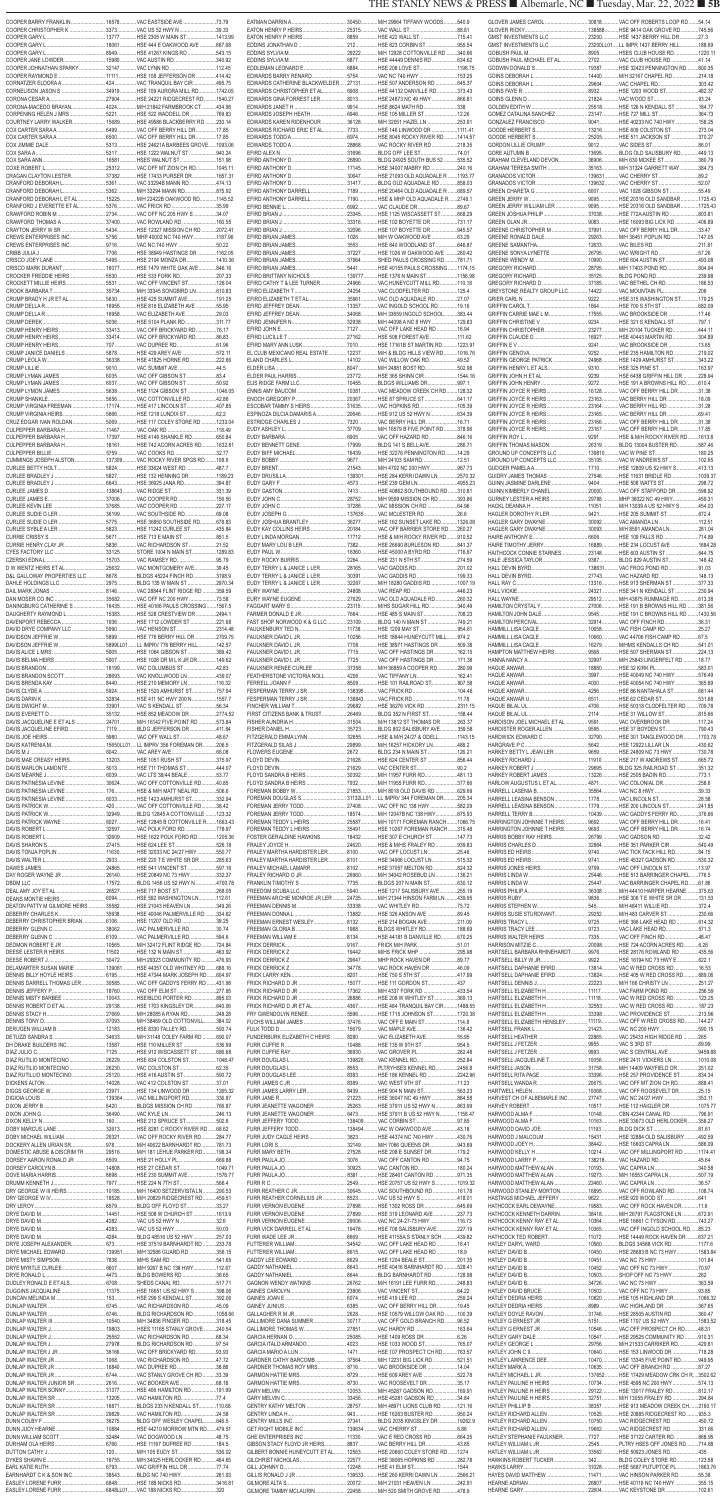## THE STANLY NEWS & PRESS  $\blacksquare$  Albemarle, NC  $\blacksquare$  Tuesday, Mar. 22, 2022  $\blacksquare$  5B

| COOPER BARRY FRANKLIN.<br>COOPER CHRISTOPHER K.<br>COOPER GARY L.<br>COOPER GARY L                 | 16578<br>VAC EASTSIDE AVE<br>.73.79<br>.39.33<br>.3373.<br>. VAC US 52 HWY N.<br>.13777.<br>.HSE 2305 W MAIN ST.<br>1413.99<br>HSE 444 E OAKWOOD AVE<br>667.68                            | 30450<br>EATMAN DARRIN A.<br>25315.<br>EATON HENRY P HEIRS.<br>6859.<br>.212<br>EDDINS JONATHAN D                                                 | M/H 29664 TIFFANY WOODS<br>.540.9<br>VAC WALL ST<br>88.81<br>.HSE 422 WALL ST<br>715.41<br>.HSE 823 CORBIN ST<br>955.54                                | <b>GLOVER JAMES CAROL</b><br>30818.<br>138588<br><b>GLOVER RICKY.</b><br><b>GMST INVESTMENTS LLC</b><br>.23200.<br>GMST INVESTMENTS LLC                      | VAC OFF ROBERTS LOOP RD<br>.54.14<br>.HSE 9414 OAK GROVE RD<br>745.56<br>.HSE 1437 BERRY HILL DR.<br>.27.3<br>23200LL01 LL IMPR 1437 BERRY HILL<br>188.69 |
|----------------------------------------------------------------------------------------------------|-------------------------------------------------------------------------------------------------------------------------------------------------------------------------------------------|---------------------------------------------------------------------------------------------------------------------------------------------------|--------------------------------------------------------------------------------------------------------------------------------------------------------|--------------------------------------------------------------------------------------------------------------------------------------------------------------|-----------------------------------------------------------------------------------------------------------------------------------------------------------|
| COOPER GARY L.<br>COOPER JANE LOWDER 15980.<br>COOPER JOHNATHAN SPARKY                             | 8949.<br>HSE 41267 KINGS RD<br>543.15<br>VAC AUSTIN RD<br>340.92<br>.32147.<br>VAC LYNN RD.<br>112.45                                                                                     | 29222.<br>EDDINS SYLVIA M<br>.6877.<br>EDDINS SYLVIA M<br>6884.<br>EDDLEMAN LEONARD E                                                             | .M/H 12928 COTTONVILLE RD.<br>340.66<br>HSE 44449 DENNIS RD.<br>634.62<br>.HSE 208 LOVE ST.<br>.1198.75                                                | 8905.<br><b>GOBUSH PAUL M</b><br>GOBUSH PAUL MICHAEL ET AL 2702<br>.19387.                                                                                   | .HSES CLUB HOUSE RD.<br>1220.11<br>VAC CLUB HOUSE RD.<br>.41.14<br>.800.35<br>.HSE 32423 PENNINGTON RD.,                                                  |
| COOPER RAYMOND E.<br>CORNELISON JASON S                                                            | .414.42<br>.11111<br>HSE 108 JEFFERSON DR<br>.424<br>VAC TRANQUIL BAY CIR<br>.495.75<br>34919.<br>.HSE 109 AURORA MILL RD.<br>.1742.05                                                    | 5754.<br>EDWARDS BARRY RENARD<br>27131<br>EDWARDS CATHERINE BLACKWELDER<br>EDWARDS CHRISTOPHER ET AL<br>6908.                                     | VAC NC 740 HWY<br>153.25<br>645.37<br>.HSE 507 ANDERSON RD<br>HSE 44132 DANVILLE RD<br>373.43                                                          | .14400.<br>.29604.<br>.8932.                                                                                                                                 | M/H 32167 CHAPEL RD.<br>.214.18<br>.303.42<br>VAC CHAPEL RD<br>.HSE 1203 WOOD ST<br>.482.37                                                               |
| CORONA CESAR A.<br>CORONA-MACEDO BRAYAN<br><b>CORPENING HELEN J MRS</b><br>COURTNEY LARRY WALKER   | .27904.<br>HSE 24221 RIDGECREST RD.<br>1540.27<br>.4024.<br>.M/H 21842 FARMBROOK CT.<br>434.98<br>5221.<br>.HSE 522 WADDELL DR<br>.769.83<br>15689<br>.230.14<br>.HSE 49586 BLACKBERRY RD | EDWARDS GINA FORREST LER<br>8013.<br>EDWARDS JANET H<br>9914.<br>6946.<br>EDWARDS JOSEPH HEATH<br>36128.<br>EDWARDS KAREN RIDENHOUR               | 866.81<br>.HSE 24873 NC 49 HWY.<br>.HSE 8624 MATH RD.<br>.338<br>.HSE 105 MILLER ST.<br>.12.26<br>.253.91<br>M/H 32051 HAZEL LN.                       | 21824.<br><b>GOLDEN EDITH W </b><br>25518.<br>GOMEZ CATALINA SANCHEZ<br>.23147.<br>GONZALEZ FRANCISCO<br>.9041.                                              | VAC WOOD ST<br>.93.24<br>.HSE 126 N KENDALL ST<br>184.77<br>HSE 727 MILL ST<br>.364.73<br>.158.25<br>.HSE 40233 NC 740 HWY                                |
| COX CARTER SARA A                                                                                  | 6499<br>. VAC OFF BERRY HILL DR.<br>17.85<br>6500.<br>VAC OFF BERRY HILL DR.<br>.17.85<br>.5313.<br>.HSE 24621A BARBEES GROVE1093.06                                                      | EDWARDS RICHARD ERIC ET AL<br>.7733.<br>6974.<br>28868                                                                                            | .HSE 146 LINWOOD DR.<br>.1111.41<br>.HSE 8045 ROCKY RIVER RD.<br>1414.57<br>VAC ROCKY RIVER RD.<br>218.35                                              | .13216.<br>.25205.<br>GORDON LILLIE CRUMP<br>.9012                                                                                                           | .HSE 609 COLSTON ST<br>.273.04<br>.HSE 511 JACKSON ST<br>370.27<br>. VAC SIDES ST.<br>.86.01                                                              |
| COX SARA ANN                                                                                       | .5317<br>HSE 1222 WALNUT ST<br>.940.24<br>.16581<br>HSES WALNUT ST.<br>.151.98<br>.25312.<br>1045.11<br>VAC OFF MT ZION CH RD                                                             | .31696.<br>26890<br>17145.                                                                                                                        | BLDG OFF LEE ST<br>.74.01<br>BLDG 24925 SOUTH BUS 52<br>.535.52<br>.HSE 34007 MABRY RD.<br>240.16                                                      | GRAHAM CLEVELAND DEVON<br>36906.<br>GRAHAM TERESA SMITH<br>.35163.                                                                                           | .BLDG OLD SALISBURY RD<br>.449.13<br>.M/H 630 MCKEE ST<br>.380.79<br>.384.73<br>M/H 31324 GARRETT WAY                                                     |
| CRAGAN CLAYTON LESTER<br>CRANFORD DEBORAH L<br>CRANFORD DEBORAH L<br>CRANFORD DEBORAH L ET AL      | 37382<br>HSE 17433 PURSER DR.<br>.1657.31<br>.5361.<br>VAC 33294B MANN RD.<br>.474.13<br>.5362.<br>M/H 33294 MANN RD<br>875.92<br>.15225.<br>M/H 22422B OAKWOOD RD<br>1145.52             | .30647.<br>EFIRD ANTHONY D<br>.31417.<br>EFIRD ANTHONY D<br>EFIRD ANTHONY DARRELL 7189<br>EFIRD ANTHONY DARRELL<br>.7190.                         | 1193.77<br>.HSE 21093 OLD AQUADALE R.<br>.BLDG OLD AQUADALE RD<br>.858.03<br>HSE 20464 OLD AQUADALE R.<br>689.57<br>HSE & MHP OLD AQUADALE R<br>2748.1 | 139631.<br>.139632.<br>.6007.<br><b>GREEN JERRY W</b><br>.9095.                                                                                              | .89.2<br>VAC CHERRY ST.<br>VAC CHERRY ST<br>.52.07<br>.55.49<br>VAC 1028 GIBSON ST<br>.HSE 20316 OLD SANDBAR<br>1725.43                                   |
| CRANFORD J EVERETTE ET AL<br><b>CRAWFORD ROBIN M</b><br>CRAWFORD THOMAS A.                         | .5376.<br>VAC FRICK RD.<br>.35.99<br>.2734.<br>34.07<br>. VAC OFF NC 205 HWY S<br>.37400.<br>.160.55<br>VAC ROWLAND RD.                                                                   | .6992.<br>EFIRD BENNIE L<br>23345.<br>EFIRD BRIAN J.<br>33316.<br>EFIRD BRIAN J                                                                   | VAC CLAUDE DR.<br>.89.67<br>.HSE 1125 WISCASSETT ST.<br>668.29<br>HSE 102 BOYETTE DR.<br>731.17                                                        | GREEN JERRY WILLIAM LER<br>.9095.<br>GREEN JOSHUA PHILIP<br>37038.<br>.9083.<br>GREEN OLAN JR.                                                               | .HSE 20316 OLD SANDBAR<br>1725.43<br>.803.81<br>.HSE 772A AUSTIN RD.<br>.HSE 16093 BIG LICK RD.<br>.406.89                                                |
| CRAYTON JERRY W SR.<br><b>CREWS ENTERPRISES INC</b><br>CREWS ENTERPRISES INC<br>CRIBB JULIA J.     | 5434.<br>.HSE 12327 MISSION CH RD<br>2072.41<br>.5756.<br>.MHP 40002 NC 740 HWY<br>1187.96<br>.9716.<br>.50.22<br>VAC NC 740 HWY<br>.7706.<br>.1162.05<br>.HSE 38949 HASTINGS DR          | 32096.<br>EFIRD BRIAN J.<br>EFIRD BRIAN JAMES<br>.1026.<br>EFIRD BRIAN JAMES<br>.3553.<br>37227<br>EFIRD BRIAN JAMES.                             | HSE 107 BOYETTE DR<br>945.57<br>.M/H W OAKWOOD AVE<br>63.29<br>HSE 840 WOODLAND ST<br>646.87<br>.HSE 1026 W OAKWOOD AVE<br>.260.42                     | GREENE CHRISTOPHER M<br>.37991.<br><b>GREENE RONALD DALE</b><br>29263.<br><b>GREENE SAMANTHA</b><br>12633.<br>GREENE SONYA LYNETTE<br>26795.                 | . VAC OFF BERRY HILL DR<br>.33.47<br>.M/H 36451 POPLIN RD<br>147.05<br>. VAC BILES RD<br>.211.81<br>. VAC WRIGHT RD.<br>.57.26                            |
| CROCKER FREDDIE HEIRS                                                                              | .5495.<br>.HSE 2104 MONZA DR.<br>1410.36<br>.16077.<br>HSE 1479 WHITE OAK AVE<br>.846.16<br>.5530.<br>.HSE 533 FORK RD.<br>207.33                                                         | 37964<br>EFIRD BRIAN JAMES.<br>.5441.<br>EFIRD BRIAN JAMES.<br>.139777.<br>EFIRD BRITTANY NICHOLS                                                 | . SHED PAULS CROSSING RD.<br>.781.71<br>.HSE 40155 PAULS CROSSING.<br>1174.15<br>HSE 1376 N MAIN ST.<br>.1156.98                                       | 10990.<br>.28795.<br>.35125.                                                                                                                                 | .HSE 604 AUSTIN ST<br>493.08<br>804.94<br>.M/H 17403 POND RD<br>.BLDG POND RD<br>239.98                                                                   |
| CROCKETT MILLIE HEIRS<br>CROOK BARBARA T<br>CRUMP BRADY H JR ET AL                                 | .5531.<br>VAC OFF VINCENT ST<br>126.04<br>35734.<br>M/H 33345 SONGBIRD LN.<br>610.83<br>.5630.<br>HSE 425 SUMMIT AVE<br>191.25                                                            | EFIRD CATHY T & LEE TURNER<br>24966.<br>EFIRD ELIZABETH T<br>.24254.<br>.35961.<br>EFIRD ELIZABETH T ET AL                                        | VAC HUNEYCUTT MILL RD<br>.110.18<br>VAC CLODFELTER RD<br>.125.4<br>VAC OLD AQUADALE RD.<br>27.07                                                       | 37185.<br>GREGORY RICHARD D<br>GREYSTONE REALTY GROUP LLC<br>.14422.<br>.9222.<br><b>GRIER CARL N</b>                                                        | VAC BETHEL CH RD<br>186.53<br>. VAC MOUNTAIN PL.<br>.206<br>179.25<br>. HSE 315 WASHINGTON ST                                                             |
| CRUMP DELLA R.<br>CRUMP DELLA R.,<br><b>CRUMP DEREK</b>                                            | .16955.<br>HSE 816 ELIZABETH AVE.<br>.55.95<br>.16958.<br>VAC ELIZABETH AVE<br>.29.03<br>.5036.<br>HSE 5104 PLANK RD.<br>311.77<br>33413.<br>VAC OFF BRICKYARD RD<br>.76.17               | .13357.<br>.34068.<br>.32938.<br>.7127.                                                                                                           | VAC INGOLD SCHOOL RD<br>19.16<br>M/H 33659 INGOLD SCHOOL<br>383.44<br>129.83<br>M/H 44098 A NC 8 HWY.<br>16.94<br>VAC OFF LAKE HEAD RD                 | <b>GRIFFIN CAROL T</b><br>.1664.<br>GRIFFIN CARRIE MAE L M<br>17555.<br>9234<br>GRIFFIN CHRISTOPHER<br>.23277.                                               | .682.09<br>.HSE 700 S 5TH ST<br>. VAC BROOKSIDE DR.<br>.17.46<br>.HSE 321 S KENDALL ST<br>.797.1<br>. M/H 20104 TUCKER RD<br>.444.11                      |
| CRUMP HENRY HEIRS.<br>CRUMP JANICE DANIELS                                                         | 33414  VAC OFF BRICKYARD RD<br>86.83<br>.707<br>VAC DUPREE RD.<br>61.96<br>.5878.<br>572.11<br>.HSE 429 AREY AVE.                                                                         | .27162.<br>7010.<br>EFIRD MARY ANN LUSK<br>EL CLUB MEXICANO REAL ESTATE<br>.12237.                                                                | HSE 508 FOREST AVE.<br>111.62<br>HSE 17161B ST MARTIN RD<br>.1223.91<br>M/H & BLDG HILLS VIEW RD<br>1016.76                                            | .9241.<br>.9252.                                                                                                                                             | .HSE 40443 MARTIN RD<br>304.89<br>. VAC BROOKSIDE DR.<br>.13.65<br>.HSE 235 HAMILTON RD.,<br>219.02                                                       |
| CRUMP LEOLA W<br>CRUMP LILLIE.<br>CRUMP LYMAN JAMES<br><b>CRUMP LYMAN JAMES.</b>                   | .36338.<br>.222.66<br>HSE 41825 HORNE RD<br>.9010.<br>VAC SUMMIT AVE.<br>.44.5<br>.6035.<br>VAC OFF GIBSON ST.<br>83.4<br>.6037.<br>VAC OFF GIBSON ST<br>.50.92                           | .14102.<br>ELAND CHARLES L.<br>.8047.<br>ELDER LISA<br>.23772.<br>10455.                                                                          | VAC WILLOW OAK RD.<br>.49.52<br>.M/H 24881 BOST RD.<br>.502.98<br>HSE 365 SHINN CIR.<br>1544.16<br><b>BLDGS WILLIAMS DR.</b><br>.997.1                 | GRIFFIN GEORGE PATRICK<br>24968.<br><b>GRIFFIN HENRY L ET ALS</b><br>.9310.<br>.9239.<br><b>GRIFFIN JOHN H ET AL </b><br><b>GRIFFIN JOHN HENRY</b><br>.9272. | .HSE 1429 AMHURST ST<br>343.22<br>.HSE 325 PINE ST.<br>.163.97<br>.HSE 6438 GRIFFIN HILL DR<br>228.94<br>.HSE 191 A BROWNS HILL RD.,<br>.610.4            |
| CRUMP LYMON JAMES.<br><b>CRUMP SHANKLE.</b><br>CRUMP VIRGINIA FREEMAN                              | .5638.<br>1046.05<br>HSE 1124 GIBSON ST<br>.5656.<br>.42.86<br>VAC COTTONVILLE RD.<br>.17174.<br>HSE 417 LINCOLN ST.<br>.407.85                                                           | .10381.<br>ENNIS AMY BAUCOM<br>20367.<br><b>ENOCH GREGORY P</b><br>.31635.<br>ESCOBAR TAMMY S HEIRS                                               | VAC MEADOW CREEK CH RD<br>128.32<br>.HSE 87 SPRUCE ST.<br>641.17<br>VAC HOPKINS RD.<br>.105.39                                                         | 16128.<br><b>GRIFFIN JOYCE R HEIRS</b><br>23163.<br><b>GRIFFIN JOYCE R HEIRS.</b><br>23164.<br><b>GRIFFIN JOYCE R HEIRS.</b>                                 | VAC OFF BERRY HILL DR<br>.31.38<br>VAC BERRY HILL DR<br>.18.09<br>.31.28<br>VAC BERRY HILL RD                                                             |
| CRUMP VIRGINIA HEIRS<br>CRUZ EDGAR IVAN ROLDAN<br>CULPEPPER BARBARA H.                             | .5666.<br>HSE 1218 LUNDIX ST<br>.62.2<br>.5069.<br>.HSE 117 COLEY STORE RD.<br>.1233.04<br>VAC OAK RD.<br>118.49                                                                          | .20646.<br>ESPINOZA DILCIA DAMARIS A<br>.7320.<br>.37709.                                                                                         | HSE 912 US 52 HWY N<br>634.39<br>VAC BERRY HILL DR.<br>16.71<br>M/H 16579 B FIVE POINT RD.<br>378.96                                                   | .23165.<br><b>GRIFFIN JOYCE R HEIRS.</b><br><b>GRIFFIN JOYCE R HEIRS.</b><br>23166.<br>.23167<br><b>GRIFFIN JOYCE R HEIRS</b>                                | .69.41<br>VAC BERRY HILL DR<br>VAC OFF BERRY HILL DR<br>.31.38<br>VAC OFF BERRY HILL DR<br>17.85                                                          |
| CULPEPPER BARBARA H.<br>$\frac{1}{2}$ 18161<br>CULPEPPER BARBARA H.,<br><b>CULPEPPER BILLIE.</b>   | 17397.<br>.HSE 4146 SHANKLE RD.<br>.650.84<br>HSE 742 ACORN ACRES RD<br>.1632.81<br>.5759.<br>VAC COOKS RD<br>.32.77<br>137309.<br>VAC ROCKY RIVER SPGS RD 108.6                          | 6905.<br>16439.<br>EUDY BIFF MICHAEL.<br>EUDY BOBBY.<br>.9677                                                                                     | VAC OFF HAZARD RD<br>.846.16<br>286.71<br>BLDG 141 S BELL AVE<br>HSE 32276 PENNINGTON RD.<br>.14.29<br>M/H 24103 SAM RD<br>.12.51                      | .9291<br><b>GRIFFIN ROY L.</b><br>26319.<br><b>GRIFFIN THOMAS MASON</b><br>139810<br><b>GROUND UP CONCEPTS LLC</b><br>GROUND UP CONCEPTS LLC.<br>.35105.     | .HSE & M/H ROCKY RIVER RD<br>1613.8<br>.BLDG 13004 BUSTER RD.,<br>.587.46<br>VAC W PINE ST<br>180.25<br>VAC W ANDREWS ST<br>.102.65                       |
| CUMMINGS JOSEPH ALSTON<br><b>CURLEE BETTY HOL'</b><br><b>CURLEE BRADLEY J</b>                      | 5824<br>HSE 33624 WEST RD<br>487.7<br>5827.<br>1189.23<br>.HSE 132 HENNING DR.<br>.6643.<br>.HSE 36925 JANA RD<br>394.87                                                                  | <b>EUDY BRENT</b><br>21543<br>139301<br>EUDY DRUSILLA.<br>.4573.                                                                                  | M/H 4702 NC 200 HWY<br>967.73<br>.HSE 284 KERRI DAWN LN.<br>.2570.32<br>.4955.23<br>.HSE 239 GEM LN.                                                   | 1710.<br><b>GUDGER PAMELA A</b><br>27546<br><b>GUIDRY JAMES THOMAS</b><br>GUINN JASMINE DARLENE.<br>.9404.                                                   | .HSE 12809 US 52 HWY S.<br>.413.13<br>.HSE 11631 BRIDLE RD<br>.1039.37<br>.HSE 508 WATTS ST<br>298.72                                                     |
| CURLEE JAMES D.<br><b>CURLEE JAMES E</b>                                                           | 138643.<br>VAC RIDGE ST<br>331.39<br>.37006.<br>VAC COOPER RD.<br>156.56<br>VAC COOPER RD.<br>.227.17                                                                                     | 28752.<br>EUDY JOHN C<br>EUDY JOHN C                                                                                                              | .HSE 40862 SOUTHBOUND RD.<br>310.81<br>.M/H 9599 MISSION CH RD.<br>.393.86<br>VAC MISSION CH RD.<br>64.96                                              | <b>GUINN KIMBERLY CHANEL.</b><br>20000.<br>29788.<br><b>GURNEY LESTER A HEIRS</b><br>11051.                                                                  | .598.92<br>VAC OFF STAFFORD DR<br>MHP 36022 NC 49 HWY<br>.459.31<br>.M/H 13039 A US 52 HWY S<br>454.03                                                    |
| <b>CURRIE CRISSY S.</b>                                                                            | .36199.<br>VAC SOUTHSIDE RD<br>69.08<br>.5775<br>HSE 36850 SOUTHSIDE RD<br>678.83<br>5823.<br>.435.84<br>.HSE 11242 CURLEE ST.<br>.5671.<br>HSE 713 E MAIN ST<br>.851.5                   | 137635.<br>EUDY JOSHUA BRANTLEY<br>.36277.<br>EUDY KAY COLLINS HEIRS<br>20184.                                                                    | VAC MCLESTER RD.<br>.26.6<br>HSE 162 SUNSET LAKE RD<br>1326.08<br>. VAC OFF BARRIER STORE RD<br>260.27<br>HSE & M/H ROCKY RIVER RD.<br>.910.52         | HAGLER DOROTHY R LER<br>.9421.<br>HAGLER GARY DWAYNE<br>.30092.<br>30093.<br>.6606.<br>HAIRE ANTHONY E                                                       | .HSE 205 SUMMIT ST<br>672.4<br>VAC AMANDA LN<br>.112.51<br>. M/H 8591 AMANDA LN.<br>281.04<br>714.89<br>.HSE 109 FALLS RD                                 |
| <b>CURRIE HENRY CLAY JR</b><br>CZERSKI EDNA L                                                      | 5836.<br>.21.52<br>VAC RICHARDSON ST<br>33125.<br>. STORE 1004 N MAIN ST<br>1289.83<br>.15703.<br>VAC RAMSEY RD.<br>95.79                                                                 | .7382.<br>.16360.<br>.2264.                                                                                                                       | .HSE 26690 BURLESON RD.<br>841.37<br>HSE 45000 A BYRD RD.<br>716.67<br>HSE 231 N 5TH ST<br>274.59                                                      | HAIRE TIMOTHY JERRY<br>.16889.<br>HAITHCOCK CONNIE STARNES<br>23148.<br>.9387.                                                                               | .HSE 234 LOCUST AVE<br>1684.28<br>HSE 603 AUSTIN ST<br>644.75<br>.BLDG 829 AUSTIN ST<br>148.42                                                            |
| D W WENTZ HEIRS ET AL<br>D&L GALLOWAY PROPERTIES LLC<br>DAHLE HOLDINGS LLC<br>DAIL MARK JONAS.     | 25632.<br>VAC MONTGOMERY AVE<br>.39.45<br>.3198.9<br>.8678.<br>.BLDGS 45224 FINCH RD.<br>2975.<br>. BLDG 135 W MAIN ST.<br>.2970.34<br>.8146.<br>VAC 28844 FLINT RIDGE RD<br>359.59       | EUDY TERRY L & JANICE L LER<br>28165.<br>.30391.<br>EUDY TERRY L & JANICE L LER<br>32267<br>EUDY TERRY L & JANICE L LER<br>24808.<br>EURY WAYNE   | VAC GADDIS RD.<br>201.02<br>VAC GADDIS RD.<br>199.33<br>.M/H 18280 GADDIS RD.<br>.1007.19<br>VAC REAP RD.<br>.446.23                                   | 138631.<br>.27743.<br>13316.<br>. 24321.                                                                                                                     | VAC FROG POND RD<br>.91.03<br>VAC HAZARD RD<br>148.13<br>.HSE 913 SHERMAN ST<br>.377.33<br>.230.94<br>.HSE 341 N KENDALL ST                               |
| DAN MOSER CO INC.<br>DANINGBURG CATHERINE S<br>DAUGHERTY RAYMOND L                                 | 35682<br>VAC OFF NC 200 HWY.<br>73.58<br>.16435.<br>.HSE 40166 PAULS CROSSING.<br>1567.5<br>.15383.<br>HSE 528 CRESTVIEW DR<br>2494.1                                                     | 27629.<br>.23115.<br>.7664.                                                                                                                       | VAC OLD AQUADALE RD.<br>260.32<br>M/HS SUGAR HILL RD.<br>.340.49<br>HSE 485 S MAIN ST<br>708.23                                                        | <b>HALL WAYNE</b><br>.29512.<br>HAMILTON CRYSTAL Y<br>27006.<br>HAMILTON JOHN DALE<br>.9545.                                                                 | M/H 43675 RUMMAGE RD<br>.613.38<br>HSE 191 B BROWNS HILL RD<br>.381.56<br>HSE 191 C BROWNS HILL RD.<br>1430.56                                            |
| DAVENPORT REBECCA.<br>DAVID DRYE COMPANY LLC<br>DAVIDSON JEFFRIE W.                                | .1936.<br>.221.68<br>.HSE 1712 LOWDER ST<br>.5990<br>VAC HENSON ST.<br>2314.48<br>5899.<br>2709.75<br>.HSE 776 BERRY HILL DR.                                                             | FAST SHOP NORWOOD K & G LLC<br>23109.<br>.11738.<br>FAULKENBURY TED N                                                                             | .BLDG 140 N MAIN ST.<br>.749.21<br>HSE 1209 MAY ST<br>.954.61<br>HSE 18844 HUNEYCUTT MILL<br>.974.2                                                    | HAMILTON PERCIVAL<br>.32914.                                                                                                                                 | VAC OFF FINCH RD<br>.36.31<br>VAC FISH CAMP RD.<br>.25.27<br>.67.5<br>VAC 44706 FISH CAMP RD                                                              |
| DAVIS ALICE L MRS.<br>DAVIS BRANDON.                                                               | .5899LL01.<br>LL IMPRV 776 BERRY HILL<br>.142.57<br>.5905<br>HSE 1064 GIBSON ST<br>389.42<br>.5907<br>.HSE 1026 DR M L K JR DR<br>149.62<br>.42.83<br>VAC COLUMBUS ST                     | .7708.<br>FAULKNER DAVID L JR<br>FAULKNER DAVID L JR<br>.7725.<br>37358.<br>FAULKNER RENEE CURLEE                                                 | .509.38<br>HSE 38971 HASTINGS DR<br>VAC OFF HASTINGS DR<br>162.15<br>VAC OFF HASTINGS DR<br>.171.38<br>M/H 36859 A COOPER RD.<br>280.99                | . 16279.<br>HAMMILL LISA CAGLE<br>HAMPTON MATTHEW HEIRS 9568<br>32997.<br>18880.                                                                             | 541.01<br>. M/HMS KENDALLS CH RD.<br>.HSE 507 SHERMAN ST<br>224.13<br>. M/H 25843 LINGERFELT RD<br>.18.77<br>.583.01<br>.HSE 32 KIRK PL.                  |
| DAVIS BRANDON SCOTT                                                                                | .28693.<br>.439.07<br>VAC KNOLLWOOD LN.<br>.8440<br>116.32<br>HSE 210 MEMORY LN<br>.5924.<br>HSE 1520 AMHURST ST<br>757.94                                                                | FEATHERSTONE VICTORIA NOLL<br>.4206.<br>.8509.<br>FERRELL JOANN F<br>FESPERMAN TERRY J SR  138395.                                                | .162.41<br>VAC TIFFANY LN.<br>.HSE 101 RAILROAD ST.<br>807.58<br>VAC FRICK RD<br>104.46                                                                | .3997.<br>.4000.<br>.4256.                                                                                                                                   | .HSE 40049 NC 740 HWY<br>576.49<br>.HSE 40054 NC 740 HWY<br>.365.89<br>.HSE 86 NANTAHALA ST<br>681.44                                                     |
| DAVIS DARIN K<br>DAVIS DWIGHT M<br>DAVIS EVERETT D.                                                | .32834.<br>.HSE 411 NC HWY 200 N<br>.1557.7<br>.33901<br>VAC S KENDALL ST<br>56.34<br>35132.<br>HSE 852 MEADOW DR<br>.2774.52                                                             | FESPERMAN TERRY J SR<br>.29682.<br>26469.<br>FIRST CITIZENS BANK & TRUST                                                                          | .138843.<br>VAC FRICK RD.<br>.11.78<br>HSE 36276 VICK RD<br>2311.15<br>.158.44<br>.BLDG 352 N FIRST ST.                                                | .6511.<br>.4706.<br>.2114.<br>HAQUE BILAL UL.                                                                                                                | .HSE 62 CEDAR ST<br>.531.68<br>HSE 50318 CLODFELTER RD<br>709.78<br>.HSE 31 WILLOW ST.,<br>.815.66                                                        |
| DAVIS JACQUELINE E ET ALS<br>DAVIS JOE HEIRS.<br>DAVIS KATRENIA M.                                 | .24701.<br>573.84<br>M/H 16142 FIVE POINT RD.<br>BLDG JEFFERSON DR.<br>.411.84<br>.5980.<br>VAC OFF WALL ST.<br>.48.67<br>206.5                                                           | FISHER AUNDRIA H.<br>.31504.<br>.35723.<br>FISHER DANIEL H<br>FITZGERALD EMMA LYNN<br>32655.<br>.29899.                                           | M/H 13812 ST THOMAS DR<br>.263.37<br>.359.58<br>BLDG 802 SALISBURY AVE.<br>HSE & M/H 24/27 & ODELL<br>.1143.15<br>.488.2<br>M/H 16257 HICKORY LN.      | .9591.<br>HARDISON JOEL MICHAEL ET AL<br>HARDISTER ROGER ALLEN<br>.9595.<br>HARDWICK EDWARD C<br>32790.<br>.5642.<br>HARGRAVE P C                            | .117.24<br>.VAC OVERBROOK DR<br>.HSE 37 BOYDEN ST<br>790.43<br>.HSE 301 TANGLEWOOD DR<br>1703.78<br>.HSE 12922 LILLAR LN<br>.430.62                       |
| DAVIS M J.<br>DAVIS MAE CREASY HEIRS<br>DAVIS MARLON LAMONTE                                       | .6042.<br>VAC AREY AVE<br>.66.08<br>.13203.<br>.375.97<br>HSE 1051 RUSH ST<br>.5013.<br>.444.07<br>HSE 711 THOMAS ST.                                                                     | .2672.<br>.21629.                                                                                                                                 | .BLDG 234 N MAIN ST.<br>126.21<br>.856.44<br>.HSE 624 CENTER ST<br>VAC CENTER ST<br>.90.2                                                              | HARKEY BETTY L JEAN LER<br>.9659.<br>.11910.<br>29695.                                                                                                       | .HSE 24809 NC 73 HWY<br>730.78<br>HSE 217 W ANDREWS ST<br>.665.72<br>.BLDG 325 RAILROAD ST<br>351.32                                                      |
| DAVIS MEARNE J.<br>DAVIS PATINESIA LEVINE<br>DAVIS PATINESIA LEVINE  176<br>DAVIS PATINESIA LEVINE | 6039.<br>VAC LTS 38/44 BEALE<br>.53.77<br>.30624.<br>VAC OFF COTTONVILLE RD.<br>.40.85<br>HSE & M/H MATT NEAL RD.<br>.506.6                                                               | FLOYD SANDRA B HEIRS<br>30392.<br>FLOYD SANDRA B HEIRS  7932<br>.21853.                                                                           | M/H 11957 FURR RD<br>.481.13<br>M/H 11955 FURR RD<br>377.66<br>.M/H 8018 OLD DAVIS RD.<br>629.69                                                       | .13226.<br>HARKEY ROBERT JAMES<br>HARLOW AUGUSTUS L ET AL<br>.4871<br><b>HARRELL LASENIA B</b><br>.35564.                                                    | .773.1<br>.HSE 2505 BADIN RD<br>VAC COLONIAL DR<br>258.6<br>. VAC NC 8 HWY<br>.39.33                                                                      |
| <b>DAVIS PATRICK W</b><br>DAVIS PATRICK W                                                          | 6033<br>HSE 1423 AMHURST ST<br>.332.94<br>.420.<br>.38.42<br>VAC OFF COTTONVILLE RD.<br>32949.<br>. BLDG 12845 A COTTONVILLE.<br>.123.32<br>.6027.<br>HSE 12845 B COTTONVILLE R1663.43    | 27408.<br>FOREMAN JERRY TODD<br>FOREMAN JERRY TODD<br>25587.<br>FOREMAN TEDDY L HEIRS                                                             | 205.34<br>.582.29<br>VAC OFF NC 138 HWY<br>.18574<br>M/H 12047B NC 138 HWY<br>.675.93<br>.M/H 10171 FOREMAN RANCH<br>1066.75                           | HARRELL LEASINA BENSON  1778<br>.1779.<br>HARRELL LEASINA BENSON<br>10439.<br>HARRINGTON JOHNNIE THEIRS<br>9692.                                             | VAC LINCOLN ST<br>28.58<br>241.85<br>.HSE 200 LINCOLN ST<br>VAC GADDYS FERRY RD<br>.376.66<br>VAC OFF BERRY HILL DR.<br>.16.41                            |
| DAVIS ROBERT L.<br>DAVIS SHARON S.                                                                 | .32597.<br>VAC POLK FORD RD.<br>778.97<br>32609.<br>HSE 1622 POLK FORD RD<br>1205.36<br>.27415.<br>HSE 624 LEE ST.<br>.526.18                                                             | FOREMAN TEDDY L HEIRS<br>35491.<br>FOSTER GERALDINE HAWKINS<br>18432.<br>24620.<br>FRALEY JOYCE H                                                 | HSE 10267 FOREMAN RANCH.<br>315.48<br>HSE 307 E CHURCH ST.<br>147.73<br>HSE & M/HS FRALEY RD<br>.939.83                                                | HARRINGTON JOHNNIE T HEIRS<br>.9693.<br>HARRIS BOBBY RAY HEIRS<br>.26799.<br><b>HARRIS CHARLES D </b><br>.32864.                                             | VAC OFF BERRY HILL DR<br>.16.74<br>VAC GADSON RD.<br>.32.42<br>.HSE 351 PARKER CIR<br>540.49                                                              |
| DAVIS WALTER L.<br>DAWES JAMES.<br>DAY ROGER WAYNE JR  26140.                                      | HSE 32033 NC 24/27 HWY<br>.550.77<br>2933.<br>.285.63<br>HSE 220 T E WHITE SR DR<br>.24865.<br>HSE 541 VINCENT ST.<br>.597.16<br>.332.37<br>HSE 20849 NC 73 HWY                           | FRALEY MARTHA HARDISTER LER<br>.8100.<br>FRALEY MARTHA HARDISTER LER.<br>.8101.<br>8102.<br>FRALEY MICHAEL LAMARR<br>FRALEY RICHARD O JR<br>26960 | VAC OFF LOCUST LN.<br>.25.46<br>515.32<br>.HSE 34906 LOCUST LN.<br>.824.32<br>.HSE 37057 MELTON RD.<br>.136.21<br>M/H 34042 ROSEBUD LN.                | .9740.<br>HARRIS ED HEIRS<br>.9741.<br>HARRIS JONES HEIRS<br>.9799.<br>25446.                                                                                | VAC TICK TACK HILL RD<br>.84.15<br>.HSE 45327 GADSON RD.<br>.530.32<br>VAC OFF LINCOLN ST<br>.13.97<br>HSE 513 BARRINGER CHAPEL<br>776.5                  |
| DBDM LLC.<br><b>DEANS MONTIE HEIRS</b>                                                             | .17572.<br>.BLDG 1456 US 52 HWY N<br>4700.78<br>.26527.<br>HSE 717 BOST ST<br>268.05<br>6094.<br>.HSE 592 WASHINGTON LN.<br>.112.61                                                       | FRANKLIN TIMOTHY S<br>.7735.<br>.5940.<br>FREEDOM SCUBA LLC<br>FREEMAN ARCHIE MONROE JR LER<br>24735.                                             | 630.12<br>.BLDGS 207 N MAIN ST.<br>.HSE 1217 SALISBURY AVE.<br>.255.19<br>.M/H 21344 HINSON FARM LN.<br>.439.95                                        | .25447.<br>.9836.                                                                                                                                            | . VAC BARRINGER CHAPEL RD.<br>61.86<br>M/H 44410 HARPER HEARNE<br>.375.63<br>.HSE 306 T E WHITE SR DR<br>131.53                                           |
| DEATON PATTY M GILMORE HEIRS.<br><b>DEBERRY CHARLES</b><br>DEBERRY CHRISTOPHER BRIAN               | 35582.<br>HSE 21043 HEAVEN LN<br>349.26<br>HSE 40046 PALMERVILLE RD<br>.39.25<br>6106.<br>HSE 11207 OLD RD.                                                                               | FREEMAN DENNIS M<br>.33338.<br>FREEMAN DONNA L<br>13882<br>FREEMAN ERNEST WESLEY<br>8132.                                                         | VAC WHITLEY RD.<br>.75.72<br>HSE 326 ANSON AVE<br>89.45<br>.211.09<br>HSE 214 BOGAN AVE.                                                               | .545<br>HARRIS SUSIE STURDIVANT<br>29252<br>9725.<br>HARRIS TRACY L.                                                                                         | .M/H 48411 WILLIE RD<br>.372.4<br>M/H 483 CARVER ST<br>.230.66<br>.HSE 366 LAKE HEAD RD<br>614.32                                                         |
| DEBERRY GLENN C.<br>DEBERRY GLENN C                                                                | 38062<br>VAC PALMERVILLE RD<br>30.74<br>.6109.<br>VAC PALMERVILLE RD.<br>.594.6<br>.10565.<br>.M/H 32412 FLINT RIDGE RD<br>724.84<br>.11502.<br>HSE 132 N MAIN ST<br>.463.92              | .8134.<br><b>FREEMAN WILLIAM E</b><br>.19442.                                                                                                     | 188.69<br>. BLDGS WHITLEY RD.<br>.HSE 44181 B DANVILLE RD.,<br>670.25<br>FRICK M/H PARK.<br>51.01<br>M/HS FRICK MHP<br>.295.98                         | .9723.<br>HARRIS WALTER HEIRS<br>.7335.<br>20098.<br>HARTSELL BARBARA RHINEHARDT.<br>9976.                                                                   | VAC LAKE HEAD RD<br>571.3<br>. VAC OFF FINCH RD<br>.48.47<br>HSE 724 ACORN ACRES RD<br>.6.26<br>.435.56<br>.HSE 28176 ROWLAND RD.                         |
| DEESE ROBERT J.<br>DELAMARTER SUSAN MARIE.<br>DENNIS BILLY HOYLE HEIRS                             | 30472.<br>M/H 29323 COMMUNITY RD<br>.476.93<br>.139061<br>.HSE 44357 OLD WHITNEY RD<br>688.16<br>6195.<br>.HSE 47344 MARK JOSEPH RD<br>.604.97                                            | .29647.<br>34778.<br>.8201<br>FRICK LARRY KEN                                                                                                     | .MHP ROCK HAVEN DR<br>89.77<br>VAC ROCK HAVEN DR.<br>46.09<br>.HSE 750 S 5TH ST.<br>.417.99                                                            | HARTSELL BILLY W JR<br>9922.<br>HARTSELL DAPHANIE EFIRD<br>.13814.<br>HARTSELL DAPHANIE EFIRD.<br>.13824.                                                    | .622.1<br>.HSE 16194 NC 73 HWY E.<br>VAC W RED CROSS RD<br>16.53<br>.HSE 405 W RED CROSS RD<br>.689.06                                                    |
| DENNIS DARRELL THOMAS LER<br>DENNIS JEFFERY P.<br><b>DENNIS MISTY BARBEE</b>                       | 30585<br>. VAC OFF GADDYS FERRY RD.<br>.431.98<br>18760<br>. VAC OFF ELM ST.<br>.277.95<br>.10043.<br>.HSE/BLDG PORTER RD.<br>.895.03                                                     | .17362.<br>.26886.                                                                                                                                | .HSE 111 GORDON ST.<br>.437<br>.433.54<br>.M/H 4337 FORK RD<br>.HSE 208 W WHITLEY ST.<br>.369.13                                                       | HARTSELL DENNIS J<br>22223.<br>HARTSELL ELIZABETH H<br>.11117.<br>.11118.<br>HARTSELL ELIZABETH H                                                            | M/H 166 CHRISTY LN.<br>251.27<br>.256.59<br>. VAC FARM POND RD.<br>VAC W RED CROSS RD.<br>.123.25                                                         |
| DENNIS ROBERT D ET AL                                                                              | .29138.<br>.HSE 1703 KINGSLEY DR.<br>.640.06<br>.27669.<br>.M/H 28085 A RYAN RD.<br>.248.28<br>.M/H 38469 OLD COTTONVILL.<br>384.02<br>. HSE 8330 TALLEY RD.<br>.593.74                   | FRICK RICHARD D JR ET AL<br>.4367.<br>FRY GWENDOLYN RENEE<br>.5596.<br>37476.<br>FUCHS WILLIAM JAMES<br>15679.<br>FULK TODD D                     | .HSE 484 TRANQUIL BAY CIR.<br>1488.55<br>.HSE 1715 JOHNSON ST.<br>1720.38<br>VAC OFF E MAIN ST<br>.114.8<br>VAC MAPLE AVE.<br>136.42                   | 32553.<br>HARTSELL ELIZABETH H<br>HARTSELL ELIZABETH H<br>.33398.<br>HARTSELL ELIZABETH HENSLEY<br>.11119.<br>.21423.                                        | VAC W RED CROSS RD.<br>187.23<br>.VAC PROVIDENCE ST<br>.213.96<br>VAC OFF W RED CROSS RD<br>144.27<br>VAC NC 200 HWY<br>.590.15                           |
| DETUZZI SANDRA S.<br>DH DRAKE BUILDERS INC 13587.<br>DIAZ JULIO C                                  | M/H 31148 COLEY FARM RD<br>.690.07<br>HSE 110 MILLER ST<br>536.99<br>.686.68<br>.HSE 912 WISCASSETT ST                                                                                    | FUNDERBURK ELIZABETH C HEIRS<br>.8280.<br>FURR CUFFIE R.<br>10488<br>36930.                                                                       | VAC ELIZABETH AVE<br>55.95<br>.HSE 135 W 9TH ST.<br>.954.5<br>262.48<br>VAC GROVER PL                                                                  | HARTSELL HEATHER<br>.22865.<br>.9955.<br>.9993.                                                                                                              | VAC 25433 HIGH RIDGE RD<br>265<br>.89.99<br>.VAC S 3RD ST<br>. VAC S CENTRAL AVE<br>.9459.88                                                              |
| DIAZ RUTILIO MONTECINO<br>DIAZ RUTILIO MONTECINO<br>DIAZ RUTILLIO MONTECINO<br>DICKENS ALTON       | .26229<br>HSE 634 COLSTON ST<br>1048.47<br>26230<br>VAC COLSTON ST<br>.62.35<br>.25120.<br>HSE 416 AUSTIN ST<br>590.72<br>.37.01<br>.VAC 412 COLSTON ST.                                  | 8553.<br>8383.<br>8389.<br>FURR JAMES C JR                                                                                                        | VAC KENNEL RD.<br>252.84<br>.PLTRYHSES KENNEL RD.<br>2456.8<br>HSE 186 KENNEL RD.<br>2242.96<br>VAC WEST 9TH ST.<br>.11.23                             | HARTSELL JACQUELINE T<br>10056.<br>HARTSELL JASON<br>.31758.<br>HARTSELL RITA PAGE<br>33396.<br>.20675.                                                      | .HSE 2411 VICKERS LN<br>1010.08<br>. M/H 14409 WAYFIELD DR.<br>.351.02<br>.HSE 257 PROVIDENCE ST.<br>.834.34<br>VAC OFF MT ZION CH RD.<br>.888.41         |
| DIGIOIA LOUIS.                                                                                     | .23971.<br>HSE 134 LINWOOD DR.<br>1265.32<br>VAC MILLINGPORT RD.<br>.336.87<br>.6420.<br>.BLDGS MISSION CH RD.<br>766.87                                                                  | .8439.<br>.21223.<br>FURR JANE R.<br>25263.<br>FURR JEANETTE WAGONER                                                                              | .563.23<br>.HSE 904 N MAIN ST.<br>884.58<br>HSE 36047 NC 49 HWY.<br>.HSE 37911 US 52 HWY N.<br>.863.99                                                 | HARTWELL HELEN<br>10068.<br>HARVEST CH OF ALBEMARLE INC<br>.27747.<br>HARVEY ROBERT.<br>10517.                                                               | VAC OFF ROOSEVELT DR<br>.25.15<br>. VAC NC 24/27 HWY<br>353.11<br>.HSE 112 HAIGLER DR.<br>1075.77                                                         |
| DIXON KELLY N<br>DOBY MARCUS LANE                                                                  | VAC KYLE LN<br>246.13<br>.160<br>.HSE 212 SPRUCE ST<br>.502.6<br>.32613.<br>HSE 8281 C ROCKY RIVER RD.<br>.68.62                                                                          | FURR JEANETTE WAGONER<br>.6473.<br>FURR JEFFERY TODD<br>.138494.<br>FURR JEFFERY TODD                                                             | .HSE 37911 B US 52 HWY N.<br>1158.47<br>.138409.<br>VAC CORBIN ST<br>.97.85<br>VAC W OAKWOOD AVE.<br>.43.18                                            | 10163.                                                                                                                                                       | . CBN 42344 CANAL RD.<br>796.91<br>.HSE 33673 OLD HERLOCKER.<br>358.27<br>. BLDG DICK ST.<br>.81.61                                                       |
| DOBY MICHAEL WILLIAM<br>DOCKERY ALLEN URIAN SR<br>DOMESTIC ABUSE & DISCRIM TR                      | 26321<br>. VAC OFF ROCKY RIVER RD.<br>.284.77<br>.978.<br>M/H 40622 BARNHARDT RD.<br>.781.73<br>29516.<br>M/H 181 LEHUE PARKER RD<br>198.34<br>.6509.<br>.669.88                          | 3823.<br>32149.<br>FURR LORIS.<br>.27528.<br>FURR PAULA JO.                                                                                       | .HSE 44374 NC 740 HWY<br>430.76<br>M/H 7066 QUEENS DR.<br>.943.69<br>HSE 208 E SUNSET DR.<br>179.2                                                     | .38442.<br>138218.                                                                                                                                           | . HSE 32884 OLD SALISBURY.<br>.492.59<br>.586.09<br>.HSE 16603 CAPRA LN<br>. VAC OFF MILLINGPORT RD<br>1174.41<br>. VAC HAZARD RD<br>45.64                |
| DORSEY AARON RONALD JR.<br>DORSEY CAROLYN B<br>DOVE MARIA HARRIS.<br>DRUMM KENNETH J               | .HSE 21 HOLLY PL<br>HSE 27 CEDAR ST<br>1049.71<br>.8698.<br>HSE 230 SUMMIT AVE<br>.1578.77<br>.7977<br>.566.4<br>.HSE 224 N 7TH ST.                                                       | .3076.<br>.30923.<br>.8381.<br>.2549.<br>FURR R C.                                                                                                | VAC OFF CANTON RD<br>94.75<br>VAC CANTON RD<br>180.24<br>.HSE 28461 CANTON RD<br>.971.35<br>HSE 20757 US 52 HWY S.<br>1019.32                          | HARWOOD MATTHEW ALAN  10193.<br>HARWOOD MATTHEW ALAN<br>19273.<br>22460.<br>HARWOOD MATTHEW ALAN                                                             | VAC CAPRA LN<br>340.58<br>.M/H 16553 CAPRA LN<br>507.19<br>VAC CAPRA LN<br>.36.57                                                                         |
| DRY GEORGE W III HEIRS 10185.<br>DRY LEROY                                                         | M/H 16400 SETZERVISTA LN<br>290.53<br>.M/H 20829 RIDGECREST RD<br>.459.51<br>.BLDG OFF FLOYD ST<br>33.27                                                                                  | 30645.<br>FURR REATHER C JR<br>FURR REATHER CORNELIUS JR<br>.8523.<br>.27898.<br>FURR VERNON EUGENE                                               | VAC SOUTHBOUND RD.<br>161.78<br>VAC US 52 HWY S.<br>.418.01<br>HSE 1302 ROSS DR.<br>645.69                                                             | 16895.<br>HARWOOD STANLEY MORTON<br>HASTINGS MICHAEL JEFFERY.<br>9622.<br>19583.<br>HATHCOCK EARL DEWAYNE                                                    | 108.74<br>VAC OFF ROWLAND RD<br>.HSE 920 WOOD ST<br>.641<br>. VAC OFF ROCK HAVEN DR<br>11.6                                                               |
| DRYE DAVID M<br>DRYE DAVID M.<br>DRYE DAVID M.                                                     | HSE 508 W CHURCH ST<br>1613.9<br>.4282.<br>VAC US 52 HWY N<br>.32.6<br>4283.<br>VAC US 52 HWY<br>.50.03<br>4284.<br>.BLDG 48516 US 52 HWY<br>.257.03                                      | 27899<br>FURR VERNON EUGENE<br>.29006.<br>FURR VERNON EUGENE<br>FURR VICK DARRELL ET AL<br>.19478.<br>.8669.<br>FURR WADE LEE JR.                 | .HSE 319 LEONARD AVE.<br>237.73<br>VAC NC 24-27-73 HWY.<br>116.73<br>.HSE 708 SALISBURY AVE<br>227.19<br>.439.82<br>.HSE 41155A S STANLY SCH           | HATHCOCK KENNETH DARRIN<br>38418.<br>HATHCOCK KENNY RAY ET AL<br>10364.<br>HATHCOCK KENNY RAY ET AL<br>10365.<br>HATHCOCK TED ROBERT<br>.11072.              | . M/H 26791 FLAGSTONE LN.<br>672.91<br>.HSE 16661 C TYSON RD<br>743.27<br>. VAC OFF INGOLD SCHOOL RD.<br>85.23<br>.637.21<br>. HSE 14449 ROCK HAVEN DR.   |
| DRYE JOSEPH ALEXANDER<br>DRYE MICHAEL EDWARD                                                       | .673.<br>.HSE 37519 BARNHARDT RD.<br>233.78<br>.139951<br>M/H 32586 GUARD RD<br>356.15<br>M/HS SAM RD.<br>541.65                                                                          | .34542.<br>FUTTERER WILLIAM<br>FUTTERER WILLIAM<br>.8615.<br>.8629.                                                                               | VAC OFF LAKE HEAD RD<br>.16.41<br>VAC OFF LAKE HEAD RD<br>18.9<br>HSE 1204 BEALE ST<br>201.35                                                          | HATLEY DARYL WARD  10560.<br>10450.                                                                                                                          | . BLDGS 34588 VICK RD.<br>.1177.6<br>. HSE 28683 B NC 73 HWY<br>1583.84<br>VAC NC 73 HWY<br>101.84                                                        |
| DRYE MYRTLE CURLEE<br>DRYE RONALD L<br>DUDLEY RONALD E ET ALS                                      | .6607.<br>.112.67<br>M/H 9267 B NC 138 HWY<br>.4473.<br>.36.65<br>.BLDG BOWERS RD.<br>.6708.<br>.517.71<br>. SHEDS CANAL RD.                                                              | .8643.<br><b>GADDY NATHANIEL</b><br>GADDY NATHANIEL.<br>.8644.<br>GAGNON WENDY WATKINS<br>26762.<br>23806.                                        | .HSE 40416 BARNHARDT RD<br>.528.41<br>128.98<br>. BLDG BARNHARDT RD.<br>248.83<br>M/H 16191 LEE FURR RD.                                               | HATLEY DAVID B<br>10452.<br>10503.<br>34726.<br>HATLEY DAVID BRUCE<br>.10502.                                                                                | . VAC OFF NC 73 HWY<br>.70.97<br>. SHOP OFF NC 73 HWY<br>.262<br>VAC NC 73 HWY<br>.363.59                                                                 |
| DUGGINS JACQUALINE.<br>DUNLAP WALTER.<br>DUNLAP WALTER.                                            | HSE 16651 US 52 HWY S<br>.398.06<br>HSE 299 S KENDALL ST.<br>392.06<br>.6745.<br>VAC RICHARDSON RD.<br>.45.09<br>.6746<br>.1058.66<br>.BLDG RICHARDSON RD.                                | .6074<br>.6385.<br>.2628.                                                                                                                         | VAC VINCENT ST<br>.64.22<br>HSE 419 LEE RD.<br>259.24<br>VAC OFF BERRY HILL DR.<br>.19.45<br>.HSE 10579 WILLOW OAK RD<br>100.39                        | HATLEY DEDRIA HEIRS 10620.<br>.8989.<br>HATLEY DEDRIA HEIRS<br>HATLEY DOYLE RAVON  31746                                                                     | VAC OFF NC 73 HWY<br>.93.85<br>HSE 105 HIGHLAND DR<br>1066.32<br>VAC HIGHLAND DR<br>.367.65<br>HSE 28505 AUSTIN RD<br>360.47                              |
| DUNLAP WALTER J                                                                                    | .318.45<br>.M/H 34836 FINGER RD.<br>HSES 11165 STANLY GROVE.<br>240.54<br>VAC RICHARDSON RD.<br>68.34                                                                                     | GALLIMORE DANA SUMMER<br>GALLIMORE THOMAS W<br>.27851.<br>.25085.                                                                                 | .30717<br>VAC OFF GOLD BRANCH RD<br>96.52<br>.163.64<br>VAC HARDY RD<br>HSE 1409 ROSS DR<br>.6.26                                                      | 10546.<br>HATLEY G ERNEST JR                                                                                                                                 | .HSE 1707 US 52 HWY<br>.1583.52<br>.VAC OFF PROSPECT CH RD.<br>.48.31<br>HSE 29525 COMMUNITY RD.<br>910.31                                                |
| DUNLAP WALTER J<br>DUNLAP WALTER J JR<br>DUNLAP WALTER JR                                          | .27978.<br>.BLDG RICHARDSON RD.<br>.97.54<br>.36166.<br>VAC OFF BRICKYARD RD.<br>93.93<br>1068<br>VAC RICHARDSON RD.<br>.47.72                                                            | .4023.<br>GARCIA ITALO ARMANDO<br>37564<br><b>GARDNER CATHY BARCOMB.</b>                                                                          | HSE 1033 WOOD ST<br>765.07<br>$.1471$<br>HSE 107 PROSPECT CH RD<br>763.57<br>M/H 12231 BIG LICK RD<br>.521.51                                          | .29756.<br>HATLEY LAWRENCE DEE.<br>10470                                                                                                                     | . M/H 21533 CARRIKER RD.,<br>429.81<br>HSE 153 LINWOOD DR<br>718.28<br>.HSE 13345 FIVE POINT RD<br>949.95                                                 |
| DUNLAP WALTER JR.<br>DUNLAP WALTER JR.<br>DUNLAP WALTER JUNIOR SR<br>DUNLAP WALTER SONNY<br>.      | .16840.<br>.38.88<br>. VAC DUPREE RD.<br>6744.<br>. VAC STANLY GROVE CH RD.<br>33.39<br>.2616.<br>. VAC BOOKER AVE.<br>68.18<br>.31377.<br>HSE 406 HAMILTON RD<br>191.99                  | .8716.<br>GARDNER THOMAS ROY MRS.<br><b>GARMON HATTIE MRS.</b><br>8729.<br>8730.<br><b>GARMON HATTIE MRS</b><br>12053<br><b>GARY MELVIN</b>       | .14.04<br>. VAC BROOKSIDE DR<br>HSE 609 AREY AVE<br>.522.78<br>VAC ROOSEVELT DR.<br>35.17<br>M/H 45287 GADSON RD<br>169.91                             | .10635.<br>HATLEY MARK A<br>HATLEY MICHAEL L JR<br>.137652.<br>HATLEY PAULINE H HEIRS.<br>10734<br>HATLEY PAULINE H HEIRS<br>29122.                          | . VAC OFF BRANCH RD<br>.87.27<br>.HSE 17429 MEADOW CRK CH R3502.62<br>.HSE 4595 NC 200 HWY.<br>.574.13<br>.HSE 13017 FRALEY RD.<br>812.17                 |
| DUNLAP WALTER SR.<br>DUNLAP WALTER SR.<br>DUNLAP WALTER SR                                         | 13205.<br>. VAC HAMILTON RD.<br>.77.4<br>.16871<br>BLDGS 233 N KENDALL ST<br>110.68<br>29829<br>. VAC HAMILTON RD.<br>24.58                                                               | 33456<br><b>GARY MELVIN C</b><br>GENTRY KATHY MELTON<br>28757<br>.943.<br><b>GENTRY LINDA H</b>                                                   | .HSE 45281 GADSON RD.<br>34.84<br>.M/H 48971 LIONS CLUB RD.<br>121.16<br>.HSE 16263 BUSTER RD.<br>950.24                                               | HATLEY PAULINE H HEIRS<br>32751<br>38357<br>HATLEY PHILLIP B.<br>HATLEY RICHARD ALLEN<br>10525                                                               | . M/H 13055 FRALEY RD.<br>.294.84<br>. HSE 913 MEADOW CREEK CH.<br>2160.17<br>.HSE 20885 RIDGECREST RD.<br>935.3                                          |
| DUNN COLBY F<br>DUNN JUDY HEARNE.<br>DUNN WILLIAM SCOTT                                            | 36275<br>BLDG OFF WESLEY CHAPEL.<br>646.5<br>.10884.<br>.HSE 44210 MORROW MTN RD479.51<br>32484<br>VAC DOGWOOD LN<br>48.75                                                                | 27341<br><b>GENTRY MILLS INC.</b><br>139634<br>GET RIGHT MOBILE INC<br>GHE ENTERPRISES INC.<br>.11330.                                            | BLDG 2035 KINGSLEY DR.<br>.19262.9<br>VAC CHERRY ST<br>.6.86<br>VAC E RED CROSS RD.<br>664.35                                                          | HATLEY RICHARD ALLEN<br>10750<br>HATLEY RICHARD ALLEN<br>.19662.<br>HATLEY STEPHANIE FAULKNER<br>.7727.                                                      | . VAC RIDGECREST RD<br>.450.72<br>. VAC RIDGECREST RD.<br>.331.66<br>.HSE 37122 CARTER RD.<br>.668.95                                                     |
| DURHAM OLA HEIRS.<br>DUTTON CATHY J.<br>DYKES SHAWN E.<br>EARL KATIE RUTH.                         | .6766.<br>HSE 11167 DUPREE RD<br>184.5<br>.120.<br>.M/H 105 EUDY ST.<br>.536.02<br>.18755.<br>464.65<br>.M/H 34025 HERLOCKER RD<br>.6793.<br>VAC GRIFFIN HILL DR<br>.77.74                | .8837.<br>GIBSON STACY FLOYD JR HEIRS<br>12563<br>GILBERT BONNIE HUNEYCUTT ET AL<br>GILCHRIST NICHOLAS.<br>22577<br>12248<br>GILL JOHNNY D.       | VAC BERRY HILL DR<br>.43.85<br>. HSE 20660 COLEY STORE RD.<br>1274<br>.HSE 38065 HOPKINS RD<br>282.78<br>.HSE 41 ELM ST<br>.1544                       | .2545.<br>HATLEY WILLIAM L JR<br>HATLEY WILLIAM L JR<br>33562<br>HAWKINS ROBERT TUCKER.<br>.342.<br>.31028.<br>HAWKS LARRY.                                  | .PLTRY HSES OFF JONES RD<br>714.88<br>.HSE 50923 JONES RD<br>.435<br>. BLDG COLEY STORE RD.<br>123.58<br>.HSE 5687 PUTUPTOE PL<br>1863.76                 |
| EARNHARDT C K & SON INC<br><b>EASLEY LORENE FURR.</b><br><b>EASLEY LORENE FURR</b>                 | 38543<br>BLDG NC 740 HWY.<br>261.93<br>.6848.<br>.HSE 188 NICKS RD.<br>3416.81<br>.6848LL01 VAC 188 NICKS RD.<br>320                                                                      | 139533<br>GILLIS RONALD J JR.<br>20072.<br>GILMORE ALTA S<br>22458.<br>GILMORE TAMMY MCLAURIN                                                     | .HSE 260 KERRI DAWN LN.<br>2566.21<br>.M/H 21031 HEAVEN LN.<br>242.91<br>M/H 520 SMITH GROVE RD<br>478.9                                               | HAYES DAVID MATTHEW<br>. 11471<br>HEARNE ADRIAN<br>.26807.<br><b>HEARNE GARY</b><br>22604.                                                                   | . VAC HINSON PARKER RD.<br>.55.38<br>. HSE 40116 NC 740 HWY<br>355.15<br>. VAC KEYSTONE DR<br>102.61                                                      |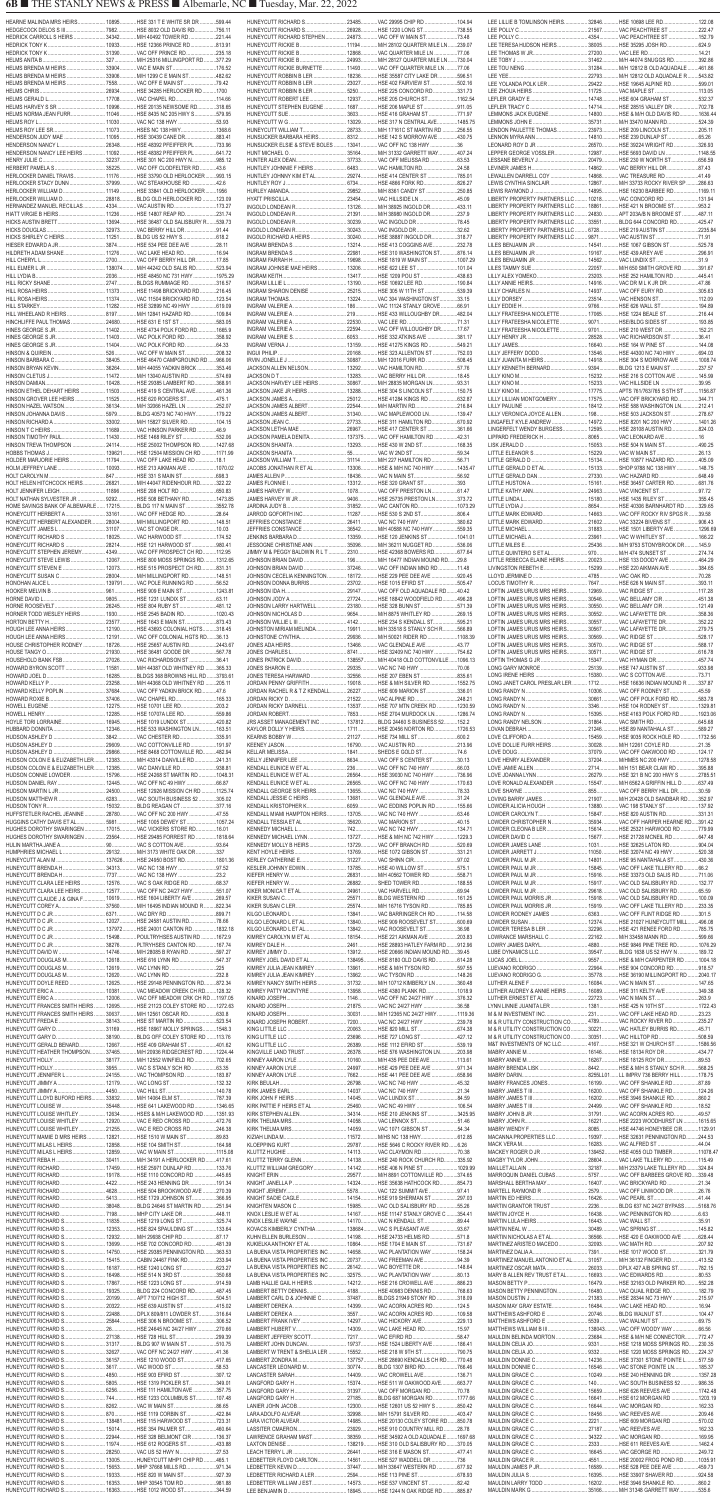# **6B THE STANLY NEWS & PRESS Albemarle, NC Tuesday, Mar. 22, 2022**

| 10895<br>HEARNE MALINDA MRS HEIRS.<br>7982.<br>HEDGECOCK DELOS S III.<br><b>HEDRICK CARROLL S HEIRS</b><br>34342.                                          | 599.44<br>.HSE 331 T E WHITE SR DR<br>756.11<br>.HSE 8032 OLD DAVIS RD.<br>.M/H 40492 TOWER RD.<br>.221.44                             | HUNEYCUTT RICHARD S.<br>HUNEYCUTT RICHARD S<br>HUNEYCUTT RICHARD STEPHEN                             | 23485<br>.104.94<br>. VAC 29995 CHIP RD .<br>26928<br>.738.55<br>.HSE 1220 LONG ST<br>.24873.<br>VAC OFF W MAIN ST<br>.73.48                                                                       | LEE LILLIE B TOMLINSON HEIRS.<br>32846<br>21567<br>LEE POLLY C<br>LEE POLLY C<br>.4354.                                       | .122.08<br>HSE 10698 LEE RD.<br>VAC PEACHTREE ST<br>.222.47<br>152.79<br>VAC PEACHTREE ST                                                        |
|------------------------------------------------------------------------------------------------------------------------------------------------------------|----------------------------------------------------------------------------------------------------------------------------------------|------------------------------------------------------------------------------------------------------|----------------------------------------------------------------------------------------------------------------------------------------------------------------------------------------------------|-------------------------------------------------------------------------------------------------------------------------------|--------------------------------------------------------------------------------------------------------------------------------------------------|
| 10933.<br><b>HEDRICK TONY K.</b><br>.31390.<br><b>HEDRICK TONY K</b><br>.327<br><b>HELMS ANITA B</b><br>33904.<br><b>HELMS BRENDA M HEIRS.</b>             | .813.91<br>HSE 12366 PRINCE RD.<br>VAC OFF PRINCE RD.<br>235.18<br>M/H 25316 MILLINGPORT RD.<br>377.29<br>. VAC E MAIN ST.<br>176.52   | <b>HUNEYCUTT RICKIE B</b><br>HUNEYCUTT RICKIE B.<br>HUNEYCUTT RICKIE B.<br>HUNEYCUTT RICKIE BURNETTE | 11194<br>.239.07<br>. M/H 28102 QUARTER MILE LN.<br>12868.<br>.77.06<br>. VAC QUARTER MILE LN<br>.24993<br>. M/H 28127 QUARTER MILE LN.<br>730.04<br>.11493.<br>. VAC OFF QUARTER MILE LN<br>77.06 | LEE TERESA HUDSON HEIRS<br>.38005.<br>.27200.<br>LEE THOMAS W JR<br>31462.<br>31284.                                          | .HSE 35295 JOSH RD<br>.624.9<br>. VAC LEE RD<br>.14.21<br>.M/H 44074 SNUGGS RD.<br>.392.86<br>.M/H 12812 B OLD AQUADALE.<br>.461.86              |
| HELMS BRENDA M HEIRS.<br>33906.<br>7558.<br><b>HELMS BRENDA M HEIRS</b><br>.26934.<br><b>HELMS CHRIS.</b>                                                  | M/H 1299 C E MAIN ST<br>.482.62<br>VAC OFF E MAIN ST<br>.79.42<br>1700<br>HSE 34285 HERLOCKER RD                                       | HUNEYCUTT ROBBIN B LER.<br>HUNEYCUTT ROBBIN B LER<br>HUNEYCUTT ROBBIN B LER                          | 18236.<br>.HSE 35587 CITY LAKE DR<br>.596.51<br>23027<br>.HSE 402 FAIRVIEW ST<br>.502.16<br>5250.<br>.HSE 225 CONCORD RD<br>.331.73                                                                | LEE YEE.<br>.22793.<br>LEE YOLANDA POLK LER<br>.29422.<br>.11725.                                                             | .M/H 12812 OLD AQUADALE R<br>543.82<br>.HSE 19645 ALPINE RD.<br>.599.01<br>. VAC MAPLE ST.<br>.113.05                                            |
| .17708.<br><b>HELMS GERALD L</b><br>.10996.<br><b>HELMS HARVEY S SR</b><br>HELMS NORMA JEAN FURR 11046.                                                    | VAC CHAPEL RD.<br>114.66<br>.HSE 20135 NEWSOME RD<br>.318.65<br>HSE 8435 NC 205 HWY S<br>579.95                                        | HUNEYCUTT ROBERT LEE<br>HUNEYCUTT STEPHEN EUGENE<br>HUNEYCUTT SUE.                                   | 12937<br>1162.54<br>.HSE 205 CHURCH ST.<br>1687.<br>.HSE 206 MAPLE ST.<br>.911.05<br>3603.<br>.HSE 416 GRAHAM ST<br>771.97                                                                         | LEFLER GRADY E<br>.14714.<br>LEFLER TRACY C<br>LEMMONS JACK EUGENE<br>14800                                                   | .HSE 604 GRAHAM ST.<br>.532.37<br>.HSE 28515 VALLEY DR<br>702.78<br>.HSE & M/H OLD DAVIS RD<br>1636.44                                           |
| .11030.<br><b>HELMS ROY L</b><br>.11073.<br>HELMS ROY LEE SR.<br>.11095.<br>HENDERSON JUDY MAE                                                             | . VAC NC 138 HWY<br>.53.93<br>.HSES NC 138 HWY<br>.1368.6<br>.883.41<br>. HSE 30439 CANE DR.                                           | HUNEYCUTT W G.<br>HUNEYCUTT WILLIAM T<br>HUNSUCKER BARBARA HEIRS                                     | 13029.<br>.HSE 317 N CENTRAL AVE.<br>.1485.75<br>28733.<br>.256.55<br>.M/H 17161C ST MARTIN RD<br>8312.<br>.HSE 142 S MORROW AVE<br>.430.75                                                        | 35731<br>LEMMONS JOHN E.<br>LENDON PAULETTE THOMAS<br>.23973.<br>.14810.<br>LENNON MYRA ANN                                   | .M/H 33470 MANN RD.<br>.524.39<br>.HSE 209 LINCOLN ST<br>.205.11<br>.HSE 239 DUNLAP ST.<br>.65.26                                                |
| 26348.<br><b>HENDERSON NANCY L</b><br>HENDERSON NANCY LEE HEIRS<br>.11092.<br>HENRY JULIE C<br>32237.                                                      | .HSE 48392 PFEIFFER PL<br>.733.96<br>.HSE 48382 PFEIFFER PL<br>641.72<br>. HSE 301 NC 200 HWY N.,<br>.985.12                           | HUNSUCKER ELSIE & STEVE BOLES<br>HUNT MICHAEL O.                                                     | .13041<br>. VAC OFF NC 138 HWY<br>.36<br>.35164<br>M/H 31332 GARRETT WAY.<br>.407.24<br>37733.<br>VAC OFF MELISSA RD<br>.63.53                                                                     | .26570.<br>LEONARD ROY D JR<br>LEPPER GEORGE VOSSLER<br>12987.<br>20479.<br>LESSANE BEVERLY J.,                               | .HSE 39224 WRIGHT RD.<br>.326.93<br>.HSE 5693 DAVID LN<br>.1148.55<br>.HSE 230 W NORTH ST<br>.656.59                                             |
| HERBERT PAMELA S<br>.35225.<br>HERLOCKER DANIEL TRAVIS<br>11176.<br>37999<br><b>HERLOCKER STACY DUNN</b>                                                   | . VAC OFF CLODFELTER RD.<br>.43.6<br>.993.15<br>.HSE 33790 OLD HERLOCKER.<br>42.6<br>. VAC STEAKHOUSE RD.                              | HUNTLEY JOHNNIE F HEIRS<br>HUNTLEY JOHNNY KIM ET AL<br>HUNTLEY ROY J                                 | .6483.<br>.24.58<br>. VAC HAMILTON RD.<br>29274.<br>.785.01<br>HSE 414 CENTER ST<br>.6734.<br>.HSE 4866 FORK RD.<br>.826.27                                                                        | LEVINER JAMES H<br>14862.<br>LEWALLEN DARRELL COY<br>14868<br>12867.<br>LEWIS CYNTHIA SINCLAIR                                | . VAC BERRY HILL DR.<br>.87.43<br>.41.49<br>. VAC TREASURE RD<br>.286.63<br>M/H 33733 ROCKY RIVER SP.                                            |
| .11149.<br>HERLOCKER WILLIAM D.<br>HERLOCKER WILLIAM D.<br>28818.<br>HERNANDEZ MANUEL RECILLAS<br>4334.                                                    | HSE 33841 OLD HERLOCKER<br>.1956<br>.BLDG OLD HERLOCKER RD<br>.123.09<br>VAC AUSTIN RD<br>173.27                                       |                                                                                                      | 29852.<br>.M/H 8361 CANDY ST<br>.250.85<br>23454.<br>. VAC HILLSIDE LN.<br>.45.09<br>.433.11<br>M/H 38925 INGOLD DR                                                                                | 14895<br>LEWIS RAYMOND J.<br>LIBERTY PROPERTY PARTNERS LLC.<br>.10218.<br>LIBERTY PROPERTY PARTNERS LLC.<br>18861             | .HSE 16230 BARBEE RD.<br>1169.11<br>VAC CONCORD RD.<br>.131.94<br>.HSE 421 N BROOME ST<br>.953.2                                                 |
| <b>HIATT VIRGIE B HEIRS.</b><br>.11236.<br>.13694.<br><b>HICKS AUSTIN BRETT</b><br>32973.<br><b>HICKS DOUGLAS.</b>                                         | .HSE 14807 REAP RD.<br>.231.74<br>.HSE 36487 OLD SALISBURY R.,<br>539.73<br>VAC BERRY HILL DR.<br>.91.44                               | INGOLD LONDEAN R.<br>INGOLD LONDEAN R<br>INGOLD LONDEAN R.                                           | .21391<br>.237.9<br>. M/H 38980 INGOLD DR.<br>30239.<br>VAC INGOLD DR.<br>.78.45<br>.30243.<br>VAC INGOLD DR.<br>.32.62                                                                            | LIBERTY PROPERTY PARTNERS LLC.<br>24830<br>LIBERTY PROPERTY PARTNERS LLC.<br>33551<br>6728.<br>LIBERTY PROPERTY PARTNERS LLC. | . APT 203A/B N BROOME ST<br>487.11<br>.BLDG 644 CONCORD RD<br>.425.47<br>.HSE 219 AUSTIN ST<br>.2235.84                                          |
| HICKS SHIRLEY C HEIRS<br>.11251.<br>.3874.<br>HIESER EDWARD A JR<br>.11276.<br>HILDRETH ADAM SHANE                                                         | .BLDG US 52 HWY S<br>618.2<br>.HSE 534 PEE DEE AVE.<br>28.11<br>. VAC LAKE HEAD RD.<br>16.94                                           | INGOLD RICHARD A HEIRS<br><b>INGRAM BRENDAS</b>                                                      | .30240.<br>.HSE 38887 INGOLD DR.<br>.318.77<br>. HSE 413 COGGINS AVE.<br>232.78<br>22981<br>. HSE 310 WASHINGTON ST.<br>.876.14                                                                    | LIBERTY PROPERTY PARTNERS LLC.<br>.9871.<br>LILES BENJAMIN JR<br>.14541.<br>LILES BENJAMIN JR<br>.19167.                      | . VAC AUSTIN ST<br>71.91<br>.HSE 1067 GIBSON ST<br>.525.78<br>.HSE 439 AREY AVE<br>.296.91                                                       |
| HILL CHERYL L<br>.2700<br>.138074.<br>.2036.<br>HILL LYDIA B                                                                                               | VAC OFF BERRY HILL DR<br>17.85<br>.523.94<br>M/H 44242 OLD SALIS RD.<br>.1975.29<br>.HSE 48450 NC 731 HWY                              | INGRAM JOHNSIE MAE HEIRS 13206.<br><b>INGRAM KEITH.</b>                                              | 19698.<br>1007.29<br>. HSE 1819 W MAIN ST.<br>.HSE 622 LEE ST<br>101.04<br>.13417.<br>.HSE 1209 POU ST.<br>.438.63                                                                                 | 14562.<br>22057<br>LILLY ALEX YOMEKO<br>.23203.                                                                               | VAC LUNDIX ST<br>.31.9<br>. M/H 650 SMITH GROVE RD.<br>.391.67<br>.HSE 252 HAMILTON RD<br>.445.41                                                |
| .2747.<br>HILL RICKY SHANE.<br>. 11373.<br>HILL ROSA HEIRS.<br>. 11374.<br>HILL ROSA HEIRS.                                                                | BLDGS RUMMAGE RD.<br>.316.57<br>HSE 11498 BRICKYARD RD.<br>.216.45<br>VAC 11504 BRICKYARD RD.<br>123.54                                | <b>INGRAM LILLIE L</b><br>INGRAM SHARON DENISE<br><b>INGRAM THOMAS</b>                               | 190.84<br>.HSE 10692 LEE RD.<br>.25215.<br>HSE 305 W 11TH ST.<br>.539.39<br>VAC 304 WASHINGTON ST<br>.33.15                                                                                        | LILLY ANNIE HEIRS<br>14916.<br>14937.<br>LILLY DORSEY.<br>.23514.                                                             | VAC DR M L K JR DR<br>.47.86<br>VAC OFF EURY RD<br>.305.63<br>VAC HENSON ST<br>112.09                                                            |
| 11282.<br><b>HILL STARKEY</b><br>.8197.<br>HILL WHEELAND R HEIRS<br>24680<br>HINCHLIFFE PAUL THOMAS                                                        | .HSE 32899 NC 49 HWY.<br>619.09<br>M/H 12841 HAZARD RD<br>109.84<br>.583.05<br>.HSE 631 E 1ST ST                                       | <b>INGRAM VALERIE A </b><br>INGRAM VALERIE A                                                         | .186<br>VAC 11124 STANLY GROVE.<br>.66.91<br>.219<br>.482.04<br>HSE 433 WILLOUGHBY DR.<br>.22530.<br>VAC LEE RD.<br>.71.31                                                                         | LILLY EDDIE H<br>.9766.<br>LILLY FRATEESHA NICOLETTE<br>17065<br>.9071.<br>LILLY FRATEESHA NICOLETTE                          | .HSE 626 WALL ST<br>194.89<br>.HSE 1224 BEALE ST<br>.216.44<br>.HSE/BLDG SIDES ST<br>193.85                                                      |
| .11402.<br>HINES GEORGE S JR.<br>.11404.<br>HINES GEORGE S JR                                                                                              | .HSE 4734 POLK FORD RD<br>1665.9<br>VAC POLK FORD RD.<br>358.92<br>. VAC POLK FORD RD.<br>.64.33                                       | <b>INGRAM VALERIE A </b>                                                                             | .22594.<br>VAC OFF WILLOUGHBY DR.<br>.17.67<br>.6053.<br>HSE 332 ATKINS AVE.<br>.381.17<br>13159.<br>HSE 41275 KINGS RD.<br>.549.21                                                                | LILLY FRATEESHA NICOLETTE<br>.9701.<br>.28528<br>.16640.<br>LILLY JAMES                                                       | .HSE 210 WEST DR<br>152.21<br>VAC RICHARDSON ST<br>.36.41<br>.HSE 164 W PINE ST<br>.144.08                                                       |
| .526<br>HINSON & QUIREIN.<br>.38405.<br>HINSON BARBARA C<br>36264<br><b>HINSON BRYAN KEVIN</b>                                                             | .208.32<br>. VAC OFF W MAIN ST.<br>HSE 46470 CAMPGROUND RD.<br>966.06<br>.M/H 44055 YADKIN BRICK<br>.353.46                            | INGUI PHILIP.<br>JACKSON ALLEN NELSON                                                                | 20168.<br>HSE 323 ALLENTON ST.<br>752.03<br>30887<br>.M/H 12016 FURR RD<br>.508.45<br>13292.<br>VAC HAMILTON RD.<br>.57.76                                                                         | LILLY JEFFERY DODD<br>13546.<br>LILLY JUANITA M HEIRS<br>.14918.<br>LILLY KENNETH BERNARD<br>9394.                            | .HSE 44300 NC 740 HWY<br>694.03<br>. HSE 304 S MORROW AVE.<br>.1008.74<br>.BLDG 1213 E MAIN ST<br>.237.57                                        |
| .11472.<br>HINSON CLETUS J.<br>10428.<br>HINSON DAMIAN.<br>HINSON ETHEL DEHART HEIRS<br>.11503.                                                            | .M/H 13040 AUSTIN RD.<br>.574.69<br>.HSE 29385 LAMBERT RD.<br>.368.91<br>.HSE 419 S CENTRAL AVE.<br>.461.36                            | <b>JACKSON D T</b><br>JACKSON HARVEY LEE HEIRS<br>JACKSON JAKE JR HEIRS                              | 13283.<br>.18.45<br>VAC BERRY HILL DR.<br>.30867<br>. M/H 28835 MORGAN LN.<br>.93.31<br>13288.<br>HSE 304 S LINCOLN ST<br>.150.75                                                                  | 15232<br>LILLY KINO M<br>.15233.<br>LILLY KINO M<br>LILLY KINO M                                                              | .HSE 216 S COTTON AVE<br>.145.99<br>. VAC HILLSIDE LN<br>.39.95<br>APTS 761/763/765 S 5TH ST.<br>1156.87                                         |
| 11525<br>HINSON GROVER LEE HEIRS.<br>.36134.<br>HINSON HAZEL WATSON<br>5979.<br>HINSON JOHANNA DAVIS<br>33002<br>HINSON RICHARD A.                         | .HSE 620 ROGERS ST.<br>.475.1<br>.M/H 32066 HAZEL LN<br>.252.07<br>179.22<br>.BLDG 40573 NC 740 HWY<br>.M/H 15827 SILVER RD.<br>104.15 | JACKSON JAMES A.,<br>JACKSON JAMES ALBERT<br>JACKSON JAMES ALBERT<br>JACKSON JEAN C                  | 25012.<br>.HSE 41284 KINGS RD.<br>.632.87<br>.22544.<br>.216.84<br>. M/H MARTIN RD.<br>31340.<br>.139.47<br>VAC MAPLEWOOD LN.<br>. 27733.<br>.HSE 311 HAMILTON RD.<br>.670.92                      | LILLY LILLIAN MONTGOMERY<br>17575.<br>.18412.<br>LILLY PAULINE.<br>.198<br>LILLY VERONICA JOYCE ALLEN<br>.14972.              | . VAC OFF BRICKYARD RD<br>.344.71<br>. HSE 588 WASHINGTON LN<br>212.41<br>.278.67<br>.HSE 503 JACKSON ST.                                        |
| .11689.<br>HINSON TC HEIRS.<br>.11430.<br>HINSON TIMOTHY PAUL<br>.24114.<br>HINSON TREVA THOMPSON                                                          | VAC HINSON PARKER RD.<br>.46.9<br>.HSE 1468 RILEY ST<br>.532.06<br>1427.68<br>.HSE 25002 THOMPSON RD.                                  | JACKSON LETHA MAE<br>JACKSON PAMELA DENITA                                                           | 26967.<br>.HSE 417 CENTER ST<br>.361.66<br>137375.<br>VAC OFF HAMILTON RD.<br>.42.31<br>HSE 430 W 2ND ST<br>168.35                                                                                 | LINGAFELT KYLE ANDREW<br>LINGERFELT WENDY BURGESS<br>12595.<br>LIPPARD FREDERICK H<br>.8065.<br>.15053.                       | . HSE 8201 NC 200 HWY.<br>.1401.26<br>.824.03<br>.HSE 28108 AUSTIN RD<br>VAC LEONARD AVE.<br>.16<br>.490.25<br>.HSE 504 N MAIN ST                |
| .139621<br><b>HOBBS THOMAS J.</b><br>11794<br><b>HOLDER MARJORIE HEIRS.</b><br><b>HOLM JEFFREY LANE</b><br>10093                                           | .HSE 12504 MISSION CH RD<br>1171.99<br>. VAC OFF LAKE HEAD RD<br>.18.1<br>HSE 213 AIKMAN AVE<br>1070.02                                | JACKSON WILLIAM T<br>JACOBS JONATHAN R ET AL.                                                        | .55<br>.59.34<br>. VAC W 2ND ST<br>.31114.<br>. M/H 227 HAMILTON RD.<br>.56.71<br>13306<br>HSE & M/H NC 740 HWY<br>1435.47                                                                         | 15229.<br>.15134.<br>LITTLE GERALD D<br>LITTLE GERALD D ET AL<br>15133                                                        | . VAC W MAIN ST<br>.26.13<br>HSE 10877 HAZARD RD.<br>.405.09<br>SHOP 9788 NC 138 HWY<br>.148.75                                                  |
| 847.<br><b>HOLT CAROLYN M.</b><br>HOLT HELEN HITCHCOCK HEIRS<br>26821.<br>HOLT JENNIFER LEIGH.<br>11896                                                    | .698.3<br>.HSE 331 S MAIN ST.<br>.M/H 44047 RIDENHOUR RD<br>.322.22<br>HSE 208 HOLT RD<br>650.83                                       | JAMES ALLEN P                                                                                        | 18436<br>. VAC N MAIN ST.<br>.56.92<br>HSE 320 GRANT ST<br>.393<br>. VAC OFF PRESTON LN.<br>.61.47                                                                                                 | 27330<br>LITTLE GERALD DAN<br>.24963.                                                                                         | VAC HAZARD RD.<br>.648.49<br>.HSE 36457 CARTER RD<br>.681.76<br>. VAC VINCENT ST.<br>.97.72                                                      |
| 9292.<br>HOLT NATHAN SYLVESTER JR<br>HOME SAVINGS BANK OF ALBEMARLE<br>.17215.<br>HONEYCUTT HERBERT A.<br>33161.                                           | HSE 508 BETHANY RD<br>1473.85<br>.3552.78<br>BLDG 117 N MAIN ST<br>. VAC OFF HEDGE RD.<br>.28.64                                       | JARROD GOFORTH INC                                                                                   | .HSE 25735 PRESTON LN<br>.373.72<br>.1073.29<br>VAC CANTON RD.<br>.11287.<br>.HSE 530 S 2ND ST<br>.806.4                                                                                           | LITTLE LINDA L<br>15180<br>.8654.<br>LITTLE LYDIA J.<br>LITTLE MARK EDWARD<br>14663.                                          | .355.45<br>HSE 1435 RILEY ST<br>.HSE 40306 BARNHARDT RD<br>.329.65<br>. VAC OFF ROCKY RIV SPGS R.<br>39.58                                       |
| HONEYCUTT HERBERT ALEXANDER<br>28004.<br><b>HONEYCUTT JAMES L</b><br>31107.<br>HONEYCUTT RICHARD S<br>.18025.                                              | .M/H MILLINGPORT RD<br>148.51<br>. VAC ST ONGE DR.<br>.10.03<br>VAC HARWOOD ST<br>174.52                                               | JEFFRIES CONSTANCE<br>JEFFRIES CONSTANCE.<br>JENKINS BARBARA D                                       | .26411.<br>.380.62<br>VAC NC 740 HWY<br>36542.<br>M/H 40588 NC 740 HWY<br>.559.35<br>.HSE 120 JENKINS ST<br>1041.01                                                                                | LITTLE MARK EDWARD 21602.<br>31883.<br>LITTLE MICHAEL<br>.23961                                                               | VAC 33224 BIVENS ST.<br>.906.43<br>.HSE 1501 LIBERTY AVE.<br>1296.69<br>.166.22<br>. VAC W WHITLEY ST                                            |
| 28214.<br>HONEYCUTT RICHARD S.<br>4349.<br>HONEYCUTT STEPHEN JEREMY<br>.12067.<br>HONEYCUTT STEVE LEWIS                                                    | .980.41<br>.HSE 121 HARWOOD ST.<br>.VAC OFF PROSPECT CH RD<br>.112.95<br>1312.65<br>.HSE 800 MOSS SPRINGS RD.                          | JESSOGNE CHRISTINE ANN<br>JIMMY M & PEGGY BALDWIN R L T<br>JOHNSON BRIAN DAVID.                      | 35096<br>.536.06<br>.M/H 36211 NUGGET RD<br>2310.<br>.677.64<br>.HSE 42368 BOWERS RD.<br>.196.<br>.M/H 16477 INDIAN MOUND RD.<br>29.8                                                              | LITTLE MILES E<br>.25436.<br>.970<br>LITTLE QUINTERO S ET AL<br>LITTLE REBECCA ELAINE HEIRS<br>.20023.                        | M/H 9753 STONYBROOK DR<br>.145.9<br>.M/H 474 SUNSET ST<br>.274.74<br>.HSE 133 DOODY AVE<br>.464.29                                               |
| HONEYCUTT STEVEN E<br>.12073.<br>.28004.<br>HONOHAN ALICE L<br>.139791.                                                                                    | .HSE 515 PROSPECT CH RD.<br>.831.31<br>.M/H MILLINGPORT RD.<br>148.51<br>VAC POLE RUNNING RD.<br>.56.52                                | JOHNSON BRIAN DAVID.<br>JOHNSON CECELIA KENNINGTON<br>JOHNSON DONNA BURRIS                           | .37246.<br>. VAC OFF INDIAN MND RD<br>.11.48<br>18172.<br>HSE 229 PEE DEE AVE.<br>.920.45<br>23702.<br>.HSE 1015 EFIRD ST<br>.505.47                                                               | LIVINGSTON REBETH E<br>.15299.<br>.4785.<br>LLOYD JERMINE D<br><b>LOCUS TIMOTHY R</b><br>.7647.                               | .HSE 220 AIKMAN AVE<br>.384.65<br>VAC OAK RD.<br>70.28<br>.HSE 626 N MAIN ST<br>.393.11                                                          |
| .961<br>9805.<br><b>HORNE DAVID L</b><br>26245.<br>HORNE ROOSEVELT.                                                                                        | HSE 909 E MAIN ST<br>1243.81<br>.63.11<br>.HSE 1231 LUNDIX ST<br>HSE 804 RUBY ST.<br>.481.12                                           | JOHNSON IDA H<br>JOHNSON JODY A<br>JOHNSON LARRY HARTWELL                                            | .29147.<br>. VAC OFF OLD AQUADALE RD.<br>.40.42<br>.27724.<br>.496.28<br>.HSE 18842 WOODFIELD RD.<br>23180.<br>HSE 328 BUNN ST.<br>.571.39                                                         | LOFTIN JAMES URUS MRS HEIRS.<br>12969<br>30546<br>LOFTIN JAMES URUS MRS HEIRS.<br>.30550.<br>LOFTIN JAMES URUS MRS HEIRS.     | .117.28<br>. VAC BELLAMY CIR<br>.451.38<br>. VAC BELLAMY CIR<br>.121.49                                                                          |
| HORNER TODD WESLEY HEIRS<br>.1930.<br>23577.<br>HORTON BETTY H.<br>HOUGH LEE ANNA HEIRS<br>.12190.                                                         | .HSE 2545 BADIN RD<br>1020.43<br>.HSE 1643 E MAIN ST<br>873.43<br>HSE 43693 COLONIAL HGTS<br>318.45                                    | JOHNSON WILLIE L III.<br>JOHNSTON MIRIAM MELINDA                                                     | .269.15<br>. M/H 8875 WHITLEY RD.<br>.4142.<br>.HSE 234 S KENDALL ST<br>.595.21<br>19911.<br>.566.89<br>. M/H 33518 S STANLY SCH R                                                                 | 30552<br>LOFTIN JAMES URUS MRS HEIRS.<br>LOFTIN JAMES URUS MRS HEIRS.<br>30557<br>LOFTIN JAMES URUS MRS HEIRS.<br>30567       | VAC LAFAYETTE DR<br>.358.36<br>. VAC LAFAYETTE DR<br>.352.22<br>VAC LAFAYETTE DR<br>279.75                                                       |
| 12191.<br>HOUGH LEE ANNA HEIRS.<br>HOUSE CHRISTOPHER RODNEY<br>.18726.<br>.21930.<br>HOUSE TANGY O.                                                        | .VAC OFF COLONIAL HGTS RD36.13<br>HSE 25657 AUSTIN RD<br>.2443.67<br>.567.78<br>HSE 36481 GOODE DR                                     | JOHNSTONE CYNTHIA<br>JONES ADA HEIRS<br>JONES CHARLES L.                                             | 29936.<br>1108.39<br>. M/H 50021 RIDER RD<br>13466.<br>. VAC GLENDALE AVE.<br>.43.77<br>.8741.<br>.HSE 32409 NC 740 HWY<br>754.62                                                                  | 30569<br>LOFTIN JAMES URUS MRS HEIRS.<br>LOFTIN JAMES URUS MRS HEIRS.<br>30570<br>LOFTIN JAMES URUS MRS HEIRS<br>30571        | . VAC RIDGE ST<br>.528.17<br>. VAC RIDGE ST<br>588.17<br>. VAC RIDGE ST<br>.616.78                                                               |
| HOUSEHOLD BANK FSB<br>.27026.<br>.11581<br>HOWARD JOEL D.<br>.16285.<br>.23258.                                                                            | VAC RICHARDSON ST<br>.36.41<br>.M/H 44387 OLD WHITNEY RD.<br>.365.33<br>.BLDGS 368 BROWNS HILL RD.<br>3793.61                          | JONES PATRICK DAVID<br>JONES SHARON E<br>JONES TERESA HARWARD                                        | 138557.<br>M/H 40418 OLD COTTONVILLE.<br>1096.13<br>29335.<br>VAC NC 740 HWY<br>70.06<br>32556<br>.835.61<br>.HSE 207 EBEN ST<br>19018.                                                            | LOFTIN THOMAS G JR<br>.15347.<br>LONG GARY MONROE<br>.25139.<br>LONG IRENE HEIRS<br>.15380.                                   | VAC HYMAN DR<br>.457.74<br>.HSE 747 AUSTIN ST<br>.933.98<br>. VAC S COTTON AVE<br>73.71                                                          |
| <b>HOWARD KELLY P</b><br>HOWARD KELLY POPLIN<br>.37684.<br>.37406.<br><b>HOWARD ROXIE B.</b>                                                               | .M/H 44368 OLD WHITNEY RD.<br>.205.11<br>. VAC OFF YADKIN BRICK RD.<br>.47.6<br>.165.33<br>.VAC CHAPEL RD<br>HSE 10701 LEE RD<br>203.2 | JORDAN RACHEL R & T Z KENDALL<br>JORDAN RICKY D.<br>JORDAN RICKY DARNELL  13537.                     | . HSE & M/H SILVER RD.<br>1552.75<br>26227.<br>.336.01<br>.HSE 609 MARION ST.<br>.21522.<br>. VAC ALPINE RD.<br>248.21<br>. HSE 707 MTN CREEK RD<br>1230.59                                        | LONG JANET CAROL PRESLAR LER 1712<br>10306.<br>LONG RANDY N<br>.30661<br>.3346                                                | .HSE 16636 INDIAN MOUND R<br>337.87<br>. VAC OFF RODNEY ST.<br>.45.59<br>. VAC OFF POLK FORD RD.<br>.583.78<br>.HSE 104 RODNEY ST<br>.1329.81    |
| .12285.<br><b>HOWELL HENRY</b><br>HOYLE TORI LORRAINE 16945.<br>.12346.<br><b>HUBBARD DONNITA</b>                                                          | .HSE 10707A LEE RD.<br>.559.86<br>HSE 1019 LUNDIX ST.<br>420.82<br>HSE 533 WASHINGTON LN<br>.163.51                                    | JORDAN ROBERT.<br>JRS ASSET MANAGEMENT INC  137812.<br>KAYLOR DOLLY Y HEIRS 1711                     | 7853.<br>.HSE 2704 MURDOCK LN.<br>.1286.74<br>.BLDG 24460 S BUSINESS 52.<br>.152.2<br>1726.53<br>.HSE 20456 NORTON RD.                                                                             | 15395.<br>LONG RANDY NELSON<br>31864.<br>LOVAN DEBRAH<br>.21246.                                                              | .HSE 4163 POLK FORD RD.,<br>.1923.06<br>. VAC SMITH RD.<br>.645.68<br>.589.27<br>.HSE 89 NANTAHALA ST.                                           |
| .3842.<br>HUDSON ASHLEY D<br>.29609.<br>HUDSON ASHLEY D<br>HUDSON ASHLEY D<br>29866.                                                                       | .335.91<br>.VAC CHESTER RD.<br>.VAC COTTONVILLE RD.<br>191.97<br>.HSE 8468 COTTONVILLE RD<br>.482.94                                   |                                                                                                      | .HSE 734 MILL ST<br>.600.2<br>.213.96<br>VAC AUSTIN RD.<br>.1841.<br>. SHEDS E GOLD ST<br>.74.6                                                                                                    | 15459.<br>LOVE DOLLIE FURR HEIRS<br>.30028.<br>LOVE DOUG.<br>.37079.                                                          | .HSE 9035 ROCK HOLE RD<br>.1732.56<br>.21.35<br>.M/H 12261 COYLE RD.<br>. VAC OFF OAKWOOD RD.<br>124.17                                          |
| HUDSON COLON E & ELIZABETH LER<br>12383.<br>HUDSON COLON E & ELIZABETH LER.<br>12385<br>HUDSON CONNIE LOWDER<br>15796.                                     | .M/H 43314 DANVILLE RD.<br>241.31<br>.938.81<br>. VAC DANVILLE RD<br>.HSE 24268 ST MARTIN RD.<br>1048.31                               | KENDALL EUNICE W ET AL<br>KENDALL EUNICE W ET AL                                                     | .8634.<br>VAC OFF S CENTER ST<br>.30.13<br>236.<br>VAC OFF NC 740 HWY.<br>.66.03<br>26564.<br>. HSE 39030 NC 740 HWY.<br>.736.96                                                                   | LOVE HENRY ALEXANDER<br>.37204.<br>LOVE JAMIE ALLEN.<br>.2714.<br>.26279.<br>LOVE JOANNA LYNN                                 | . M/HMES NC 200 HWY<br>1278.58<br>.M/H 151 BEAR CLAW RD.<br>.395.88<br>. HSE 321 B NC 200 HWY S.<br>.2785.51                                     |
| 12445.<br>HUDSON DANIEL RAY<br>24500<br>HUDSON MARTIN L JR<br>6283.<br>HUDSON MATTHEW R                                                                    | .66.87<br>. VAC OFF NC 49 HWY<br>.HSE 12926 MISSION CH RD.<br>1125.74<br>. VAC SOUTH BUSINESS 52.<br>305.02                            | KENDALL EUNICE W ET AL<br>KENDALL GEORGE SR HEIRS.<br>KENDALL JESSIE C HEIRS                         | 26565.<br>VAC OFF NC 740 HWY<br>170.63<br>.13655.<br>. VAC NC 740 HWY<br>.78.33<br>13681.<br>VAC GLENDALE AVE<br>.31.24                                                                            | LOVE RONALD ALEXANDER<br>15547.<br>.855<br>LOVE SHAYNE.<br>$$ 21907 $$<br>LOVING BARRY JAMES                                  | M/H 6562 A GRIFFIN HILL D.<br>.637.49<br>.VAC OFF BERRY HILL DR<br>.30.59<br>M/H 20428 OLD SANDBAR RD<br>352.97                                  |
| 15032.<br><b>HUDSON TONY R.</b><br>28780.<br>HUFFSTETLER RACHEL JEANINE.<br>5981.<br>HUGGINS CATHY DAVIS ET AL.                                            | <b>BLDG REAGAN CT</b><br>.377.16<br>.VAC OFF NC 200 HWY<br>.47.55<br>HSE 1005 DEWEY ST<br>1057.24                                      | KENDALL KRISTOPHER K<br>KENDALL MIAMI HAMPTON HEIRS  13705<br>KENDALL TESSIA ET AL                   | 6059.<br>. VAC EDDINS POPLIN RD.<br>.155.66<br>VAC NC 740 HWY<br>.63.46<br>35620.<br>VAC MARION ST<br>.40.15                                                                                       | 13880.<br>LOWDER ALICIA HOUGH<br>LOWDER CHRISTOPHER N<br>.35934.                                                              | VAC 198 STANLY ST.<br>.137.92<br>HSE 820 AUSTIN RD<br>.331.31<br>VAC OFF HARPER HEARNE RD<br>391.42                                              |
| 17015.<br>HUGHES DOROTHY SWARINGEN<br>HUGHES DOROTHY SWARINGEN.<br>23564<br>90<br>HULIN MARTHA JANE A                                                      | .VAC VICKERS STORE RD.<br>16.01<br>1818.64<br>.HSE 29485 FORREST RD.<br>VAC S COTTON AVE.<br>.93.64                                    | <b>KENNEDY MICHAEL L</b><br>KENNEDY MICHAEL LYNN  13727.<br>KENNEDY MOLLY B HEIRS  13729             | .742<br>. VAC NC 742 HWY.<br>134.71<br>. HSE & M/H NC 742 HWY<br>.1229.3<br>. VAC OFF BRANCH RD.<br>.520.69                                                                                        | LOWDER CLEONA B LER<br>.15614.<br>LOWDER JAMES LANE<br>.1031                                                                  | .HSE 25321 HARWOOD RD.<br>.779.99<br>.HSE 21728 MCNEIL RD<br>.647.48<br>HSE 32625 LATON RD<br>.904.04                                            |
| .29132<br>HUMPHRIES MICHAEL L<br>137626.<br>HUNEYCUTT ALAN M.<br>.34313.<br>HUNEYCUTT BRENDA H                                                             | .M/H 3173 WHITE OAK DR.<br>.337<br>.HSE 24950 BOST RD.<br>1801.36<br>VAC NC 138 HWY<br>97.52                                           | <b>KENT HOYLE HEIRS</b><br>KESLER JOHNNY EDWIN 13785                                                 | HSE 1072 GIBSON ST<br>.331.21<br>31227.<br>VAC SHINN CIR.<br>.97.02<br>.HSE 40 WILLOW ST<br>.575.1                                                                                                 | LOWDER JARRETT J<br>11050.<br>14801.                                                                                          | HSE 32074 NC 49 HWY<br>.520.38<br>430.36<br>.HSE 95 NANTAHALA ST.<br>VAC OFF LAKE TILLERY RD<br>.66.2                                            |
| .7737.<br>HUNEYCUTT BRENDA H<br>12576.<br>HUNEYCUTT CLARA LEE HEIRS.<br>. 12577.<br>HUNEYCUTT CLARA LEE HEIRS.                                             | .23.2<br>VAC NC 138 HWY.<br>VAC S OAK RIDGE RD<br>68.37<br>VAC OFF NC 24/27 HWY<br>551.07                                              | KIEFER HENRY W                                                                                       | .26831<br>.M/H 40562 TOWER RD.<br>.558.71<br>26882.<br>.188.55<br>. SHED TOWER RD.<br>VAC HARVELL RD<br>.69.94                                                                                     | 15916.<br>LOWDER PAUL M JR<br>LOWDER PAUL M JR<br>.15917.                                                                     | 711.06<br>.HSE 33373 OLD SALIS RD.<br>. VAC OLD SALISBURY RD<br>.132.77<br>VAC OLD SALISBURY RD.<br>.65.59                                       |
| 10619.<br>HUNEYCUTT CLAUDE J & GINA F<br>.37560.<br>HUNEYCUTT COREY A<br>6371<br>HUNEYCUTT D C JF<br>12027.<br>HUNEYCUTT D C JR.                           | HSE 1604 LIBERTY AVE.<br>.269.57<br>M/H 16495 INDIAN MOUND R<br>822.34<br>VAC DRY RD<br>.899.71<br>.78.66                              | KIKER SUSAN C<br>KILGO LEONARD                                                                       | .25571.<br>.BLDG WESTERN RD<br>161.25<br>.25574<br>M/H 16716 TYSON RD<br>785.85<br>384<br>VAC BARRINGER CH RD<br>.114.58<br>13840.<br>.600.69                                                      | LOWDER PAUL MORRIS JR 15918.<br>LOWDER PAUL MORRIS JR  15919<br>LOWDER RODNEY JAMES<br>12374                                  | VAC OLD SALISBURY RD.<br>.100.09<br>VAC OFF LAKE TILLERY RD.<br>.233.35<br>VAC OFF FLINT RIDGE RD<br>.301.5                                      |
| HUNEYCUTT D C JR.<br>.15498.<br>HUNEYCUTT D C JR<br>.38276.                                                                                                | .HSE 24581 AUSTIN RD<br>HSE 24001 CANTON RD<br>1832.18<br>POULTRYHSES AUSTIN RD.<br>.1672.9<br>PLTRYHSES CANTON RD.<br>.167.74         | KILGO LEONARD L ET AL.<br>KILGO LEONARD L ET AL 13842.<br>KIMREY CAROLYN M ET AL<br>KIMREY DALE H    | HSE 909 ROOSEVELT ST<br>.36.98<br>VAC ROOSEVELT ST.<br>18154.<br>.HSE 221 AIKMAN AVE<br>.203.83<br>.2461.<br>912.96<br>. HSE 28893 HATLEY FARM RD.                                                 | LOWDER SUSAN<br>LOWDER TERESA B LER<br>.32296.<br>LOWRANCE MARSHALL C<br>.22162.<br>LOWRY JAMES DARYL<br>.4880                | HSE 21027 HUNEYCUTT MILL<br>.496.08<br>.HSE 421 RENEE FORD RD.<br>785.75<br>.M/H 33458 MANN RD.<br>.599.66<br>.1076.29<br>.HSE 9846 PINE TREE RD |
| .14746.<br>HUNEYCUTT DAVID W<br>.12618.<br>HUNEYCUTT DOUGLAS M<br>12619.<br>HUNEYCUTT DOUGLAS M.                                                           | .M/H 28085 B RYAN RD.<br>.597.27<br>.547.37<br>.HSE 616 LYNN RD.<br>VAC LYNN RD<br>.225                                                | KIMREY JOEL DAVID ET AL<br>KIMREY JULIA JEAN KIMREY                                                  | 13912.<br>.HSE 20666 INDIAN MOUND RD.<br>39.45<br>138495.<br>.HSE 8180 OLD DAVIS RD.<br>.614.28<br>13961<br>.597.55<br>.HSE & M/H TYSON RD.                                                        | LUBE DYNAMICS LLC<br>39547<br>.9557.<br>22964                                                                                 | .189.72<br>.BLDG 1638 US 52 HWY N.<br>1004.18<br>.HSE & M/H CARPENTER RD<br>.HSE 904 CONCORD RD.<br>.918.57                                      |
| 12620.<br>HUNEYCUTT DOUGLAS M.<br>.12625.<br>HUNEYCUTT DOYLE REED.<br>10381<br>HUNEYCUTT ERIC A.                                                           | 232.8<br>. VAC LYNN RD<br>.HSE 29148 PENNINGTON RD<br>872.34<br>. VAC MEADOW CREEK CH RD.,<br>128.32                                   | KIMREY JULIA JEAN KIMREY.<br>KIMREY NANCY SMITH HEIRS<br>KIMREY PATTY MCINTYRE                       | .13962.<br>. VAC TYSON RD<br>.148.26<br>31732.<br>. M/H 10712 KIMBERLY LN<br>.360.48<br>13958.<br>.HSE 4380 PLANK RD.<br>1018.9                                                                    | .35778.<br>16084.<br>LUTHER AUDREY & ANNIE HEIRS<br>.16089                                                                    | .HSE 36190 MILLINGPORT RD.<br>.2040.17<br>VAC N MAIN ST.<br>147.65<br>HSE 311 KELTY AVE<br>.349.38                                               |
| 12006.<br>HUNEYCUTT ERIC A<br>HUNEYCUTT FRANCES SMITH HEIRS.<br>12695<br>HUNEYCUTT FRANCES SMITH HEIRS.<br>30637                                           | . VAC OFF MEADOW CRK CH RD  1197.05<br>. HSE 21123 COLEY STORE RD.<br>1272.63<br>. M/H 12561 OSCAR RD.<br>.630.8                       | KINARD JOSEPH<br>KINARD JOSEPH<br>KINARD JOSEPH                                                      | VAC OFF NC 24/27 HWY<br>.376.32<br>21875.<br>. VAC NC 24/27 HWY<br>.36.58<br>.30031<br>. M/H 12365 NC 24/27 HWY<br>1119.36                                                                         | LUTHER ERNEST ET AL<br>22723.<br>.1381<br>LYNN LINNIE JUANITA LER<br>M & M INVESTMENT INC<br>.231                             | . VAC N MAIN ST<br>.263.9<br>.HSE 425 N 10TH ST<br>1722.43<br>. VAC OFF LAKE HEAD RD.<br>.23.23                                                  |
| 38143.<br>HUNEYCUTT FREDA E.<br>HUNEYCUTT GARY D.<br>31169.<br>HUNEYCUTT GARY D.<br>38190.                                                                 | .523.54<br>.HSE ST MARTIN RD<br>.HSE 18967 MOLLY SPRINGS<br>.1548.3<br>.BLDG OFF COLEY STORE RD.<br>113.76                             | KINARD JOSEPH ROBERT 7200<br>KING LITTLE LLC.                                                        | VAC NC 24/27 HWY<br>.239.78<br>20063.<br>.HSE 820 MILL ST<br>.674.38<br>23696.<br>.HSE 727 LONG ST<br>.427.12                                                                                      | 4789.<br>M & R UTILITY CONSTRUCTION CO.<br>30221<br>M & R UTILITY CONSTRUCTION CO.<br>M & R UTILITY CONSTRUCTION CO<br>30351  | .235.27<br>. VAC ROCKY RIVER RD.<br>. VAC HATLEY BURRIS RD<br>.45.71<br>VAC HILLTOP RD.<br>.508.59                                               |
| HUNEYCUTT GERALD BENARD<br>12667<br>HUNEYCUTT HEATHER THOMPSON<br>37465.<br>38177.<br>HUNEYCUTT HOLLY                                                      | .HSE 409 GRAHAM ST<br>.401.62<br>.M/H 20936 RIDGECREST RD.<br>.1224.44<br>M/H 12552 WINFIELD RD.<br>702.65                             | KING LITTLE LLC                                                                                      | 26389.<br>HSE 1112 EFIRD ST.<br>.539.19<br>26378.<br>. HSE 576 WASHINGTON LN<br>203.98<br>. M/H 435 PEE DEE AVE<br>.113.61                                                                         | M&T INVESTMENTS OF NC LLC<br>4167.<br>MABRY ANNIE M.<br>.16146.<br>16267.<br>MABRY ANNIE M                                    | .HSE 321 W CHURCH ST<br>.1586.56<br>.HSE 18134 ROY DR.<br>.434.77<br>.HSE 18125 ROY DR.<br>.89.53                                                |
| 3955.<br>HUNEYCUTT HOLLY.<br>HUNEYCUTT JENNIFER L<br>.24155.<br>.12179.<br>HUNEYCUTT JIMMY A                                                               | . VAC S STANLY SCH RD.<br>.63.35<br>VAC THOMPSON RD<br>183.87<br>.VAC LONG ST<br>132.32                                                | KINNEY AARON LYLE<br>KIRK BEULAH.                                                                    | 24997.<br>. HSE 429 PEE DEE AVE.<br>.971.34<br>.HSE 441 PEE DEE AVE.<br>658.96<br>.26798.<br>. VAC NC 740 HWY<br>.45.32                                                                            | MABRY BRENDA LISK<br>.8442.<br><b>MABRY DARIN</b><br>MABRY FRANCES JONES 16199.                                               | .HSE & M/H S STANLY SCH R<br>.568.25<br>.8255LL01LL IMPRV 736 BERRY HILL.<br>178.75<br>VAC OFF SHANKLE RD.<br>.87.89                             |
| 4450.<br>HUNEYCUTT JIMMY A<br>33832.<br>HUNEYCUTT LLOYD BUFORD HEIRS<br>35448<br>HUNEYCUTT LOUISE W.                                                       | .VAC HILL ST<br>140.78<br>787.39<br>.M/H 14064 ELM ST<br>.1346.65<br>.HSE 641 LAKEWOOD RD.                                             | KIRK JOHN F HEIRS.<br>KIRK PATTIE F HEIRS ET AL                                                      | .21.34<br>. VAC NC 740 HWY<br>.14045.<br>.84.59<br>VAC LUNDIX ST.<br>.25460.<br>106.54<br>. VAC NC 49 HWY.                                                                                         | 16202.<br>MABRY JAMES T III<br>.24499.<br>MABRY JAMES T III.                                                                  | VAC OFF SHANKLE RD<br>.124.26<br>.860.2<br>.HSE 3946 SHANKLE RD.<br>VAC OFF SHANKLE RD.<br>.18.52                                                |
| 12634.<br>HUNEYCUTT LOUISE WHITLEY.<br>12920.<br>HUNEYCUTT LOUISE WHITLEY.<br>HUNEYCUTT LOUISE WHITLEY.<br>21255.<br>12821<br>HUNEYCUTT MAMIE D MRS HEIRS. | HSES & M/H LAKEWOOD RD<br>1351.93<br>VAC E RED CROSS RD<br>.472.76<br>VAC E RED CROSS RD<br>246.38<br>.HSE 1510 W MAIN ST.<br>89.83    | KIZIAH I INDA M                                                                                      | .HSE 210 JENKINS ST<br>.3425.95<br>14058.<br>VAC LENNOX ST.<br>.51.46<br>VAC 1071 GIBSON ST<br>.54.34<br>. M/HS NC 138 HWY<br>.612.85                                                              | 31791.<br>MABRY JOHN R<br>16221.<br>.8085.<br>MACANNA PROPERTIES LLC<br>19397.                                                | .49.57<br>VAC ACORN ACRES RD.<br>.HSE 2223 WOODHURST LN.<br>.1615.65<br>.HSE 44746 HONEYBEE CIR<br>1129.91<br>.HSE 32631 PENNINGTON RD<br>244.53 |
| 12858.<br>HUNEYCUTT MILAS L HEIRS.<br>12859.<br>HUNEYCUTT MILAS L HEIRS<br>30411<br>HUNEYCUTT REBAH.                                                       | 164.98<br>.HSE 104 SMITH ST<br>VAC W MAIN ST<br>1115.08<br>M/H 34191 A HERLOCKER RD<br>417.61                                          | KLUTTZ HUGHIE.<br>KLUTTZ TERRY GLENN 14138                                                           | .29787.<br>6.26<br>.HSE 5646 C ROCKY RIVER RD.<br>70.38<br>VAC CLAYMON RD.<br>HSE 240 ROCK CHURCH RD.<br>.335.92                                                                                   | 16283.<br>MACK VERA M.<br>.28604.                                                                                             | . VAC ALFRED ST.<br>.44.04<br>.HSE 4055 OLD TIMBER.<br>11078.47<br>VAC LAKE TILLERY RD.<br>115.49                                                |
| .17459.<br>HUNEYCUTT RICHARD.<br>.19178.<br>HUNEYCUTT RICHARD.<br>.4422.<br>HUNEYCUTT RICHARD.                                                             | HSE 25971 DUNLAP RD.<br>133.76<br>HSE 1110 CONCORD RD.<br>.445.65<br>HSE 243 HENNING DR<br>.191.34                                     | KLUTTZ WILLIAM GREGORY 14142<br><b>KNIGHT ERIN</b>                                                   | 1029.99<br>.HSE 406 N PINE ST.<br>.29577.<br>.M/H 8891 COTTONVILLE RD<br>.374.65<br>HSE 35638 HATHCOCK RD.<br>.854.73                                                                              | MAILLET ALLAIN<br>.32187.<br>MARROQUIN DANIEL CUBAS<br>.5757<br>MARSHALL BERTHA MAY 16407                                     | M/H 23379 LAKE TILLERY RD.<br>.324.84<br>VAC OFF BARBEES GROVE RD<br>339.48<br>VAC BRICKYARD RD.<br>.21.34                                       |
| .4628.<br>HUNEYCUTT RICHARD.<br>.5413.<br>HUNEYCUTT RICHARD.<br>.38048.<br>HUNEYCUTT RICHARD.                                                              | .270.39<br>HSE 504 BROOKWOOD AVE<br>HSE 1729 JOHNSON ST.<br>.366.95<br>BLDG 24646 ST MARTIN RD.<br>251.94                              |                                                                                                      | .5578.<br>. VAC 122 SUMMIT AVE.<br>.97.41<br>.HSE 919 SHERMAN ST<br>.297.03<br>.55.26<br>VAC OLD SALISBURY RD.                                                                                     | MARTELL RAYMOND R<br>.2579.<br>MARTIN ED HEIRS.<br>.16426.<br>MARTIN GRANTOR TRUST<br>.2236.                                  | VAC OFF LINWOOD DR<br>.26.76<br>. VAC PEARL ST.<br>.41.44<br>BLDG 637 NC 24/27 BYPASS.<br>5168.76                                                |
| .7198.<br>HUNEYCUTT RICHARD.<br>HUNEYCUTT RICHARD S<br>.11835.<br>12353.<br>HUNEYCUTT RICHARD S.                                                           | .MHP CITY LAKE DR.<br>.448.11<br>HSE 1219 LONG ST.<br>.325.74<br>.133.64<br>.HSE 824 SPAULDING ST                                      | KNOX LESLIE W ET AL<br>KNOX LESLIE WAYNE.<br>KOVACS KIMBERLY CYNTHIA                                 | .14167.<br>. HSE 11147 STANLY GROVE C.<br>.354.41<br>VAC N KENDALL ST<br>.89.44<br>.138684<br>. VAC S PLEASANT AVE<br>.93.67                                                                       | MARTIN JOYCE H<br>.16438.<br><b>MARTIN LULA HEIRS </b><br>16443.<br>MARTIN NEAL W.,<br>30489                                  | . VAC PENNINGTON RD<br>.6.63<br>VAC WALL ST<br>.35.91<br>.VAC SPRING ST<br>.145.82                                                               |
| .12932.<br>HUNEYCUTT RICHARD S.<br>13699.<br>HUNEYCUTT RICHARD S.<br>.14750.<br>HUNEYCUTT RICHARD S.                                                       | M/H 29938 CHIP RD.<br>.87.17<br>.HSE 702 CONCORD RD.<br>.481.39<br>.HSE 29385 PENNINGTON RD<br>363.53                                  | KUHN ELLEN BURLESON<br>KUKIELKA ANTHONY ET AL.<br>LA BUENA VISTA PROPERTIES INC.                     | 14198.<br>. HSE 24733 HELMS RD.<br>.571.8<br>10864<br>.731.67<br>.HSE 1704 E MAIN ST.<br>14658<br>158.24<br>. VAC PLANTATION WAY                                                                   | .36566.<br>MARTIN NICHOLAS A ET AL<br>MARTINEZ ARISTEO MACEDO<br>32093<br>MARTINEZ DALIA A<br>.7391.                          | .HSE 420 E OAKWOOD AVE<br>.628.44<br>VAC MATH RD.<br>.207.92<br>.321.79<br>.HSE 1017 WOOD ST                                                     |
| .15415<br>HUNEYCUTT RICHARD S.<br>HUNEYCUTT RICHARD S.<br>.16187.<br>16498.<br>HUNEYCUTT RICHARD S.                                                        | .CABIN 24467 FINK RD.<br>233.94<br>.HSE 1240 LONG ST.<br>.623.27<br>.350.68<br>.HSE 514 N 3RD ST                                       | LA BUENA VISTA PROPERTIES INC.<br>LA BUENA VISTA PROPERTIES INC.<br>LA BUENA VISTA PROPERTIES INC.   | 20737<br>VAC FREEMAN AVE.<br>.94.39<br>26142.<br>. VAC BOYETTE DR<br>148.64<br>.32575.<br>.80.13<br>VAC PLANTATION WAY                                                                             | MARTINEZ MANUEL ANTONIO ET AL<br>.31057<br>MARTINEZ OSCAR MATA<br>26033<br>MARY B ALLEN REV TRUST ET AL<br>16693.             | .M/H 36132 FINGER RD<br>.413.52<br>.DPLX 427 A/B SPRING ST.,<br>782.15<br>VAC EDWARDS RD<br>.80.53                                               |
| 17867.<br>HUNEYCUTT RICHARD S.<br>19325.<br>HUNEYCUTT RICHARD S.<br>20199.<br>HUNEYCUTT RICHARD S.                                                         | .HSE 1223 LONG ST<br>.914.59<br>.BLDG 224 CONCORD RD<br>.487.45<br>. APT 710/712 HIGH ST.<br>.504.51                                   | LAMB HALLIE GAIL H HEIRS.<br><b>LAMBERT BETTY DENNIS</b><br>LAMBERT CARL D & JOHNNIE C               | 14212.<br>.886.23<br>.HSE 216 CROWELL AVE<br>4188.<br>.768.63<br>.HSE 40983 DENNIS RD.<br>37487<br>.BLDGS 21949 STONY RD<br>318.09                                                                 | <b>MASON BETTY P.</b><br>16479<br>MASON BETTY PENNINGTON<br>.16480.<br>MASON DUSTIN J.<br>.21383                              | .552.28<br>.HSE 32163 OLD PARKER RD.<br>. VAC QUAIL RIDGE RD.<br>182.79<br>. HSE 28344 NC 73 HWY<br>.215.97                                      |
| 20322.<br>HUNEYCUTT RICHARD S.<br>HUNEYCUTT RICHARD S.<br>22488.<br>25844<br>HUNEYCUTT RICHARD S.                                                          | .HSE 639 AUSTIN ST<br>.415.02<br>DPLX 809/811 LOWDER ST<br>316.64<br>.HSE 306 N BROOME ST.<br>.306.52                                  | LAMBERT DEREK A                                                                                      | 14399.<br>. VAC ACORN ACRES RD<br>.124.5<br>.3557.<br>VAC ACORN ACRES RD.<br>109.58<br>. VAC HICKORY AVE.<br>.229.13                                                                               | MASON MAY GRAY ESTATE<br>.16484.<br>MATTHEWS ASHFORD E<br>.20746.<br>.5539.<br>MATTHEWS ASHFORD E.                            | . VAC LAKE HEAD RD<br>.16.94<br>.BLDG WALNUT ST<br>104.47<br>. VAC WALNUT ST<br>.69.75                                                           |
| 26<br>HUNEYCUTT RICHARD S.<br>27138.<br>HUNEYCUTT RICHARD S.<br>.31317.<br>HUNEYCUTT RICHARD S.                                                            | . HSE 24645 NC 24/27 HWY.<br>270.66<br>299.39<br>.HSE 728 HILL ST.<br>.BLDG 907 W MAIN ST.<br>510.75                                   | LAMBERT JEFFERY SCOTT 7217<br>LAMBERT JOHN DUNCAN                                                    | . VAC LAKE HEAD RD<br>15.97<br>.58.47<br>. VAC EFIRD RD.<br>19737.<br>.HSE 1524 LIBERTY AVE<br>186.41                                                                                              | MATTHEWS WILLIAM B III<br>.138043.<br>MAULDIN BELINDA MORTON<br>23684.<br>.9331<br>MAULDIN CELIA JO                           | . VAC OFF WOODY WAY<br>.66.56<br>. HSE & M/H NE CONNECTOR.<br>772.47<br>.HSE 1218 MOSS SPRINGS RD.<br>.230.35                                    |
| 32627.<br>HUNEYCUTT RICHARD S<br>36157<br>HUNEYCUTT RICHARD S.<br>3617.<br>HUNEYCUTT RICHARD S                                                             | VAC OFF NC 24/27 HWY<br>41.36<br>.HSE 1210 WOOD ST.<br>417.65<br>.58.53<br>. VAC WOOD ST.                                              | LAMBERT W TRENT & SHELIA LER  15552<br>LAMBERT ZONDRA M.<br>LANCASTER LEONARD M                      | .HSE 218 W 9TH ST<br>790.75<br>137757<br>HSE 28690 KENDALLS CH RD   770.48<br>30774.<br>766.46<br>.BLDG 1307 BIRD RD                                                                               | .9332.<br>MAULDIN DONNIE C.<br>. 14236.<br>16546<br>MAULDIN DONNIE C.                                                         | .HSE 1220 MOSS SPRINGS RD<br>224.37<br>.HSE 37301 STONE POINTE L.<br>577.59<br>. VAC STONE POINTE LN.<br>185.37                                  |
| HUNEYCUTT RICHARD S.<br>4850.<br>HUNEYCUTT RICHARD S.<br>5805<br>6256<br>HUNEYCUTT RICHARD S.<br>HUNEYCUTT RICHARD S.<br>744.                              | .HSE 903 EFIRD ST<br>.307.12<br>.HSE 1319 PICKLER ST.<br>349.01<br>.HSE 111 HAMILTON AVE<br>357.75<br>107.48                           | <b>LANCASTER SARAH</b><br>LANGFORD GARY H.<br>LANGFORD GARY H.<br>LANGFORD GARY H.                   | 14409.<br>. VAC CROWELL AVE.<br>.136.71<br>15374<br>.HSE 511 W OAKWOOD AVE.<br>663.77<br>.31397<br>. VAC OFF MORGAN RD<br>70.78<br>27185.<br>1777.66                                               | MAULDIN GRACE C.<br>10249<br>MAULDIN GRACE C.<br>.140.<br>15659<br>MAULDIN GRACE C.<br>16641                                  | HSE 240 HENNING DR.<br>.1357.28<br>VAC SOUTH BUSINESS 52.<br>.986.35<br>HSE 626 REEVES AVE.<br>1742.48                                           |
| 8262.<br>HUNEYCUTT RICHARD S.<br>870.<br>HUNEYCUTT RICHARD S.<br>138481<br>HUNEYCUTT RICHARD S.                                                            | .HSE 1233 COLUMBUS ST.<br>. VAC W MAIN ST<br>86.65<br>.422.84<br>.HSE 1119 CORBIN ST<br>.HSE 115 HARWOOD ST.<br>723.31                 | LANIER JOHN JACOB.<br>LARA ADOLFO ALVEAR.<br>LARA VICTOR ALVEAR.                                     | .BLDG 687 MORGAN RD.<br>12300.<br>.HSE 12601 US 52 HWY S.<br>.850.42<br>32998<br>.403.47<br>. M/H 15791 SILVER RD.<br>14985.<br>.HSE 20130 COLEY STORE RD.<br>.850.78                              | MAULDIN GRACE C.<br>.16644<br>MAULDIN GRACE C.<br>MAULDIN GRACE C.<br>18456<br>2221.<br>MAULDIN GRACE C.                      | .HSE 612 MORGAN RD<br>1203.19<br>. VAC MORGAN RD.<br>162.33<br>. VAC REEVES AVE.<br>.209.46<br>.HSE 609 MORGAN RD<br>570.02                      |
| HUNEYCUTT RICHARD S.<br>15014<br>HUNEYCUTT RICHARD S.<br>22944<br>HUNEYCUTT RICHARD S.<br>11974                                                            | .HSE 354 PALMER ST.<br>.460.64<br>.HSE 328 BELMONT CIR.<br>136.37<br>HSE 612 ROGERS ST<br>433.88                                       | <b>LASSITER CMAERON</b><br>LAWRENCE GRAHAM MAST<br><b>LAXTON DENISE.</b>                             | 23929<br>. HSE 910 COUNTRY MILL RD.<br>28.78<br>38359<br>1697.68<br>. HSE 34592 A OLD AQUADALE.<br>138219.<br>. HSE 310 OLD SALISBURY RD.<br>370.05                                                | MAULDIN GRACE C.<br>.27187<br>MAULDIN GRACE C.<br>.34322<br>MAULDIN GRACE C.<br>.2333.                                        | . VAC REEVES AVE.<br>162.33<br>. VAC MORGAN RD<br>.169.95<br>HSE 611 REEVES AVE<br>.1462.4                                                       |
| 28250<br>HUNEYCUTT RICHARD S.<br>13005.<br>HUNEYCUTT RICHARD S.<br>15653<br>HUNEYCUTT RICHARD S.                                                           | . VAC US 52 HWY N<br>27.53<br>465.1<br>HUNEYCUTT MHP1 CHIP RD.<br>.MHP 37668 MILLS RD.<br>.971.34                                      | LEACH TERRY L JR<br>LEDBETTER FLOYD CARLTON<br>LEDBETTER KEVIN D                                     | 26441<br>. HSE 316 E MASON ST.<br>.477.41<br>14561<br>. HSE 527 WADDELL DR.<br>736<br>37447<br>677.92<br>. M/H 33647 WESTERN RD.                                                                   | MAULDIN GRACE C.<br>.16645<br>.4551.<br>MAULDIN GRACE R<br>MAULDIN JAMES P JR<br>.16589                                       | . VAC GEORGE RD<br>.249.72<br>. HSE 20002 FROG POND RD.<br>1035.91<br>HSE 528 PEE DEE AVE<br>.459.73                                             |
| 19333<br>HUNEYCUTT RICHARD S.<br>16353<br>HUNEYCUTT RICHARD S.<br>16363.<br>HUNEYCUTT RICHARD S                                                            | .HSE 820 W MAIN ST<br>927.39<br>. MHP 30545 TOM RD<br>981.88<br>HSE 1012 WOOD ST<br>344.59                                             | LEDBETTER RICHARD A LER.<br>LEDBETTER WILLIAM J EST<br>LEE BENJAMIN D                                | 2594.<br>.HSE 113 PINE ST<br>678.93<br>14573.<br>. HSE 537 VINCENT ST.<br>.82.42<br>18945<br>.HSE 1244 N OAK RIDGE RD<br>885.87                                                                    | MAULDIN JULIA S<br>16395<br>MAULDIN LARRY TODD.<br>.16202.<br>MAULDIN MARK G<br>.35166                                        | . HSE 33907 SHAVER RD.<br>.924.58<br>HSE 3946 SHANKLE RD.<br>.860.2<br>M/H 31348 GARRETT WAY<br>.535.6                                           |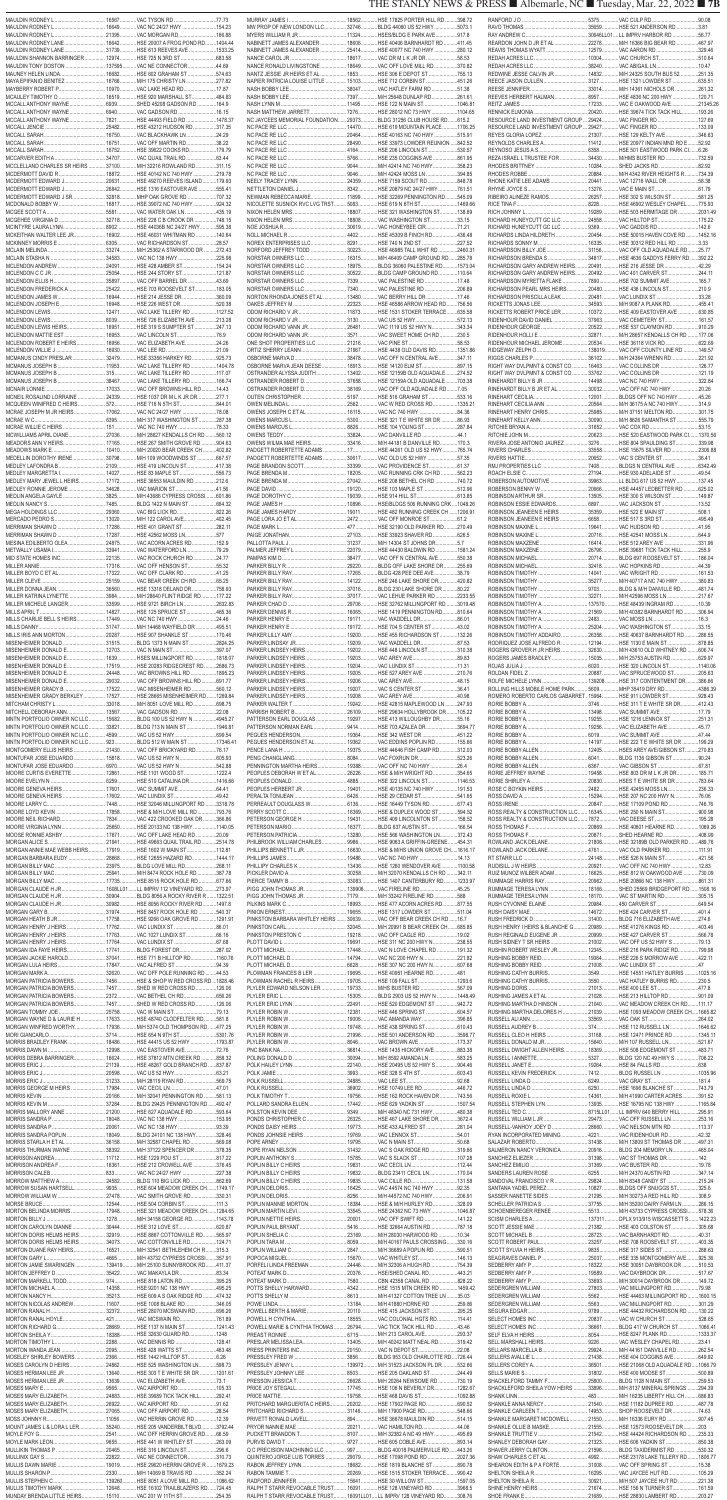# THE STANLY NEWS  $\&$  PRESS  $\blacksquare$  Albemarle, NC  $\blacksquare$  Tuesday, Mar. 22, 2022  $\blacksquare$  **7B**

| 16567<br>MAULDIN RODNEY L<br>.16649.<br>MAULDIN RODNEY L.<br>.21395.<br>MAULDIN RODNEY L                                                                      | VAC TYSON RD.<br>.77.73<br>154.23<br>VAC NC 24/27 HWY<br>VAC MORGAN RD.<br>.166.88                                                                         | MURRAY JAMES I.<br>MW PROP OF NEW LONDON LLC<br>MYERS WILLIAM R JR.                                                                              | 18562.<br>HSE 17825 PORTER HILL RD<br>.398.72<br>.32746.<br>.BLDG 44060 US 52 HWY.<br>.5073.1<br>11324<br>HSES/BLDG E PARK AVE<br>.917.8                                                                 | THE STAINET INEWS $\alpha$ PNESS <b>Exercicle</b> Albertagne, INC <b>E</b> Thesday, Mai. 22, 2022<br>RANFORD J D<br>5375.<br>35659.                           | VAC CULP RD.<br>.90.08<br>.HSE 521 ANDERSON RD.<br>.3.81<br>.30646LL01LL IMPRV HARBOR RD.<br>.56.77                                                    |
|---------------------------------------------------------------------------------------------------------------------------------------------------------------|------------------------------------------------------------------------------------------------------------------------------------------------------------|--------------------------------------------------------------------------------------------------------------------------------------------------|----------------------------------------------------------------------------------------------------------------------------------------------------------------------------------------------------------|---------------------------------------------------------------------------------------------------------------------------------------------------------------|--------------------------------------------------------------------------------------------------------------------------------------------------------|
| 16642.<br>MAULDIN RODNEY LANE<br>31739.<br>MAULDIN RODNEY LANE<br>12974.<br>MAULDIN SHANNON BARRINGER<br>137595.<br>MAULDIN TONY DOSTON.                      | HSE 20007 A FROG POND RD<br>1404.44<br>.1533.25<br>HSE 613 REEVES AVE.<br>.683.58<br>.HSE 725 N 3RD ST.<br>VAC NE CONNECTOR.<br>44.69                      | NABINETT JAMES ALEXANDER<br>NABINETT JAMES ALEXANDER<br>NANCE CAROL JR<br>NANCE RONALD LIVINGSTONE.                                              | 18606.<br>.411.45<br>HSE 40406 BARNHARDT RD<br>25414.<br>.280.12<br>.HSE 40077 NC 740 HWY<br>18617.<br>.58.53<br>. VAC DR M L K JR DR.<br>18649.<br>. VAC OFF LOVE MILL RD.<br>.370.82                   | REARDON JOHN D JR ET AL<br>.22278.<br>REAVIS THOMAS WYATT<br>.12579.<br>REDAH ACRES LLC.<br>.10304.<br>REDAH ACRES LLC.<br>.38240.                            | .M/H 16366 BIG BEAR RD<br>.467.97<br>.329.46<br>. VAC AARON RD.<br>.510.64<br>. VAC CHURCH ST<br>.10.47<br>. VAC ABIGAIL LN                            |
| .16682.<br>MAUNEY HELEN LINDA<br>.16766.<br>MAYA EPIFANIO BENITEZ<br>10970.<br>MAYBERRY ROBERT P<br>16519.<br>MCAULEY TIMOTHY O                               | .HSE 602 GRAHAM ST<br>.574.63<br>M/H 175 CHRISTY LN<br>.277.82<br>VAC LAKE HEAD RD.<br>.17.87<br>HSE 920 MARSHALL ST<br>.484.83                            | NANTZ JESSIE JR HEIRS ET AL<br>NAPIER PATRICIA LOUISE LITTLE<br>NASH BOBBY LEE.<br>NASH BOBBY LEE.                                               | 1853.<br>HSE 306 E DEPOT ST<br>755.13<br>15103.<br>.HSE 712 CORBIN ST<br>.451.26<br>38047.<br>. VAC HATLEY FARM RD<br>.51.38<br>7397.<br>.M/H 25648 DUNLAP RD.<br>.261.61                                | REDWINE JESSE CALVIN JR<br>.14832.<br>REECE JASON CULLEN<br>.3127<br>33014.<br>REESE JENNIFER.<br>.8957.<br>REEVES HERBERT HALMAN                             | .M/H 24325 SOUTH BUS 52<br>.251.35<br>635.51<br>.HSE 1321 LOWDER ST<br>.M/H 14361 NICHOLS DR.<br>.261.32<br>HSE 4836 NC 200 HWY<br>.120.71             |
| 6939.<br>MCCALL ANTHONY WAYNE.<br>6940.<br>MCCALL ANTHONY WAYNE.<br>.7821.<br>MCCALL ANTHONY WAYNE                                                            | 164.9<br>. SHED 45208 GADSON RD.<br>VAC GADSON RD.<br>.16.15<br>HSE 44493 FIELD RD<br>1478.37                                                              | NASH LYNN M.<br>NASH MATTHEW JARRETT<br>NC JAYCEES MEMORIAL FOUNDATION 29373.                                                                    | 11495.<br>1046.81<br>.HSE 122 N MAIN ST.<br>.7276.<br>.1104.65<br>.HSE 28012 NC 73 HWY<br>BLDG 31256 CLUB HOUSE RD<br>615.2                                                                              | 17233.<br><b>REITZ JAMES</b><br>20420.<br><b>RENNICK ELMONIA</b><br>RESOURCE LAND INVESTMENT GROUP  29424.                                                    | . VAC E OAKWOOD AVE.<br>.21345.26<br>.HSE 39674 TICK TACK HILL.<br>.193.26<br>VAC FINGER RD.<br>.127.69                                                |
| 25482.<br>MCCALL JENCIE<br>.16750.<br>MCCALL SARAH<br>.16751.<br>MCCALL SARAH<br>.16752.<br>MCCALL SARAH.                                                     | .HSE 43212 HUDSON RD.<br>.317.35<br>VAC BLACKHAWK LN.<br>.24.29<br>VAC OFF MARTIN RD.<br>.38.22<br>179.79<br>.HSE 39622 COOKS RD.                          | NC PACE RE LLC.<br>NC PACE RE LLC                                                                                                                | 14470.<br>.1706.25<br>HSE 619 MOUNTAIN PLACE<br>.20464.<br>.515.91<br>. HSE 40163 NC 740 HWY.<br>.28490.<br>.HSE 33973 LOWDER REUNION 842.52<br>.4164.<br>.530.57<br>.HSE 206 LINCOLN ST.                | RESOURCE LAND INVESTMENT GROUP  29427.<br>21307.<br>REYES GLORIA LOPEZ.<br>REYNOLDS CHARLES A<br>.11412.<br>.6358.<br>REYNOSO JESUS A S                       | VAC FINGER RD.<br>.133.09<br>.HSE 129 KELTY AVE.<br>.346.63<br>.52.92<br>.HSE 20977 INDIAN MND RD E<br>.HSE 501 EASTWOOD PARK CI<br>.6.26              |
| .34707.<br>MCCARVER EDITH A<br>.37100.<br>MCCLELLAND CHARLES SR HEIRS<br>.18872.<br>MCDERMOTT DAVID R.<br>20631<br>MCDERMOTT EDWARD J.,                       | 63.44<br>VAC QUAIL TRAIL RD.<br>. M/H 32216 ROWLAND RD.<br>311.15<br>219.78<br>HSE 40142 NC 740 HWY<br>.HSE 49270 REEVES ISLAND<br>179.93                  | NC PACE RE LLC<br><b>NEELY TRACEY LYNN </b>                                                                                                      | .5766.<br>HSE 235 COGGINS AVE<br>.861.95<br>.9044.<br>.M/H 42414 NC 740 HWY<br>.358.23<br>.9046.<br>.M/H 42424 MOSS LN.<br>.394.85<br>.24359.<br>.848.78<br>.HSE 7159 SCOUT RD.                          | REZA ISRAEL L TRUSTEE FOR<br>.34430.<br>.10284.<br>RHODES ROBBE<br>20884.<br>20441.<br>RHONE KATIE LEE ADAMS                                                  | .M/HMS BUSTER RD.<br>.732.59<br>. SHED JACKS RD.<br>.82.92<br>.M/H 4342 RIVER HEIGHTS R<br>734.39<br>.58.38<br>VAC 12716 WALL DR                       |
| 26842.<br>MCDERMOTT EDWARD J.,<br>.32818.<br>MCDERMOTT EDWARD J SR<br>.16817.<br>MCDONALD BOBBY W<br>.5581.<br>MCGEE SCOTT A.<br>                             | 555.41<br>HSE 1316 EASTOVER AVE<br>707.32<br>. MHP OAK GROVE RD<br>.HSE 39072 NC 740 HWY.<br>.924.32<br>.435.19<br>VAC WATER OAK LN.                       | NETTLETON DANIEL J<br>NEWMAN REBECCA MARIE<br>NICOLETTE SUSNICK RVC LVG TRST<br>NIXON HELEN MRS.<br>                                             | .8342.<br>.761.51<br>. HSE 20879 NC 24/27 HWY<br>11899<br>.545.09<br>.HSE 32269 PENNINGTON RD<br>5083.<br>.1469.66<br>.HSE 619 N 6TH ST.<br>18807<br>.HSE 321 WASHINGTON ST.<br>138.69                   | .13276.<br>RHYNE JOYCE S<br>RIBEIRO ALINEZE RAMOS<br>.26257.<br>.8228.<br>RICE TINA F<br>.19289.                                                              | .61.79<br>VAC E MAIN ST<br>.581.25<br>.HSE 302 S WILSON ST<br>.HSE 46902 WESLEY CHAPEL<br>.775.93<br>.HSE 503 HERMITAGE DR<br>2031.49                  |
| 32718.<br>MCGEHEE VIRGINIA D<br>.8902.<br>.16902.<br>MCKEITHAN WALTER LEE JR<br>.6305.                                                                        | .HSE 228 C B CROOK DR.<br>748.15<br>.595.38<br>. HSE 44036B NC 24/27 HWY<br>.140.64<br>.HSE 46031 WHITMAN RD.<br>.28.57<br>VAC RICHARDSON ST.              | NOLL MICHAEL R<br>NOREX ENTERPRISES LLC                                                                                                          | .18808.<br>.VAC WASHINGTON ST.<br>.33.15<br>.30619.<br>VAC HONEYBEE CIR<br>.71.21<br>4402.<br>.436.48<br>.HSE 45309 B FINCH RD<br>.8291.<br>.227.52<br>.HSE 740 N 2ND ST                                 | RICHARD HUNEYCUTT GC LLC<br>24558.<br>9369.<br>RICHARD HUNEYCUTT GC LLC.<br>20454.<br>RICHARDS LINDA HILDRETH<br>16335.<br>RICHARDS SONNY M                   | .VAC HILLTOP ST.<br>.175.22<br>.142.6<br>. VAC GADDIS RD.<br>.1452.16<br>.HSE 50015 HAVEN COVE RD.<br>.HSE 30312 RED HILL RD.<br>.3.33                 |
| .33274.<br>MCLAIN MELINDA.<br>MCLAIN STASHAN<br>.34583.<br>MCLENDON ANDREW<br>.24091.<br>.25054.<br>MCLENDON C C JR                                           | M/H 25362 A STARWOOD DR.<br>272.43<br>.225.98<br>VAC NC 138 HWY<br>HSE 428 AMBER ST<br>154.24<br>.HSE 244 STORY ST.<br>121.87                              | NORFORD JEFFREY TODD<br>NORSTAR OWNERS LLC<br>NORSTAR OWNERS LLC.<br>NORSTAR OWNERS LLC                                                          | .30223.<br>.2460.31<br>.HSE 46985 TALL WHIT RD<br>.16315.<br>.M/H 46409 CAMP GROUND RD.<br>285.78<br>.18975.<br>1573.04<br>.BLDG 36060 PALESTINE RD.<br>30522.<br><b>BLDG CAMP GROUND RD.</b><br>.110.64 | RICHARDSON BILLY JOE.<br>.31156.<br>34817.<br>RICHARDSON BRENDAS<br>RICHARDSON GARY ANDREW HEIRS.<br>20491.<br>20492.                                         | VAC OFF OLD AQUADALE RD<br>.25.77<br>.HSE 4636 GADDYS FERRY RD<br>.392.22<br>.42.29<br>.HSE 216 JESSE DR<br>.VAC 401 CARVER ST.<br>.244.11             |
| .35897.<br>MCLENDON ELLIS H<br>25422.<br>MCLENDON FREDERICK A<br>.16944.<br>MCLENDON JAMES W.,                                                                | VAC OFF BARREL DR<br>.43.69<br>183.05<br>HSE 703 ROOSEVELT ST<br>.HSE 214 JESSE DR.<br>360.09                                                              | NORSTAR OWNERS LLC<br>NORSTAR OWNERS LLC<br>NORTON RHONDA JONES ET AL                                                                            | .7339.<br>.17.48<br>. VAC PALESTINE RD.<br>7340.<br>.206.89<br>.VAC PALESTINE RD<br>.13480.<br>.VAC BERRY HILL DR.<br>.17.46                                                                             | RICHARDSON GARY ANDREW HEIRS.<br>7890.<br>RICHARDSON MYRETTA FLAKE<br>20480.<br>RICHARDSON PEARL MRS HEIRS.<br>20481.<br>RICHARDSON PRISCILLA LEAK            | .165.7<br>.HSE 702 SUMMIT AVE.<br>HSE 436 LINCOLN ST<br>.210.9<br>. VAC LUNDIX ST<br>.33.28                                                            |
| .16948.<br>12471.<br><b>MCLENDON LEWIS.</b><br>.8039.<br>MCLENDON LEWIS.<br>16951<br>MCLENDON LEWIS HEIRS                                                     | HSE 226 WEST DR.<br>520.38<br>VAC LAKE TILLERY RD.<br>.1127.52<br>HSE 726 ELIZABETH AVE.<br>213.28<br>.247.13<br>HSE 319 S SUMPTER ST.                     | OAKES JEFFREY M.<br>ODOM RICHARD V JR<br>ODOM RICHARD V JR.<br>ODOM RICHARD VANN JR                                                              | .22323.<br>.HSE 46586 ARROW HEAD RD.<br>.756.56<br>11873.<br>.635.58<br>.HSE 1531 STOKER TERRACE.<br>.3130.<br>.572.13<br>VAC US 52 HWY<br>.26481.<br>.343.34<br>VAC 1119 US 52 HWY N                    | 34593.<br>RICKETTS JONAS LEE.<br>10372.<br>RICKETTS ROBERT PRICE LER<br>37963.<br>RIDENHOUR DAVID DANIEL<br>20522.<br>RIDENHOUR GEORGE.                       | M/H 9087 A PLANK RD<br>.455.41<br>.630.85<br>HSE 409 EASTOVER AVE<br>.161.57<br>VAC CEMETERY ST<br>.HSE 537 CLAYMON RD.<br>.910.29                     |
| .16953.<br>MCLENDON MATTIE EST.<br>.16956.<br>MCLENDON ROBERT E HEIRS<br>.16930.<br><b>MCLENDON WILLIE J</b><br>MCMANUS CINDY PRESLAR<br>.32479.              | VAC LINCOLN ST<br>76.9<br>VAC ELIZABETH AVE<br>24.26<br>VAC LEE RD.<br>21.09<br>HSE 33356 HARKEY RD<br>925.73                                              | ODOM RICHARD VANN JR<br>ONE SHOT PROPERTIES LLC<br>ORTIZ SHERRY LEANN.<br>OSBORNE MARVA D                                                        | .3571.<br>. VAC SWEET HOME CH RD.<br>.230.5<br>.21216.<br>VAC PINE ST.<br>.58.53<br>.21967.<br>.HSE 4438 OLD DAVIS RD.<br>.1351.86<br>.38478.<br>.347.11<br>VAC OFF N CENTRAL AVE                        | 32871.<br>RIDENHOUR HOLLI E<br>.20534.<br>RIDENHOUR MICHAEL JEROME<br>138019.<br>.36102.<br>RIGGS CHARLES P                                                   | M/H 28657 KENDALLS CH RD<br>177.06<br>HSE 36118 VICK RD.<br>.622.69<br>VAC OFF COUNTY LINE RD<br>.149.57<br>.221.92<br>M/H 24364 WRENN RD              |
| .11953.<br>MCMANUS JOSEPH B.<br>.315<br>MCMANUS JOSEPH B.<br>38467<br>MCMANUS JOSEPH B.<br>17033.<br>MCNAIR LONNIE.                                           | 1404.78<br>VAC LAKE TILLERY RD.<br>.117.07<br>VAC LAKE TILLERY RD.<br>VAC LAKE TILLERY RD.<br>166.74<br>VAC OFF BROWNS HILL RD<br>.14.43                   | OSBORNE MARVA JEAN DEESE.<br>OSTRANDER ALYSSA JUDITH<br>OSTRANDER ROBERT D.<br>OSTRANDER ROBERT D                                                | 18913.<br>.897.15<br>HSE 14120 ELM ST.<br>13402.<br>HSE 12159B OLD AQUADALE.<br>.274.52<br>.37658.<br>703.38<br>.HSE 12159A OLD AQUADALE<br>.38169.<br>. VAC OFF OLD AQUADALE RD.<br>.7.05               | 16463.<br>RIGHT WAY DVLPMNT & CONST CO.<br>RIGHT WAY DVLPMNT & CONST CO.<br>33762.<br>RINEHARDT BILLY B JR<br>14498.<br>RINEHARDT BILLY B JR ET AL<br>.30032. | VAC COLLINS DR<br>.126.77<br>VAC COLLINS DR<br>.121.19<br>.322.84<br>VAC NC 740 HWY<br>VAC OFF NC 740 HWY<br>.20.26                                    |
| MCNEIL ROSALIND LORRAINE.<br>.24339.<br>MCQUEEN WINIFRED C HEIRS.<br>.572.<br>.17062.<br>MCRAE JOSEPH M JR HEIRS.<br>6395.<br>MCRAE W C                       | HSE 1037 DR M L K JR DR<br>277.1<br>844.01<br>HSE 716 N 5TH ST<br>VAC NC 24/27 HWY<br>78.08<br>.287.38<br>M/H 317 WASHINGTON ST.                           | OWEN MELINDA L.<br>OWENS JOSEPH C ET AL  16115<br><b>OWENS MARCUS L.</b>                                                                         | .5197.<br>HSE 516 GRAHAM ST<br>.533.16<br>.2562.<br>VAC W RED CROSS RD<br>.1335.21<br>VAC NC 740 HWY<br>.84.36<br>5300.<br>.86.93<br>.HSE 321 T E WHITE SR DR                                            | RINEHART CECILIA<br>.12001.<br>RINEHART CECILIA ANN<br>.20564.<br>.25985.<br>RINEHART HENRY CHRIS<br>.30090.<br><b>RINEHART KELLY ANN </b>                    | BLDGS OFF NC 740 HWY<br>.45.26<br>.314.9<br>M/H 36175 A NC 740 HWY.<br>.301.75<br>M/H 37151 MELTON RD<br>M/H 8626 SAMANTHA ST.<br>.555.79              |
| .151<br>MCRAE WILLIE C HEIRS.<br>.27036.<br>MCWILLIAMS APRIL DIANE<br>17165.<br>MEADORS ANN V HEIRS.<br><b>MEADOWS MARK E</b><br>.10410.                      | VAC NC 740 HWY<br>.78.33<br>M/H 28627 KENDALLS CH RD.<br>560.12<br>HSE 267 SMITH GROVE RD<br>.904.63<br>M/H 20020 BEAR CREEK CH<br>.402.82                 | <b>OWENS MARCUS L</b><br>OWENS TEDDY<br>OWENS WILMA MAE HEIRS<br>PADGETT ROBERTETTE ADAMS.                                                       | .8826.<br>.287.84<br>.HSE 104 YOUNG ST<br>.33824.<br>VAC DANVILLE RD<br>.44.1<br>33416.<br>.M/H 44181 B DANVILLE RD.<br>.170.3<br>17<br>.HSE 44261 OLD US 52 HWY<br>765.74                               | .31652.<br>RITCHIE BRYAN A<br>20623.<br>RITCHIE JOHN M<br>RIVERA JOSE ANTONIO JAUREZ.<br>3276.<br>RIVERS CHARLES.<br>33558.                                   | VAC COX RD.<br>.53.15<br>HSE 520 EASTWOOD PARK CI<br>1370.56<br>HSE 804 SPAULDING ST.<br>.339.98<br>HSE 15675 SILVER RD<br>2306.88                     |
| MEDELLIN DOROTHY IRENE<br>30798.<br>.2109<br>MEDLEY LAFONDRA B.<br>.14027.<br>MEDLEY MARGRETTA I<br>MEDLEY MARY JEWEL L HEIRS<br>.17172.                      | .667.57<br>.M/H 109 WOODWINDS ST<br>HSE 419 LINCOLN ST<br>417.38<br>.556.73<br>HSE 83 MAPLE ST<br>HSE 36553 MAULDIN RD<br>.212.6                           | PADGETT ROBERTETTE ADAMS.                                                                                                                        | .57.35<br>30617.<br>. VAC OLD US 52 HWY<br>.33399.<br>.61.37<br>VAC PROVIDENCE ST<br>.562.23<br>VAC RUNNING CRK CH RD<br>.27042.<br>.HSE 208 BETHEL CH RD<br>740.72                                      | 20652.<br>RIVERS HATTIE.<br>.27194<br>ROACH ELSIE C<br>ROBERSON AUTOMOTIVE<br>39963.                                                                          | .36.41<br>VAC S CENTER ST<br>. BLDGS N CENTRAL AVE<br>.6342.49<br>.49.54<br>.HSE 930 ADELAIDE ST<br>LL BLDG 617 US 52 HWY<br>.137.45                   |
| .34628.<br>MEDLEY RONNIE JEROME<br>.3825.<br>.7485<br>MEDLIN NANCY S.<br>.29360.                                                                              | VAC MARION ST<br>41.56<br>M/H 43686 CYPRESS CROSSI<br>601.86<br>BLDG 1422 N MAIN ST<br>664.32<br>.822.26<br>VAC BIG LICK RD                                |                                                                                                                                                  | HSE 103 MAPLE ST<br>512.96<br>.HSE 914 HILL ST<br>.613.85<br>.HSE/BLDGS 506 RUNNING CRK1048.26                                                                                                           | 13505.<br>ROBINSON ARTHUR SR<br>.6897<br>ROBINSON ESSIE EDWARDS<br>.35359.<br>ROBINSON JEANEEN E HEIRS                                                        | HSE 44457 LEDBETTER RD<br>625.02<br>HSE 300 S WILSON ST<br>149.87<br>VAC JACKSON ST<br>.13.52<br>HSE 522 E MAIN ST<br>.508.1                           |
| .13020.<br>17287<br><b>MERRIMAN SHAWN D</b>                                                                                                                   | 402.45<br>M/H 122 CAROL AVE<br>HSE 401 GRANT ST<br>282.11<br>HSE 42562 MOSS LN<br>577<br>152.9                                                             |                                                                                                                                                  | VAC OFF MONROE ST<br>.61.2<br>HSE 32190 OLD PARKER RD.<br>.270.49<br>.27103.<br>.HSE 33923 SHAVER RD.<br>.626.5<br>.5.7                                                                                  | .6658<br>ROBINSON JEANEEN E HEIRS<br>.20716                                                                                                                   | .495.49<br>HSE 517 S 3RD ST<br>19641 VAC HUDSON RD<br>41.95<br>HSE 42541 MOSS LN<br>.644.9<br>HSE 512 AREY AVE<br>.331.96                              |
| .33941<br>METWALLY USAMA I<br>MILLER ANNIE.                                                                                                                   | VAC WATERFORD LN<br>79.29<br>22135 VAC ROCK CHURCH RD<br>24.77<br>.55.32                                                                                   |                                                                                                                                                  | M/H 14304 ST JOHNS DR<br>.22079.<br>.HSE 44430 BALDWIN RD<br>.1581.24<br>.38477<br>VAC OFF N CENTRAL AVE.<br>.550.38<br>.29220.<br>.BLDG OFF LAKE SHORE DR.<br>.255.69                                   | .26796.<br>.20714<br>.32418<br>ROBINSON MICHAEL.                                                                                                              | .HSE 39681 TICK TACK HILL<br>.255.9<br>BLDG 697 ROOSEVELT ST<br>186.04<br>VAC HOPKINS RD<br>.44.39                                                     |
| MILLER CLEVE.<br><b>MILLER DONNA JEAN</b><br>.36560.<br>.3984<br>MILLER KATRINA LYNETTE                                                                       | VAC OFF CLARK RD.<br>.41.25<br>65.25<br>HSE 13318 DELAND DR<br>758.93<br>M/H 28640 FLINT RIDGE RD<br>177.22                                                |                                                                                                                                                  | .BLDG 428 PEE DEE AVE.<br>.38.79<br>.420.82<br>.BLDG 230 LAKE SHORE DR<br>.80.22<br>.2233.55                                                                                                             | 14041<br>.9703                                                                                                                                                | VAC WRIGHT RD<br>161.53<br>35277  M/H 40717 A NC 740 HWY<br>.380.83<br>.BLDG & M/H DANVILLE RD<br>.481.74<br>M/H 42596 MOSS LN<br>.217.67              |
| 33599.<br>MILLER MICHELE LANGER<br>.14827.<br><b>MILLS APRIL T</b><br>MILLS CHARLIE BELL S HEIRS<br>.17449<br>.31747<br><b>MILLS DANNY.</b>                   | HSE 9721 BIRCH LN<br>.2632.83<br>465.36<br>HSE 125 SPRUCE ST<br>24.46<br>VAC NC 740 HWY<br>M/H 14468 WAYFIELD DR<br>495.51                                 |                                                                                                                                                  | HSE 32762 MILLINGPORT RD.<br>.3019.48<br>.HSE 1419 PENNINGTON RD.<br>.810.64<br>.86.01<br>.HSE 704 S CENTER ST<br>.43.02                                                                                 | 137570<br>ROBINSON TIMOTHY A<br>ROBINSON TIMOTHY A<br>21569<br>ROBINSON TIMOTHY A<br>.25204.                                                                  | HSE 48439 INGRAM RD<br>.10.39<br>M/H 40382 BARNHARDT RD<br>.306.94<br>VAC MOSS LN<br>.16.3<br>.VAC WASHINGTON ST<br>.33.15                             |
| MILLS IRIS ANN MORTON<br>.20287<br>.31515.<br>MISENHEIMER DONALD.<br>MISENHEIMER DONALD E<br>.1639.<br>MISENHEIMER DONALD E                                   | HSE 907 SHANKLE ST<br>170.46<br>BLDG 1373 N MAIN ST<br>2824.25<br>12703VAC N MAIN ST<br>397.07<br>HSES MILLINGPORT RD<br>1818.07                           | PARKER LINDSEY HEIRS 19202<br>PARKER LINDSEY HEIRS 19203                                                                                         | HSE 455 RICHARDSON ST.<br>132.26<br>.19209.<br>.87.53<br>VAC WADDELL DR<br>HSE 448 LINCOLN ST<br>310.38<br>VAC AREY AVE<br>.89.83                                                                        | ROBINSON TIMOTHY ADDAIRO<br>26358.<br>RODRIQUEZ JOSE ALFREDO R<br>12194.<br>ROGERS GROVER H JR HEIRS<br>.32630.<br>15035.<br>ROGERS JAMES BRADLEY             | HSE 40637 BARNHARDT RD<br>286.55<br>HSE 1130 E MAIN ST<br>.878.85<br>M/H 43610 OLD WHITNEY RD<br>606.74<br>.629.97<br>M/H 25753 AUSTIN RD              |
| .17519.<br>MISENHEIMER DONALD E<br>.24448.<br>MISENHEIMER DONALD E<br>.<br>.29032.<br>MISENHEIMER DONALD E.<br>.17522<br>MISENHEIMER GRADY B                  | HSE 20283 RIDGECREST RD<br>2686.73<br>VAC BROWNS HILL RD.<br>1895.23<br>VAC OFF BROWNS HILL RD<br>691.77<br>VAC MISENHEIMER RD<br>.560.12                  | PARKER LINDSEY HEIRS<br>PARKER LINDSEY HEIRS 19205                                                                                               | .19204.<br>VAC LUNDIX ST<br>.11.31<br>HSE 527 AREY AVE<br>210.76<br>VAC AREY AVE<br>48.15<br>.36.41<br>VAC S CENTER ST                                                                                   | .6020<br>.20887<br>ROLFE MICHELE LYNN<br>139208.<br>ROLLING HILLS MOBILE HOME PARK<br>.5609.                                                                  | HSE 320 LINCOLN ST<br>.1140.06<br>VAC SPRUCEWOOD ST<br>205.63<br>HSE 317 CONTENTMENT DR<br>.386.66<br>.MHP 35419 DRY RD<br>.4386.39                    |
| MISENHEIMER GRADY BERKLEY<br>17527<br>.33018.<br>MITCHAM CHRISTY L.<br>.13567.<br>MITCHELL DEBORAH ANN<br>.15682.<br>MNTN PORTFOLIO OWNER NC LLC.             | HSE 28665 MISENHEIMER RD 1269.84<br>M/H 8051 LOVE MILL RD<br>698.75<br>VAC GADSON RD<br>22.08<br>. BLDG 100 US 52 HWY N<br>4945.27                         | PARKER LINDSEY HEIRS 19208<br>PARKER WALTER T<br>PATTERSON EARL DOUGLAS  19297.                                                                  | VAC AREY AVE<br>.40.98<br>.HSE 42815 MAPLEWOOD LN<br>.247.93<br>HSE 29634 HOLLYBROOK DR.<br>105.22<br>HSE 413 WILLOUGHBY DR.<br>.55.16                                                                   | ROMERO ROBERTO CARLOS GABARRET. 15964.<br>.3746<br>19255.                                                                                                     | HSE 911 LOWDER ST<br>.928.43<br>HSE 311 T E WHITE SR DR<br>.412.43<br>VAC SUMMIT AVE<br>17.79<br>HSE 1216 LENNOX ST<br>.251.31                         |
| MNTN PORTFOLIO OWNER NC LLC.<br>33821.<br>MNTN PORTFOLIO OWNER NC LLC.<br>4599.<br>.923.<br>MNTN PORTFOLIO OWNER NC LLC.<br>.21430.<br>MONTGOMERY ELLIS HEIRS | BLDG 713 N MAIN ST 1946.81<br>VAC US 52 HWY<br>.699.54<br>17346.41<br>. BLDG 512 W MAIN ST<br>VAC OFF BRICKYARD RD76.17                                    | PEGUES HENDERSON ET AL 19362.                                                                                                                    | .3694.77<br>HSE 342 WEST DR<br>.451.22<br>.155.66<br>. VAC EDDINS POPLIN RD.<br>HSE 44646 FISH CAMP RD.<br>312.03                                                                                        | .6019<br>14197                                                                                                                                                | .45.77<br>47.44<br>VAC SUMMIT AVE<br>HSE 222 T E WHITE SR DR<br>.199.29<br>HSES AREY AVE/GIBSON ST<br>.270.83                                          |
| .15818<br>MONTUFAR JOSE EDUARDO.<br>.6970<br>MONTUFAR JOSE EDUARDO<br>MOORE CURTIS EVERETTE<br>.12861<br>.6259.<br>MOORE EVELYN N                             | VAC US 52 HWY N<br>605.93<br>VAC US 52 HWY N<br>542.88<br>HSE 1101 WOOD ST<br>1222.4<br>HSE 510 CATALINA DR<br>1416.66                                     | PENNINGTON MARTHA HEIRS 19388<br>PEOPLES DEBORAH W ET AL 26226.                                                                                  | .8084<br>VAC FOXRUN DR<br>.523.26<br>VAC OFF NC 740 HWY<br>.26.4<br>HSE & M/H WRIGHT RD.<br>.354.65<br>.HSE 322 LINCOLN ST<br>1146.53                                                                    | 6041<br>RORIE JEFFREY WAYNE  19458                                                                                                                            | .BLDG 1136 GIBSON ST<br>.90.24<br>VAC GIBSON ST<br>.67.81<br>HSE 803 DR M L K JR DR<br>.185.71<br>HSES T E WHITE SR DR<br>.783.64                      |
| .17601<br>.17602.<br>MOORE GENEVA HEIRS<br>MOORE LARRY C                                                                                                      | .64.41<br>VAC SUMMIT AVE<br>VAC LUNDIX ST<br>.49.42<br>HSE 32046 MILLINGPORT RD 3318.78                                                                    | PERREAULT DOUGLASS W 6136                                                                                                                        | HSE 40135 NC 740 HWY<br>191.53<br>.6426.<br>.HSE 29 CEDAR ST<br>.541.65<br>HSE 16449 TYSON RD.<br>677.43                                                                                                 | .15294.<br>.20847<br>ROSS IRENE                                                                                                                               | HSE 42455 MOSS LN<br>.236.33<br>HSE 207 NC 200 HWY N<br>76.06<br>HSE 17109 POND RD<br>746.76                                                           |
| 17858<br><b>MOORE LOYD KEVIN </b><br>.7834<br>.25650.<br>.17671<br>MOOSE RONNIE ASHBY                                                                         | . HSE & M/H LOVE MILL RD.<br>.793.76<br>VAC 422 CROOKED OAK DR<br>366.86<br>.1140.05<br>.HSE 20133 NC 138 HWY<br>VAC OFF LAKE HEAD RD<br>.20.09            | PETERSON MARIO                                                                                                                                   | HSE & DUPLEX WOOD ST.<br>.594.52<br>.HSE 409 LINCOLNTON ST.<br>158.52<br>.16377.<br>BLDG 637 AUSTIN ST<br>.166.54<br>.13280.<br>HSE 566 WASHINGTON LN<br>.372.43                                         | ROSS REALTY & CONSTRUCTION LLC 16345.<br>ROSS REALTY & CONSTRUCTION LLC 7872<br>20869.<br>.20871                                                              | .HSE 250 N MAIN ST<br>.900.98<br>VAC DEESE ST<br>195.28<br>HSE 40601 HEARNE RD<br>.1069.26<br>SHED HEARNE RD<br>.408.99                                |
| .21941.<br><b>MORGAN ALICE S</b><br>MORGAN ANNIE MAE WEBB HEIRS<br>17919<br>MORGAN BARBARA EUDY<br>.28668.<br>.23975.                                         | 2514.78<br>HSE 49663 QUAIL TRAIL RD<br>.HSE 1602 W MAIN ST<br>.112.81<br>HSE 12655 HAZARD RD<br>1444.17<br>.BLDG LOVE MILL RD<br>.268.11                   | PHILBROOK WILLIAM CHARLES                                                                                                                        | .9986.<br>.HSE 9063 A GRIFFIN-GREENE.<br>454.31<br>HSE & M/HS UNION GROVE CH1616.17<br>VAC NC 740 HWY<br>14.13<br>HSE 1260 WENDOVER AVE<br>.1100.58                                                      | ROWLAND JACK DELANE<br>.21806<br>ROWLAND JACK DELANE<br>4761<br>.20921                                                                                        | HSE 32189B OLD PARKER RD<br>.489.76<br>VAC OLD PARKER RD<br>.111.91<br>HSE 526 N MAIN ST<br>.421.56<br>VAC OFF NC 740 HWY<br>12.83                     |
| .25941<br>MORGAN BILLY MAC<br>.17735.<br>MORGAN CLAUDE H JR<br>MORGAN CLAUDE H JR<br>.30904.                                                                  | M/H 8474 ROCK HOLE RD.<br>387.78<br>HSE 8515 ROCK HOLE RD.<br>.677.66<br>.1608LL01LL IMPRV 112 VINEYARD RD<br>.273.97<br>BLDG 8056 A ROCKY RIVER R 1322.51 | PIGG JOHN THOMAS JR<br>PIGG JOHN THOMAS JR                                                                                                       | .M/H 32070 KENDALLS CH RD.<br>.342.11<br>1233.97<br>.HSE 1407 CANTERBURY RD.<br>.139906.<br>.45.25<br>VAC FIRELINE RD<br>.M/H 33242 FIRELINE RD.<br>.7179.<br>.588                                       | RUIZ MUNOZ WILBER ADAM<br>16625<br>.20962.<br>.18166<br>RUMMAGE TERESA LYNN<br>RUMMAGE TERESA LYNN                                                            | HSE 812 W OAKWOOD AVE<br>730.09<br>HSE 20866 NC 138 HWY<br>.861.31<br>., SHED 25569 BRIDGEPORT RD 1508.16<br>18170 VAC ST MARTIN RD<br>305.15          |
| 30982.<br>MORGAN CLAUDE H JR<br>.17762.<br>MORGAN HENRY J HEIRS                                                                                               | .HSE 8056 ROCKY RIVER RD<br>.1497.8<br>HSE 8457 ROCK HOLE RD.<br>.540.37<br>HSE 9266 OAK GROVE RD.<br>.1291.91<br>VAC LUNDIX ST<br>.86.01                  | PILKINS MARK C.<br>PINKSTON BARBARA WHITLEY HEIRS  30639.                                                                                        | .18993.<br>.HSE 477 ACORN ACRES RD<br>.877.55<br>.19655.<br>.HSE 1317 LOWDER ST<br>.511.04<br>. VAC OFF BEAR CREEK CH RD.<br>16.7<br>.32045.<br>685.85<br>.M/H 20991 B BEAR CREEK CH.                    | RUSH CYVONNE ELAINE<br>20984.<br>14672<br>31400.<br>RUSH FREDRICK D<br>RUSH HENRY I HEIRS & BLANCHE G<br>20989.                                               | .450 CARVER ST<br>.649.54<br>.HSE 424 CARVER ST<br>.401.4<br>.BLDG 716 ELIZABETH AVE<br>.274.6<br>.403.46<br>.HSE 41276 KINGS RD                       |
| 17763.<br>MORGAN HENRY J HEIRS.<br>.17764<br>MORGAN HENRY J HEIRS.<br>.17741<br>MORGAN IDA FAYE HEIRS<br>.37041<br>MORGAN JACKIE HAROLD                       | 66.16<br>VAC 1027 LUNDIX ST<br>VAC LUNDIX ST<br>67.68<br>BLDG FOREST DR<br>287.02<br>HSE 771 B HILLTOP RD<br>1160.76                                       | PINKSTON PRESTON C  19218                                                                                                                        | VAC OFF CAGLE RD<br>.19.02<br>.HSE 311 NC 200 HWY N<br>.238.55<br>VAC N LOVE CHAPEL RD.<br>191.32<br>. VAC NC 200 HWY N<br>.221.82                                                                       | 20999.<br>RUSH REGINALD EUGENE JR<br>RUSH SIDNEY T SR HEIRS<br>21002.<br>RUSHIN ROBERT WESLEY JR 12345.<br><b>RUSHING BOBBY REID </b><br>19064.               | .566.78<br>HSE 427 CARVER ST<br>.VAC OFF US 52 HWY S<br>.79.13<br>HSE 216 PARK RIDGE RD<br>.799.98<br>.HSE 226 S MORROW AVE<br>.422.11                 |
| .17847<br>MORGAN LULA HEIRS<br>32620.<br>MORGAN MARK A.<br>.7456.<br><b>MORGAN PATRICIA BOWERS</b><br>.7457<br>MORGAN PATRICIA BOWERS                         | VAC ALFRED ST<br>94.39<br>VAC OFF POLE RUNNING RD 44.53<br>HSE & SHOP W RED CROSS RD  1828.46<br>SHED W RED CROSS RD<br>126.06                             | PLOWMAN FRANCES B LER  19695.<br>PLOWMAN RACHEL R HEIRS<br>PLYLER EDWARD NELSON LER  19733.                                                      | .6628.<br>.HSE 307 NC 200 HWY N<br>.607.68<br>.481<br>.HSE 40951 HEARNE RD.<br>19705.<br>.HSE 109 FALL ST<br>.1293.6<br>M/HS BUSTER RD.<br>.567.09                                                       | .21008.<br>RUSHING BOBBY REID<br>RUSHING CATHY BURRIS<br>.3549<br>.3550<br>RUSHING CATHY BURRIS<br>RUSHING DORIS                                              | VAC LUNDIX ST<br><b>47</b><br>HSE 14551 HATLEY BURRIS<br>.1025.16<br>VAC HATLEY BURRIS RD<br>.230.5<br>HSE 400 LEE ST<br>.477.8                        |
| .2372<br>MORGAN PATRICIA BOWERS<br>MORGAN PATRICIA BOWERS<br>.7457<br>25758.<br>MORGAN TOMMY JOE.<br>.17633.<br>MORGAN WAYNE D & LAURIE H                     | VAC BETHEL CH RD<br>.656.26<br>. SHED W RED CROSS RD<br>126.06<br>79.13<br>VAC W MAIN ST<br>HSE 48740 CLODFELTER RD 581.8                                  |                                                                                                                                                  | .BLDG 2903 US 52 HWY N.<br>.1448.49<br>HSE 520 EDGEMONT ST<br>.942.72<br>.HSE 446 SPRING ST.<br>.604.57<br>VAC AMANDA WAY<br>.396.85                                                                     | RUSHING JAMES A ET AL<br>21028<br>RUSHING MARTHA D HINSON<br>$\ldots$ 21040 $\ldots$<br>RUSHING MARTHA DELORES H  21039.<br>33569                             | .HSE 213 HILLTOP RD<br>.901.09<br>VAC MEADOW CREEK CH RD<br>.111.17<br>.HSE 1093 MEADOW CREEK CH1665.82<br>VAC OAK ST<br>.264.02                       |
| .17936.<br>MORGAN WINFRED WORTHY<br>.3714<br>MORI GIANCARLO.<br>MORRIS BRADLEY FRANK<br>18486<br>.12998.<br>MORRIS DAWN M.                                    | M/H 5374 OLD THOMPSON RD 477.25<br>HSE 654 N 9TH ST<br>5301.76<br>HSE 44415 US 52 HWY 1793.87<br>VAC EASTOVER AVE<br>.72.76                                |                                                                                                                                                  | HSE 438 SPRING ST<br>.610.43<br>21996.<br>.HSE 501 ANDERSON RD.<br>.3598.77<br>VAC BROWN AVE<br>173.37<br>36814.<br>HSE 1435 HICKORY AVE.<br>.883.38                                                     | .374<br>RUSSELL AUDREY B<br>RUSSELL CLEO H HEIRS<br>31168.<br>RUSSELL DONALD M JR 15640<br>RUSSELL DWIGHT ALLEN HEIRS 18369.                                  | HSE 112 RUSSELL LN<br>1646.62<br>.HSE 12471 PRINCE RD<br>1345.11<br>.521.67<br>M/H 107 RUSSELL LN<br>HSE 508 EDGEMONT ST<br>.483.71                    |
| MORRIS DEBRA BARRINGER<br>16624<br>.21139.<br><b>MORRIS ERIC J.,</b><br>.20598.<br><b>MORRIS ERIC J</b><br>.31233.<br><b>MORRIS ERIC J</b>                    | HSE 37812 MTN CREEK RD<br>858.32<br>HSE 48267 GOLD BRANCH RD 837.87<br>VAC US 52 HWY<br>.63.21<br>M/H 28119 RYAN RD<br>569.75                              | POLK JAMIE.                                                                                                                                      | .30094.<br>M/H 8592 AMANDA LN<br>.583.25<br>.22140.<br>HSE 20495 US 52 HWY S<br>.904.46<br>3993<br>.HSE 328 S 4TH ST<br>.603.43<br>VAC LEE ST<br>.92.68                                                  | .5327.<br>19264<br>RUSSELL KEVIN FREDERICK<br>7412<br>.6249                                                                                                   | .BLDG 120 NC 49 HWY S<br>706.22<br>.HSE 84 FALLS RD<br>.638<br>.1035.96<br>.BLDG RUSSEL LN<br>VAC GRAY ST<br>.181.4                                    |
| MORRIS GEORGE M HEIRS<br>17984<br>20166<br><b>MORRIS KEVIN</b><br>.37284.<br>MORRIS KEVIN M.<br>MORRIS MALLORY ANNE<br>21200                                  | VAC CECIL LN.<br>.47.01<br>M/H 32041 PENNINGTON RD 581.13<br>BLDG 29425 PENNINGTON RD 492.47<br>HSE 627 AQUADALE RD<br>593.64                              |                                                                                                                                                  | .36902.<br>.HSE 10749 LEE RD<br>.446.72<br>HSE 162 ROCK HAVEN DR<br>743.56<br>.HSE 629 YADKIN ST<br>.1507.54<br>.9349.<br>.480.38<br>M/H 48340 NC 731 HWY                                                | .6250<br>RUSSELL STEPHEN LYN<br>13935.                                                                                                                        | HSE 1696 BLANCHE ST<br>743.79<br>M/H 41990 CARTER ACRES<br>.391.52<br>.HSE 16795 NC 138 HWY<br>.1165.84<br>8715LL01 LL IMPRV 640 BERRY HILL<br>.295.91 |
| 18048<br>MORRIS SANDRA P.<br>.20061.<br>MORRIS SANDRA P.<br>MORRIS SANDRA POPLIN<br>18049<br>MORRIS STARLA H ET AL<br>.36158.                                 | 153.95<br>VAC NC 138 HWY<br>VAC NC 138 HWY.<br>.93.39<br>BLDG 24101 NC 138 HWY<br>328.46<br>M/H 32587 CHAPEL RD<br>.569.08                                 | PONDS CHRISTOPHER C<br>PONDS JOHNSIE HEIRS  19769                                                                                                | 26325.<br>HSE 467 LAKE SHORE DR<br>.3672.4<br>19773.<br>.HSE 433 ALFRED ST<br>.281.04<br>54.01<br>VAC LENNOX ST<br>VAC N MAIN ST<br>.50.68                                                               | RUSSELL WILLIAM L JR<br>.29473.<br>RUSSELL-VANHOY JOEY D<br>.28660.<br>RYAN INCORPORATED MINING<br>4221<br>31438<br>SALAZAR ROBERTO                           | .253.16<br>VAC OFF RUSSELL LN<br>VAC NELSON MTN RD<br>.113.37<br>VAC RIDENHOUR RD<br>.42.32<br>M/H 13809 ST THOMAS DR<br>.497.31                       |
| .38392.<br>MORRIS THURMAN WAYNE<br>.11712<br>MORRISON ANDREA<br>.16361                                                                                        | M/H 37122 SPENCER DR<br>378.35<br>HSE 1229 POU ST<br>817.22<br>HSE 212 CROWELL AVE<br>376.45                                                               |                                                                                                                                                  | VAC S OAK RIDGE RD<br>.319.66<br>VAC S SLACK ST<br>107.28<br>19831.<br>VAC CECIL LN<br>112.44                                                                                                            | SALMERON NANCY VERONICA<br>.20916<br>SANCHEZ ELIEZER<br>31398.<br>SANCHEZ EMILIO.<br>31369.                                                                   | BLDG 204 MEMORY LN<br>.465.04<br>VAC ST THOMAS DR<br>.142<br>19.78<br>VAC BUSTER RD                                                                    |
| .833<br>MORRISON CALEB.<br>.24582.<br>MORROW MATTHEW A<br>MORROW SUSAN HARTSELL<br>.9935<br>.27478.                                                           | VAC NC 24/27 HWY<br>227.38<br>BLDG 110 BIG LICK RD<br>.862.69<br>HSE 604 MEADOW CREEK CH1749.17<br>.330.31<br>VAC SMITH GROVE RD.                          |                                                                                                                                                  | BLDG 23411 CECIL LN<br>170.04<br>. VAC CILLE RD.<br>131.58<br>VAC 44574 NC 740 HWY<br>.92.35<br>.8256.<br>.M/H 44572 NC 740 HWY<br>.206.91                                                               | SANDERS LAUREN ROSE<br>.6255<br>SANDOVAL FRANCISCO V R<br>.29824<br>10827<br>SANTANA YADIEL PEREZ<br>21295<br>SASSER NANETTE SIDES                            | M/H 24370 AUSTIN RD<br>347.14<br>.M/H 8348 CANDY ST<br>.215.24<br>.325.6<br>BLDGS OFF SNUGGS ST<br>.M/H 30273 A RED HILL RD<br>.308.9                  |
| .12544.<br>MORSE BRUCE.<br>17948<br>MORTON BELINDA MORRIS<br>.1278<br><b>MORTON BILLY J</b><br>MORTON CAROLYN DIANNE<br>.30444                                | HSE 504 CORBIN ST<br>.111.3<br>HSE 321 MEADOW CREEK CH1284.65<br>M/H 34158 GEORGE RD<br>1143.78<br>HSE 312 LOVE ST<br>620.87                               | POPLIN NETTIE HEIRS                                                                                                                              | .328.09<br>HSE & M/H HURLEY RD<br>33545.<br>HSE 24362 NC 73 HWY<br>1046.87<br>.20001.<br>VAC OFF SWIFT RD<br>.141.22<br>HSE 32664 AUSTIN RD<br>.787.18                                                   | SCHELLER PATRICIA S<br>.37755<br>.5513<br>SCHOENBEREGER RENEE<br>.137311.<br>$$ 21382.                                                                        | M/H 35200 DAIRY FARM LN<br>.286.15<br>.M/H 43733 CYPRESS CROSSI<br>.578.36<br>DPLX 913/915 WISCASSETT S  1422.23<br>HSE 403 COLSTON ST<br>.305.68      |
| .32919.<br>MORTON DORIS HELMS HEIRS.<br>MORTON DORIS HELMS HEIRS.<br>.34073.<br>.16521.<br>MORTON DUANE RAY HEIRS<br>.4665.<br>MORTON GARY L.                 | HSE 8867 COTTONVILLE RD<br>.565.97<br>VAC COTTONVILLE RD<br>.124.71<br>M/H 32541 BETHLEHEM CH R<br>.315.3<br>. M/H 43732 CYPRESS CROSSI<br>.357.91         |                                                                                                                                                  | .M/H 28030 HARWOOD RD<br>.10.34<br>.8059.<br>M/H 40167 PAULS CROSSING.<br>.330.16<br>.2847<br>.M/H 36689 A POPLIN RD.<br>.590.51<br>VAC WHITLEY ST<br>.146.13                                            | SCOTT MICHAEL B<br>.28723.<br>.23257.<br>SCOTT ROBERT PAUL<br>SCOTT SYLVIA H HEIRS<br>9835<br>SEAGRAVES DANIEL P<br>.25037.                                   | .VAC BARNHARDT RD<br>.40.31<br>HSE 708 ROOSEVELT ST<br>.403.35<br>.HSE 317 SIDES ST<br>.288.63<br>HSE 335 MONTGOMERY AVE<br>.925.36                    |
| MORTON JAMIE SWARINGEN<br>MORTON JEFFREY D.<br>.35422.<br>MORTON MARKELL TODD<br>$.974$<br>.14358.                                                            | 139419 M/H 25100 SUNNYBROOK RD411.37<br>VAC MAKAYLA DR<br>83.34<br>HSE 818 LATON RD<br>395.25<br>HSE 9201 NC 138 HWY<br>.495.25                            | PORFELI LINDA FREEMAN  24446.<br>POTEAT MARK D<br>POTTS SHELLY HARWARD                                                                           | 754.39<br>M/H 32306 A HUGH RD<br>20376.<br>HSE/SHED CANAL RD<br>.443.21<br>.828.22<br>CBN 42358 CANAL RD<br>.4342.<br>.HSE 1515 MTN CREEK RD.<br>.1459.42                                                | 18322.<br>19589.<br>33693<br>SEDERGREN WILLIAM<br>27803.                                                                                                      | HSE 30051 DAYBROOK DR<br>.510.53<br>VAC DAYBROOK DR<br>.517.67<br>M/H 30014 DAYBROOK DR<br>149.72<br>VAC MILLINGPORT RD<br>.79.98                      |
| .35213<br>MORTON NANCY H.<br>MORTON NICOLAS ANDREW  11607  HSE 1008 BLAKE RD.<br>MORTON RANAL H.                                                              | HSE 609 A S OAK RIDGE RD<br>474.32<br>346.05<br>32372HSE 28070 MCSWAIN RD<br>696.26<br>VAC MCSWAIN RD<br>761.89                                            |                                                                                                                                                  | .8613.<br>.M/H 41327 COTTON TREE LN.<br>.35.03<br>.259.86<br>M/H 41880 HORNE RD<br>.295.25<br>114.41                                                                                                     | SEDERGREN WILLIAM<br>.5562.<br>SEDERGREN WILLIAM<br>.5563<br>.9789                                                                                            | HSE 44463 MILLINGPORT RD<br>.1600.15<br>VAC MILLINGPORT RD<br>.301.29<br>HSE 44432 RICHARDSON RD<br>130.22<br>20837  VAC W CHURCH ST<br>.528.65        |
| .28669<br>.18388.<br><b>MORTON SHEILA Y</b><br>2288<br>MORTON TIMOTHY L.<br>2095.<br>MORTON WANDA JEAN                                                        | HSE 1137 N MAIN ST<br>1241.43<br>HSE 32630 GUARD RD<br>1248<br>VAC DENNIS RD<br>128.41<br>.463.48<br>.HSE 428 WATTS ST.                                    | POWELL MARIE & CYNTHIA THOMAS  26794<br>PRESLAR MELISSA LEA.<br>PRESS PRINTERS INC.                                                              | VAC TICK TACK HILL RD<br>.43.46<br>.6715<br>M/H 213 CAROL AVE<br>.293.37<br>13405.<br>.M/H 40242 MATT NEAL RD.<br>.319.42<br>.20150.<br>VAC N DEPOT ST<br>.22.08                                         | $.36661$<br><b>SELF ELVA H HEIRS</b><br>.8054<br>SELL MARSHALL HEIRS<br>9226.<br>SELLARS MARCELLA B.<br>29924.                                                | BLDG 417 W CHURCH ST<br>.1066.41<br>.HSE 8247 PLANK RD<br>.1333.37<br>. VAC WESLEY CHAPEL RD.<br>.23.41<br>.262.54<br>. M/H 44161 DANVILLE RD          |
| MOSELEY SHIRLEY BOWERS.<br>2366.<br>24862.<br>MOSES CAROLYN D HEIRS<br>.13640.<br>MOSES HERMAN LEE JR.<br>13639.<br>MOSES HERMAN LEE JR                       | .HSE 1442 HILLTOP ST.<br>.6.26<br>.598.73<br>.HSE 525 WASHINGTON LN.<br>1201.61<br>HSE 303 T E WHITE SR DR<br>.73.1<br>VAC ELIZABETH AVE                   | PRESSLEY FRED W.<br>PRESSLEY JENNY L<br>PRESSLEY JOHNNY LEE.<br>PRESSON JESSICAT                                                                 | .3856.<br>BLDG 953 OLD CHARLOTTE RD726.44<br>139972.<br>. M/H 31523 JACKSON PL DR .<br>.532.66<br>.8503.<br>. HSE 205 OAKLAND ST.<br>.244.49<br>26628<br>.730.19<br>. M/H 20264 NEWSOME RD               | SELLERS AVALLIE I<br>21438.<br>SELLERS COREY A.<br>36501<br>.31802.<br><b>SELLS MARIE S.</b><br>SHACKELFORD TAMMY F<br>25800                                  | .649.92<br>. HSE 404 COGGINS AVE.<br>HSE 21068 OLD AQUADALE RD1066.79<br>.HSE 400 MOOSE ST<br>.500.89<br>. BLDG 1128 N MAIN ST .<br>.259.53            |
| .9565.<br>MOSES MARY E<br>.24883<br>MOSES MARY ELIZABETH.<br>MOSES MARY ELIZABETH.<br>26922.<br>.27065.<br>MOSES MARY ELIZABETH                               | 105.33<br>VAC AIRPORT RD<br>HSE 39689 TICK TACK HILL<br>292.41<br>VAC AIRPORT RD<br>91.62<br>28.54<br>VAC OFF AIRPORT RD.                                  | PRICE JOY STEGALL<br>PRICE MATTIE<br>PRITCHARD MARGUERITA C HEIRS.<br>PRITCHARD RICHARD S.                                                       | .17745.<br>. HSE 106 N BEVERLY DR.<br>.1282.67<br>19758.<br>.HSE 468 DAVIS ST.<br>.1092.88<br>20202.<br>.HSE 17902 PAGE RD<br>.690.52<br>.31146.<br>.548.66<br>M/H 17900 PAGE RD.                        | SHACKLEFORD SHEILA YOW HEIRS.<br>33896.<br>483.<br><b>SHANK LINN.</b><br>SHANKLE ANNA NERCY.<br>21540.<br>14953.<br>SHANKLE CARLEEN T                         | . M/H 8137 MINERAL SPRINGS .<br>.294.39<br>. M/H 16235 LIBERTY HILL CH<br>.686.83<br>.487.78<br>HSE 11182 DUPREE RD<br>. SHOP ROOSEVELT DR<br>.74.63   |
| .11056<br>MOSS JOHNNY R<br>.35240.<br>MOUNT JAMES L & LORA L LER<br>.2541.<br>MOYLE FOY G                                                                     | VAC HERRIN GROVE RD.<br>12.39<br>HSE 205 VANDERBILT BLVD.<br>3792.44<br>VAC OFF HERRIN GROVE RD<br>66.59                                                   | PRIVETT RONALD LAVELL.<br>PRYOR NANNIE MAE<br>PUCKETT BRANDON T                                                                                  | 894.<br>HSE 36678 MAULDIN RD.<br>.514.15<br>20211<br>VAC HAMILTON RD<br>.44.06<br>.8107.<br>.495.69<br>. M/H 32382 A NC 49 HWY                                                                           | 21550.<br>SHANKLE MARGARET MCDOWELL.<br>.21555.<br>SHANKLE OLLIE B MASKE.<br>21542.<br>SHANKLE TRUTTIE V                                                      | M/H 16336 EURY RD .<br>.907.45<br>.HSE 12573 ROOSEVELT DR.<br>.203<br>.HSE 44424 RICHARDSON RD<br>.235.33                                              |
| .9655.<br>MOYLE MARK LEON.<br>.20465.<br>MULLIKIN THOMAS P<br>MULLINIX GAY S.<br>.22822.<br>.19019.<br>MULLIS DAWN MARIE.                                     | .263.09<br>HSE 441 W WHITLEY ST<br>HSE 316 LINCOLN ST<br>296.6<br>310.73<br>VAC NE CONNECTOR.<br>HSE 29620 HERRIN GROVE R 1679.23                          | PURVIS DAVID T<br>Q C PRECISION MACHINING LLC.<br>QUINTERO JORGE LUIS TORRES.<br>RABON JEFFREY LYNN                                              | .9727.<br>.893.14<br>. HSE 605 COBLE AVE.<br>.997<br>BLDG 40018 PALMERVILLE RD 443.26<br>.29079.<br>.2027.36<br>. HSE 17098 POND RD.<br>18682.<br>.890.78<br>. HSE 1819 BLANCHE ST.                      | 21323.<br>SHANLEY DEBORAH GAY.<br>SHAVER JERRY CLINTON<br>.21596.<br>4992.<br>SHAW CHARLES C ET AL.<br>SHEARON EDITH & P A FORTE<br>31008.                    | HSE 606 YADKIN ST.<br>.850.38<br>. BLDG TAXIDERMIST RD.<br>.530.32<br>HSE 23178 LAKE TILLERY RD<br>1806.77<br>VAC OFF SPRING ST .<br>.15.38            |
| 2330.<br><b>MULLIS SHARON P.</b><br>.139260.<br>MULLIS STEPHEN C.<br>.12648.<br>MULLIS TIMOTHY MARK.<br>MUNDAY BRENDA LITTLE HEIRS 15110                      | . M/H 14069 B TRAVIS RD.<br>.352.24<br>HSE 8051 A LOVE MILL RD<br>1086.62<br>HSE 16102 TRAILBLAZERS RD 724.45<br>VAC 201 W 11TH ST254.35                   | RABON TAMMIE T.<br>RADFORD JENNIFER.<br>RALPH T STARR REVOCABLE TRUST 16091.<br>RALPH T STARR REVOCABLE TRUST 16091LL01 LL IMPRV 128 VINEYARD RD | 20269.<br>.HSE 1515 STOKER TERRACE<br>990.42<br>15641.<br>.HSE 30 WILLOW ST<br>.1597.05<br>.3968.5<br>. HSE 128 VINEYARD RD.<br>308.76                                                                   | .16295.<br>SHELTON SHEILA R<br>.30921.<br>SHELTON SHEILA R<br>SHINE HENRY HEIRS<br>.21674.<br>SHOE FRANK E<br>.21689                                          | VAC JAYCEE HUT RD<br>.105.29<br>. M/H 507 JAYCEE HUT RD.<br>.221.38<br>.161.59<br>HSE 156 N TURNER ST<br>HSE 28830 LAMBERT RD<br>203.27                |